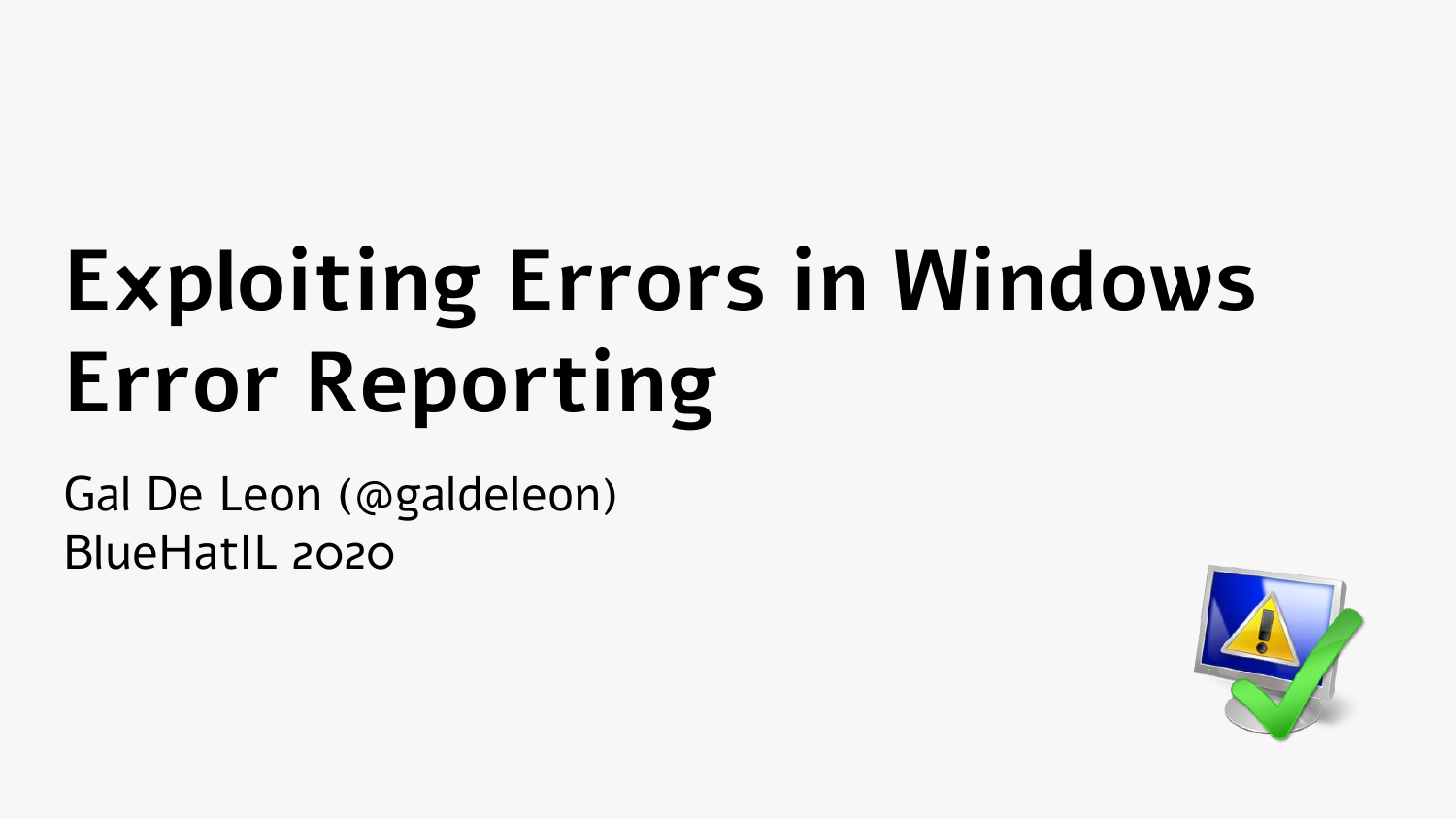# **Exploiting Errors in Windows Error Reporting**

Gal De Leon (@galdeleon) BlueHatIL 2020

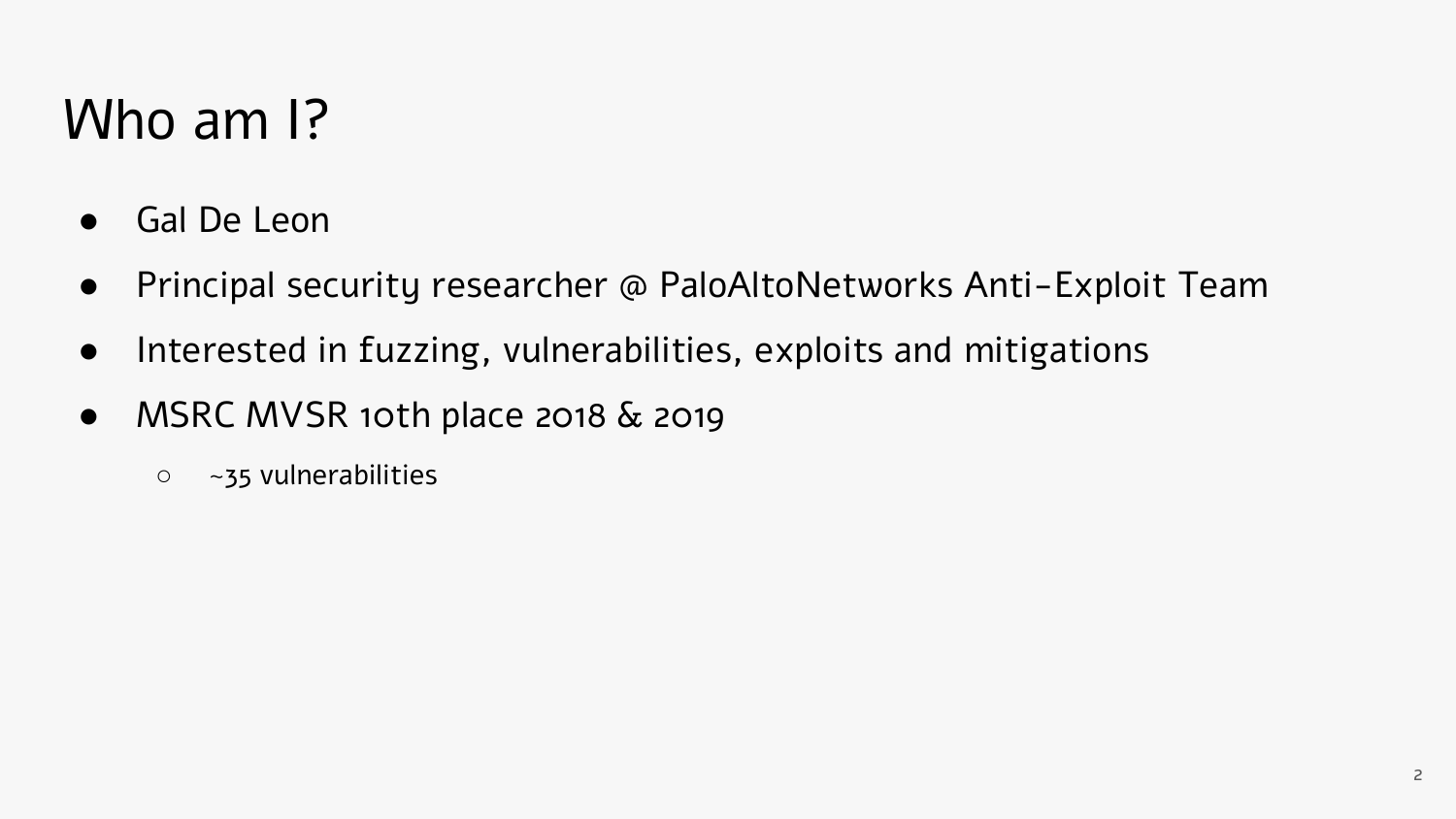#### Who am I?

- Gal De Leon
- Principal security researcher @ PaloAltoNetworks Anti-Exploit Team
- Interested in fuzzing, vulnerabilities, exploits and mitigations
- MSRC MVSR 10th place 2018 & 2019
	- ~35 vulnerabilities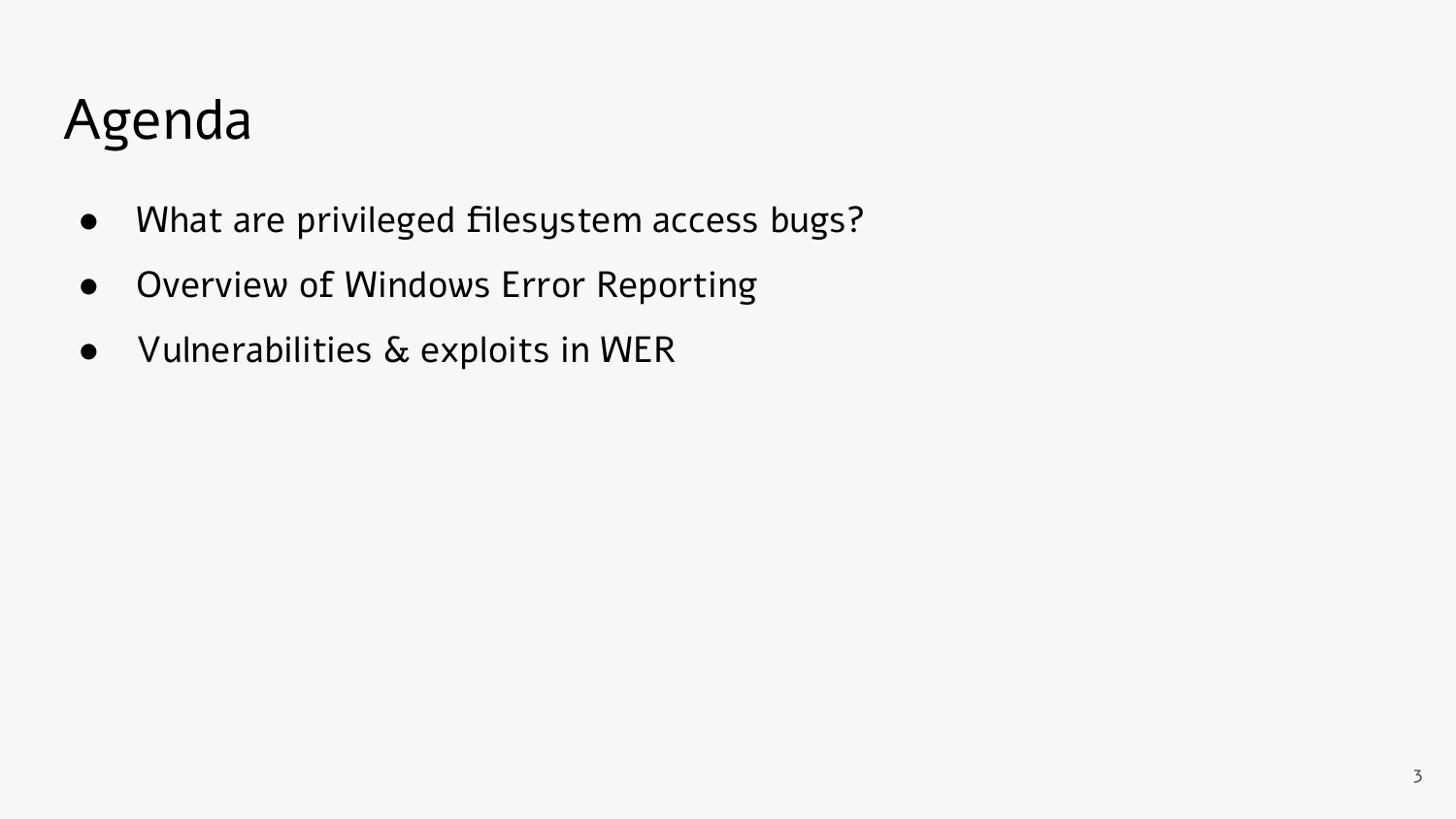#### Agenda

- What are privileged filesystem access bugs?
- Overview of Windows Error Reporting
- Vulnerabilities & exploits in WER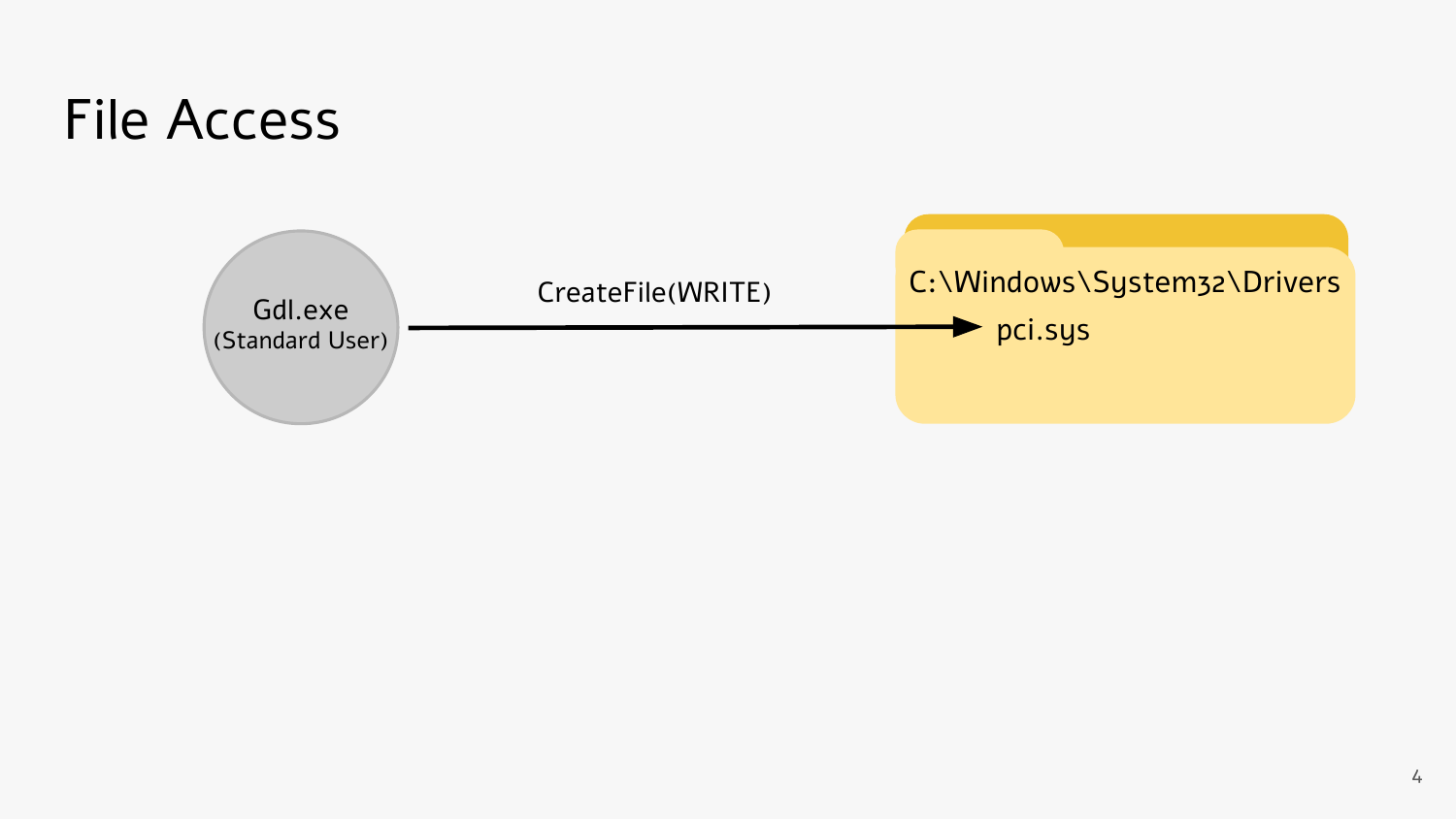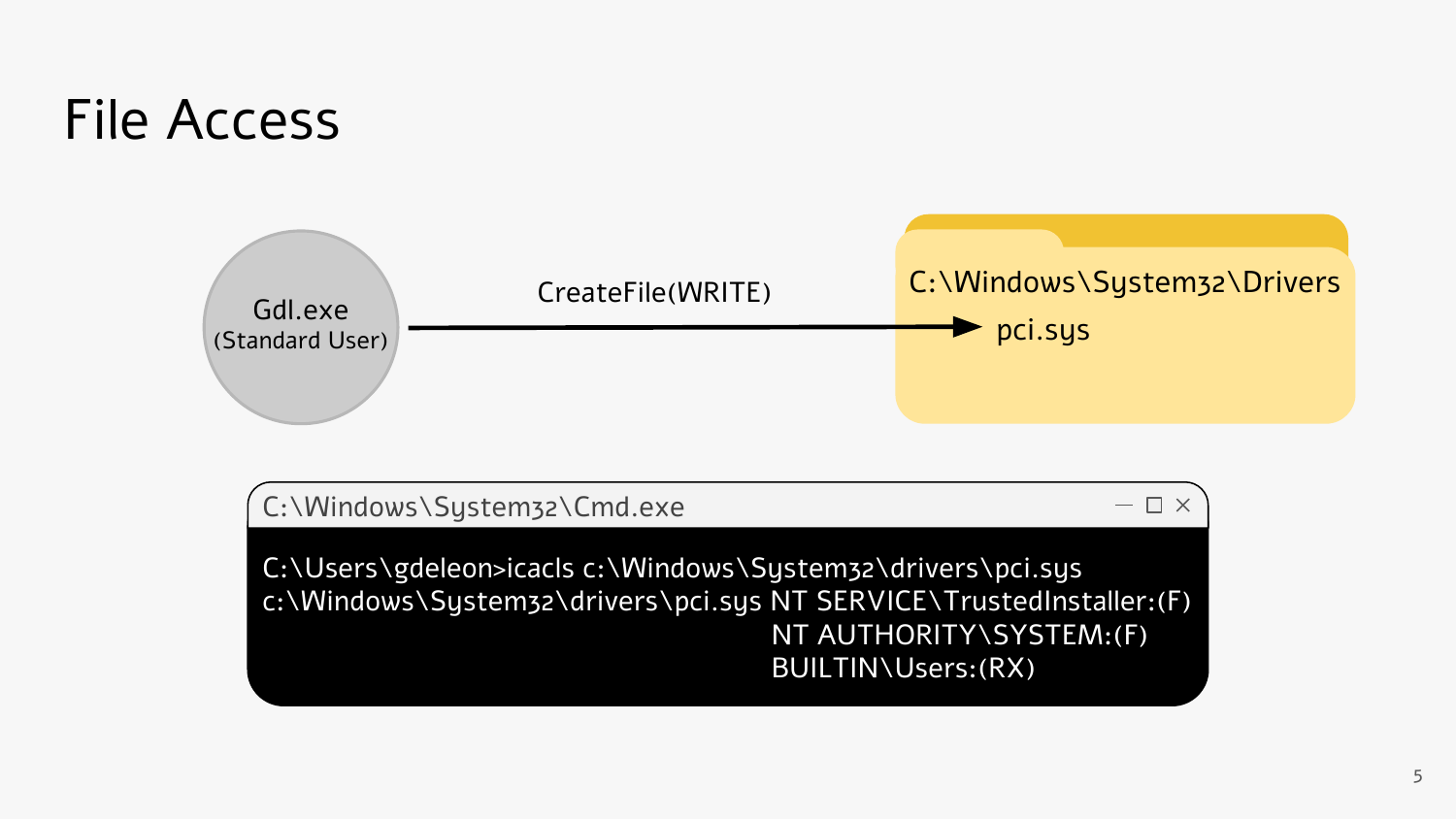#### File Access



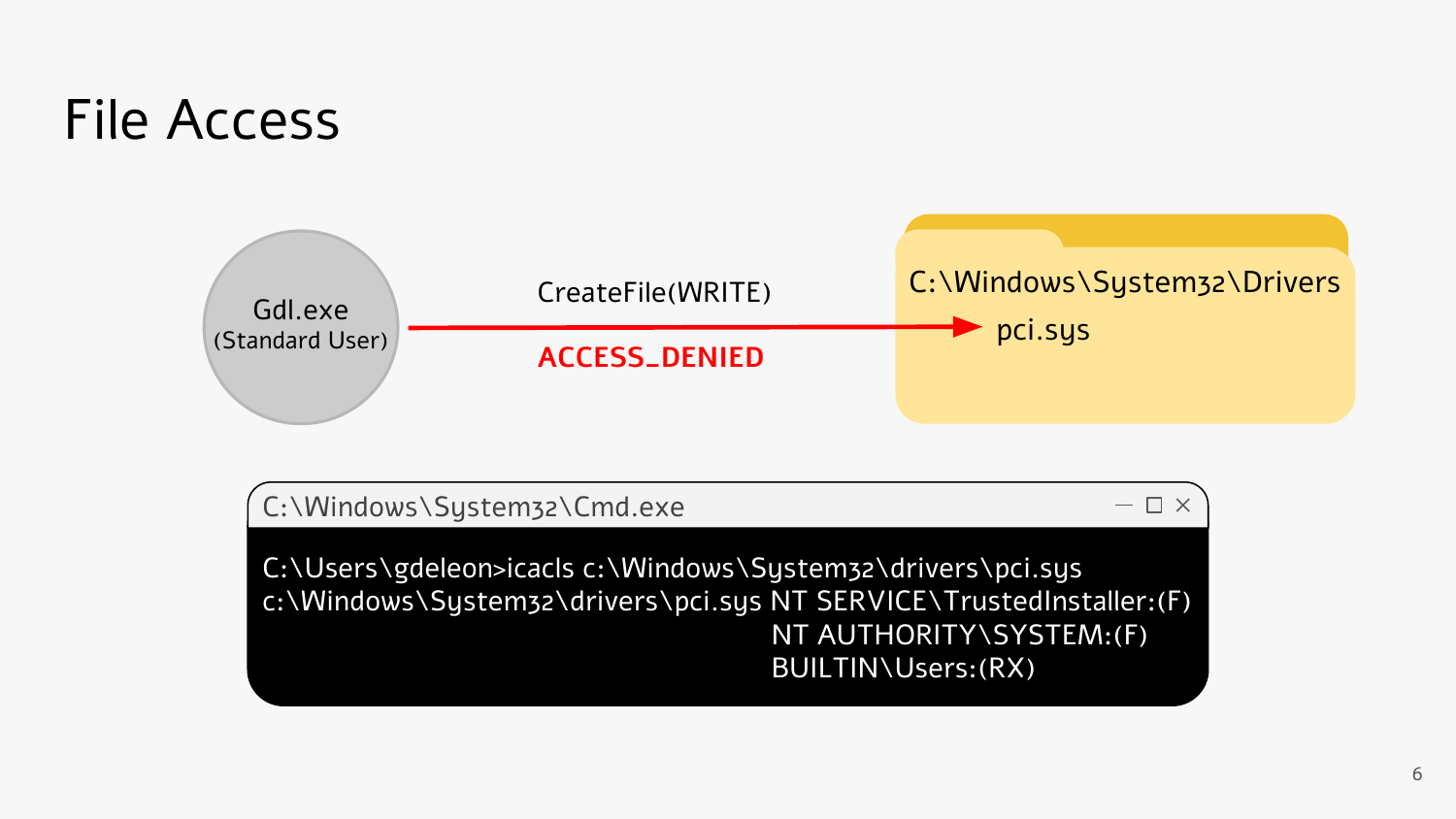#### File Access



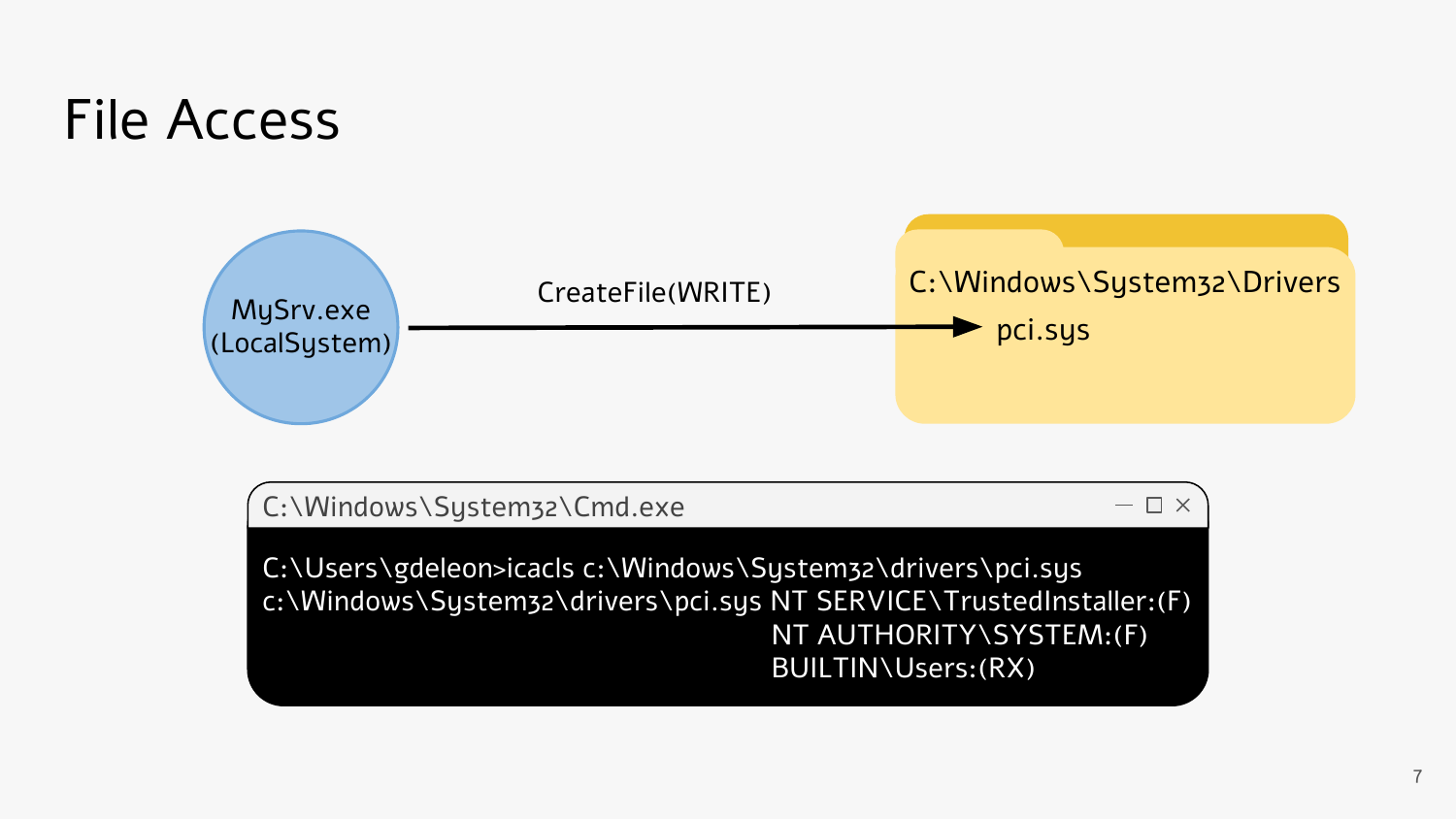#### File Access



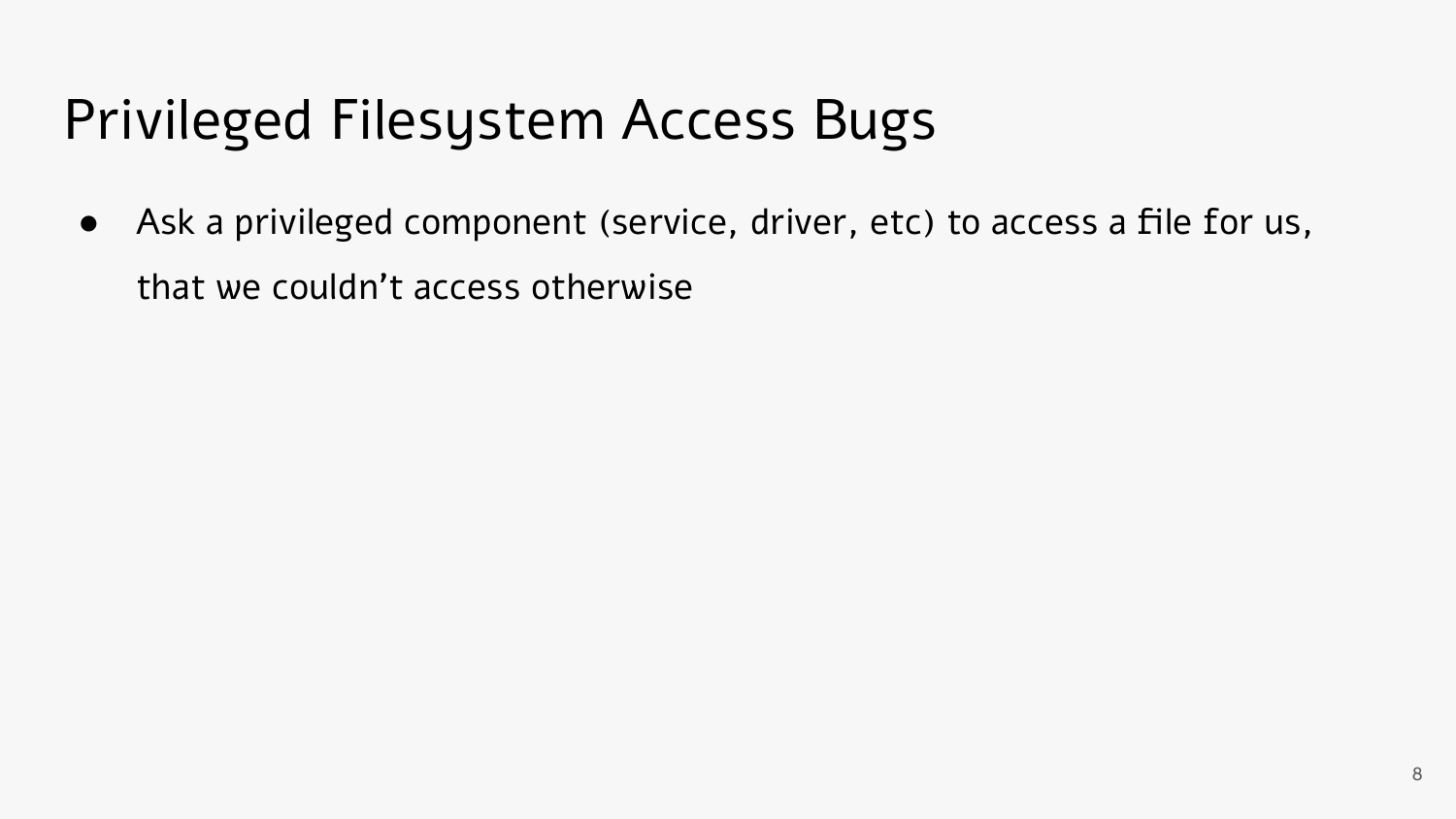### Privileged Filesystem Access Bugs

• Ask a privileged component (service, driver, etc) to access a file for us, that we couldn't access otherwise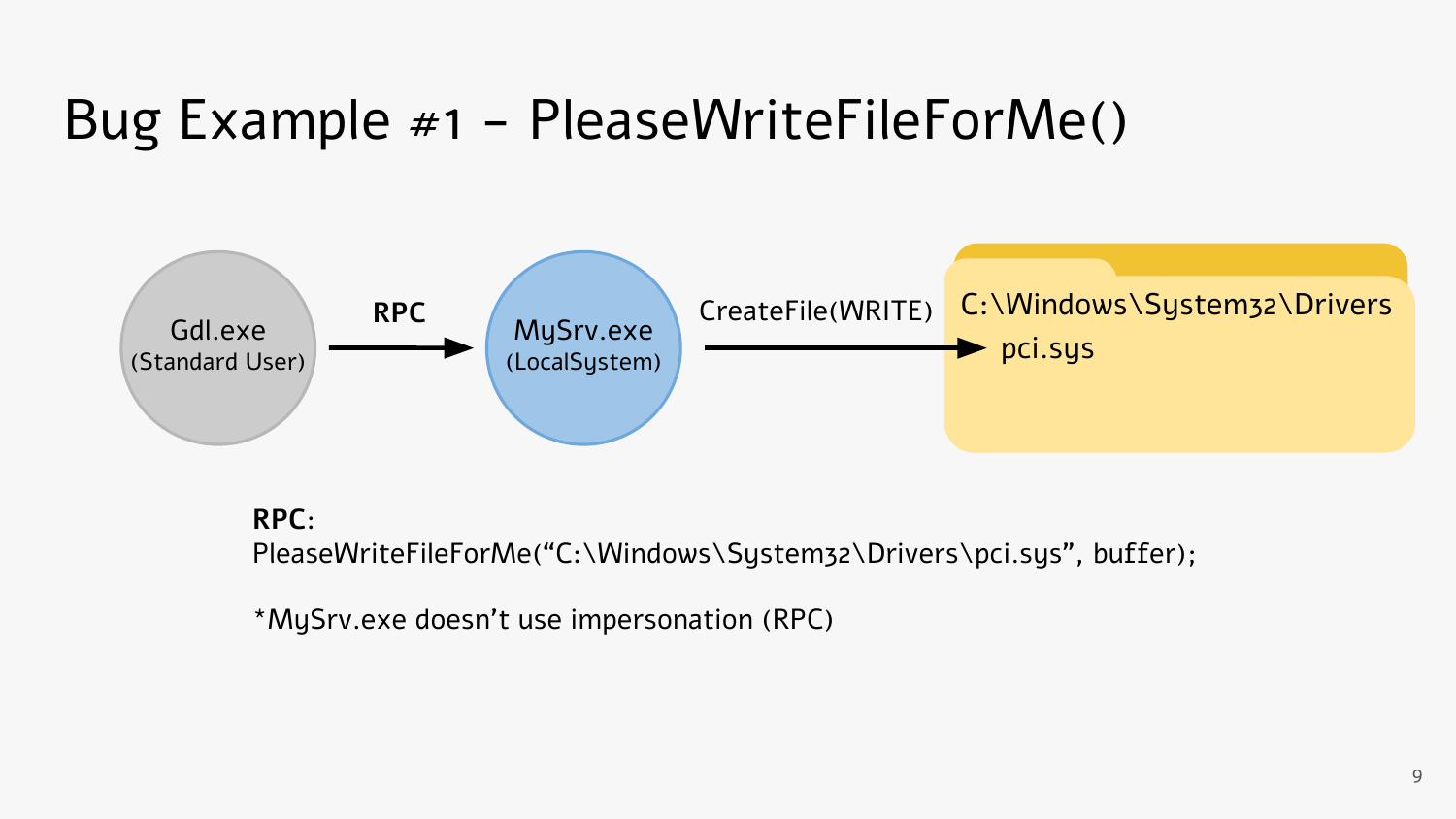#### Bug Example #1 - PleaseWriteFileForMe()



#### **RPC**:

PleaseWriteFileForMe("C:\Windows\System32\Drivers\pci.sys", buffer);

\*MySrv.exe doesn't use impersonation (RPC)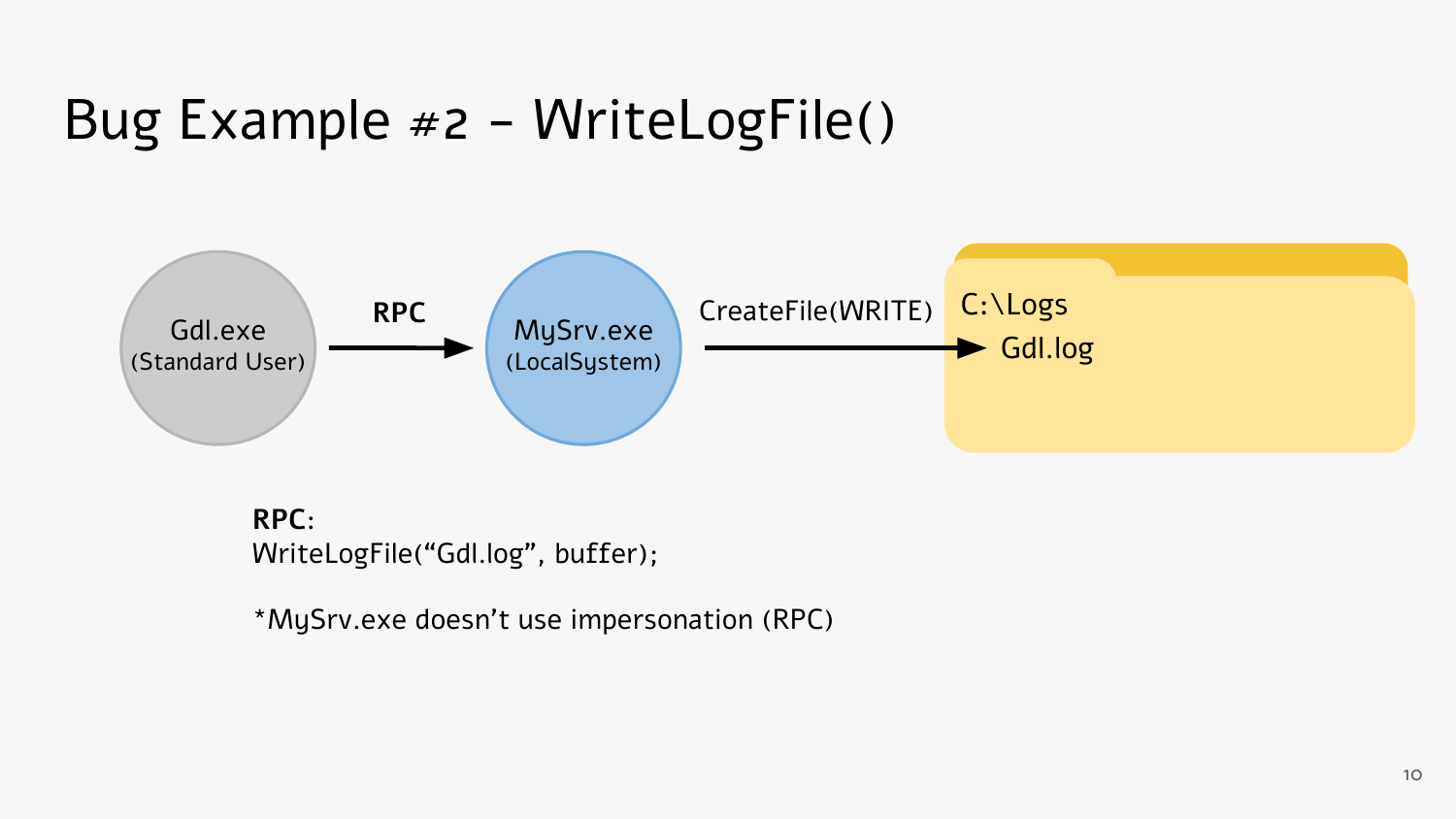

**RPC**: WriteLogFile("Gdl.log", buffer);

\*MySrv.exe doesn't use impersonation (RPC)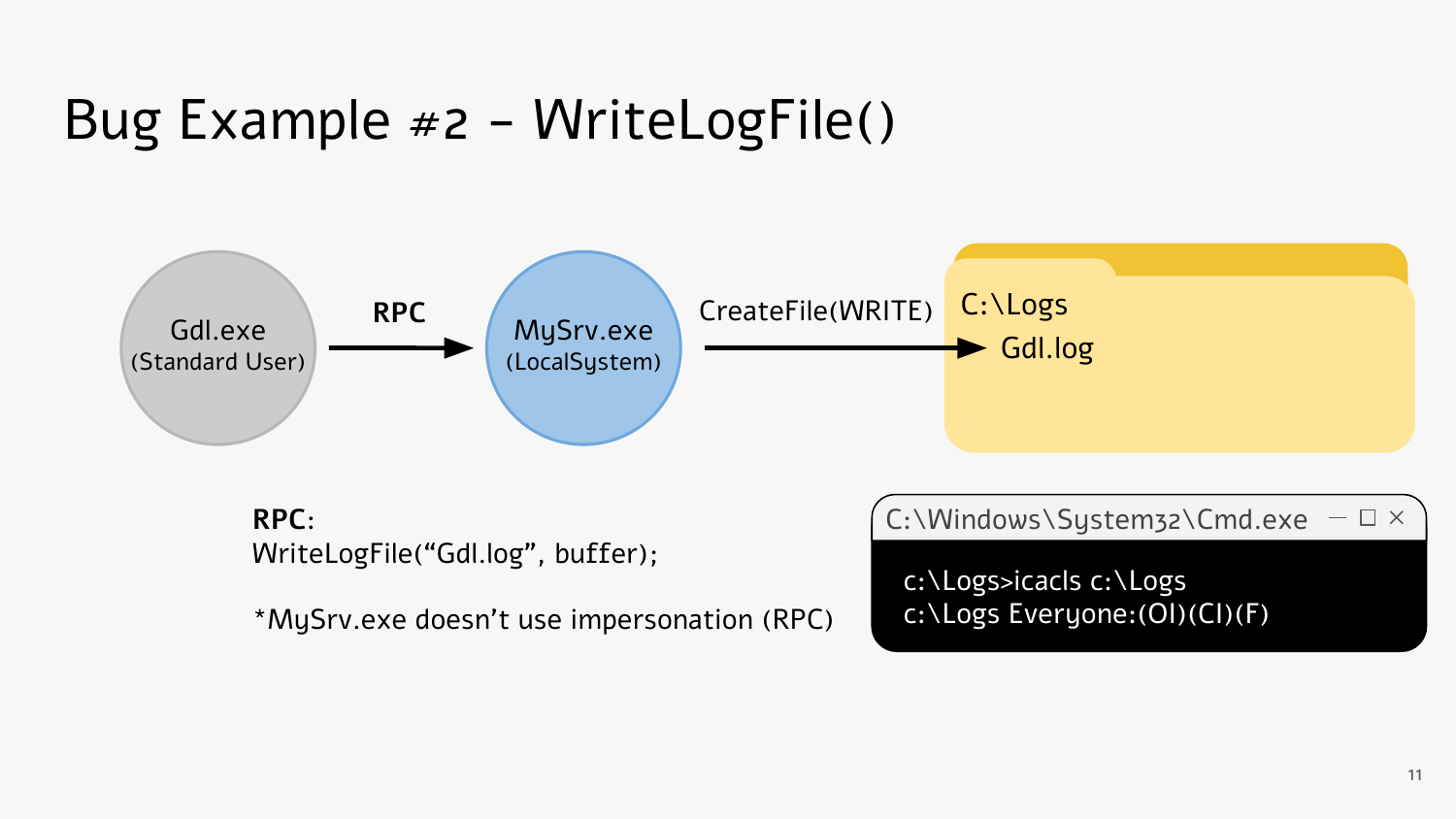

11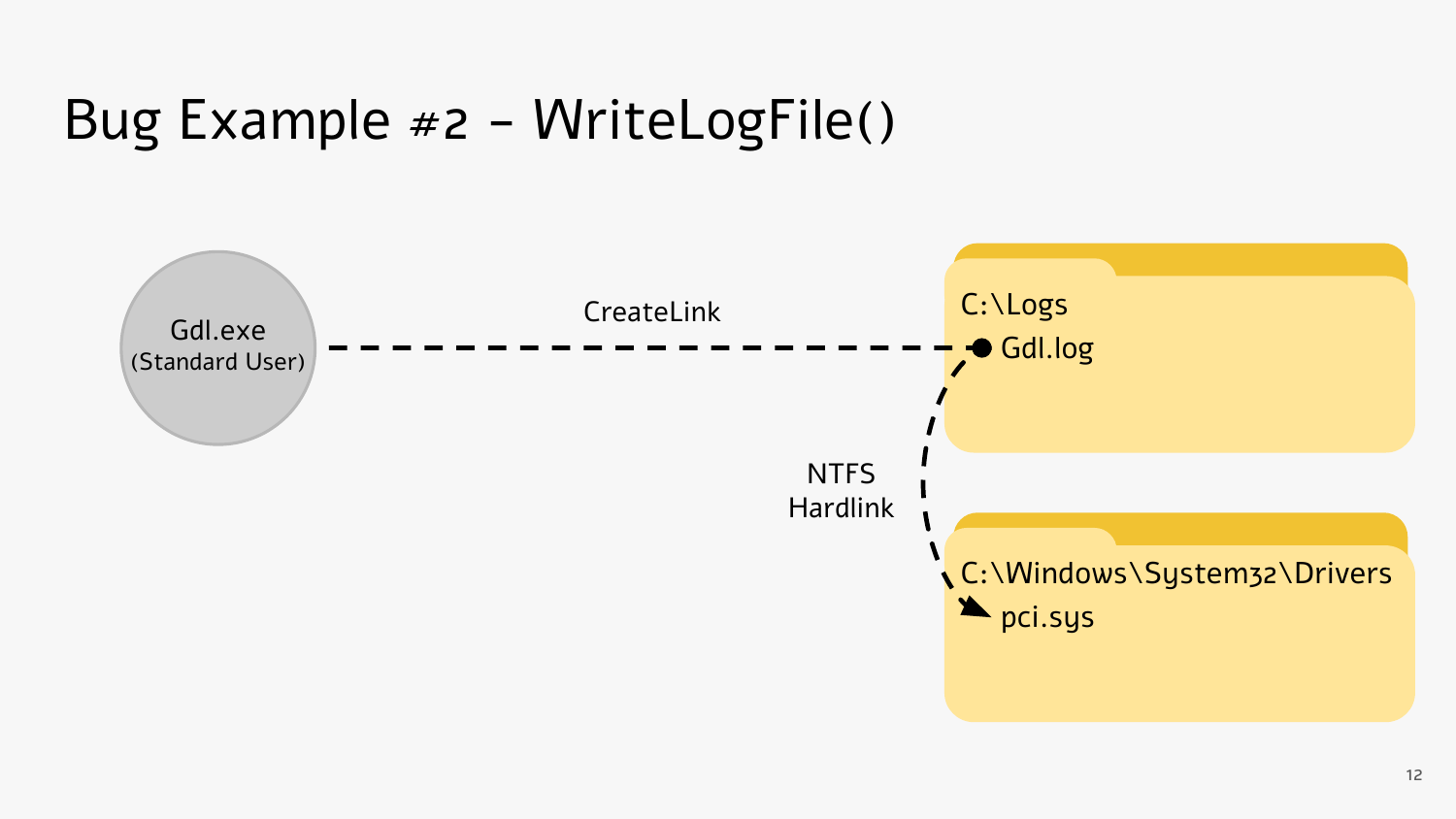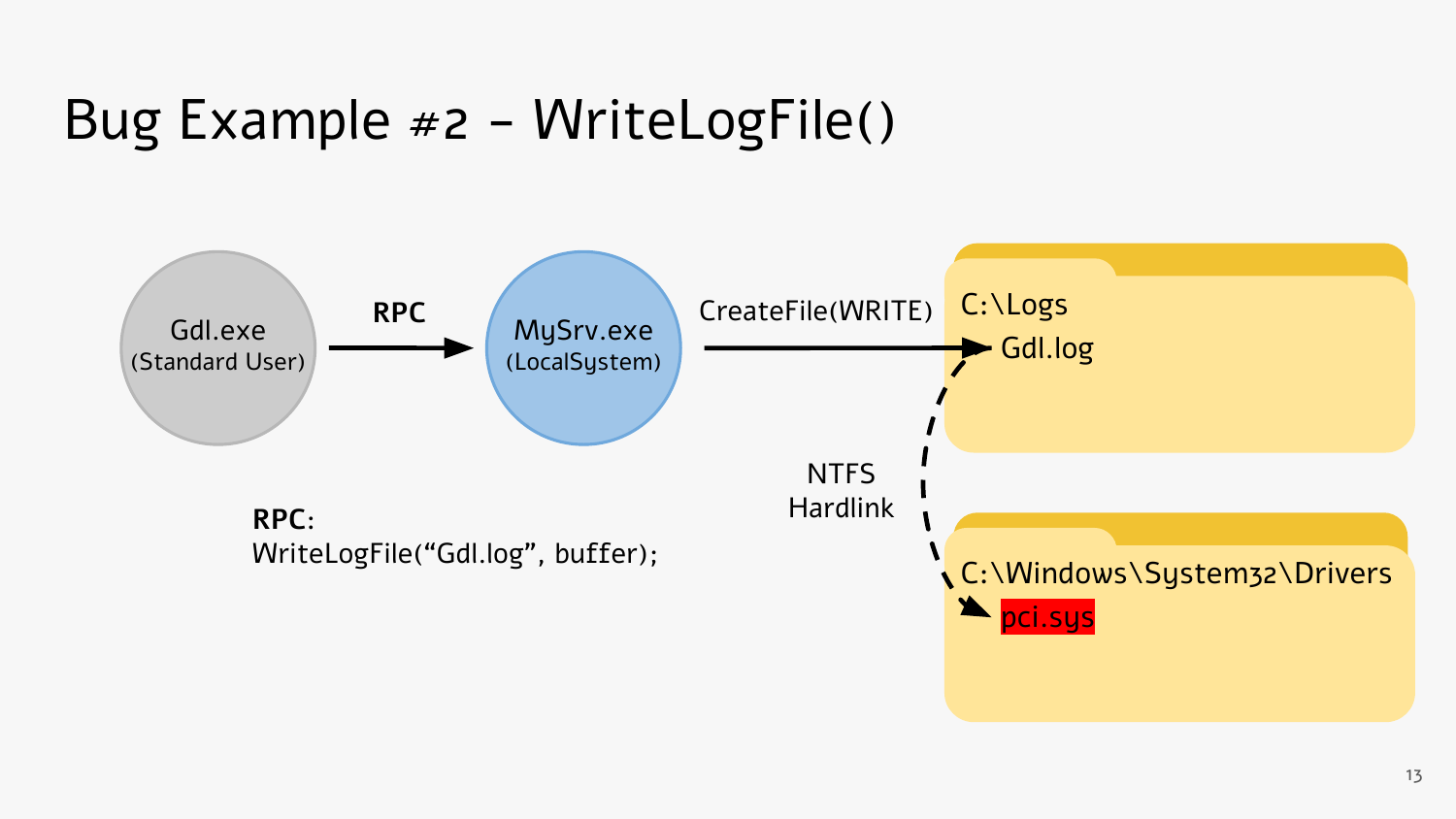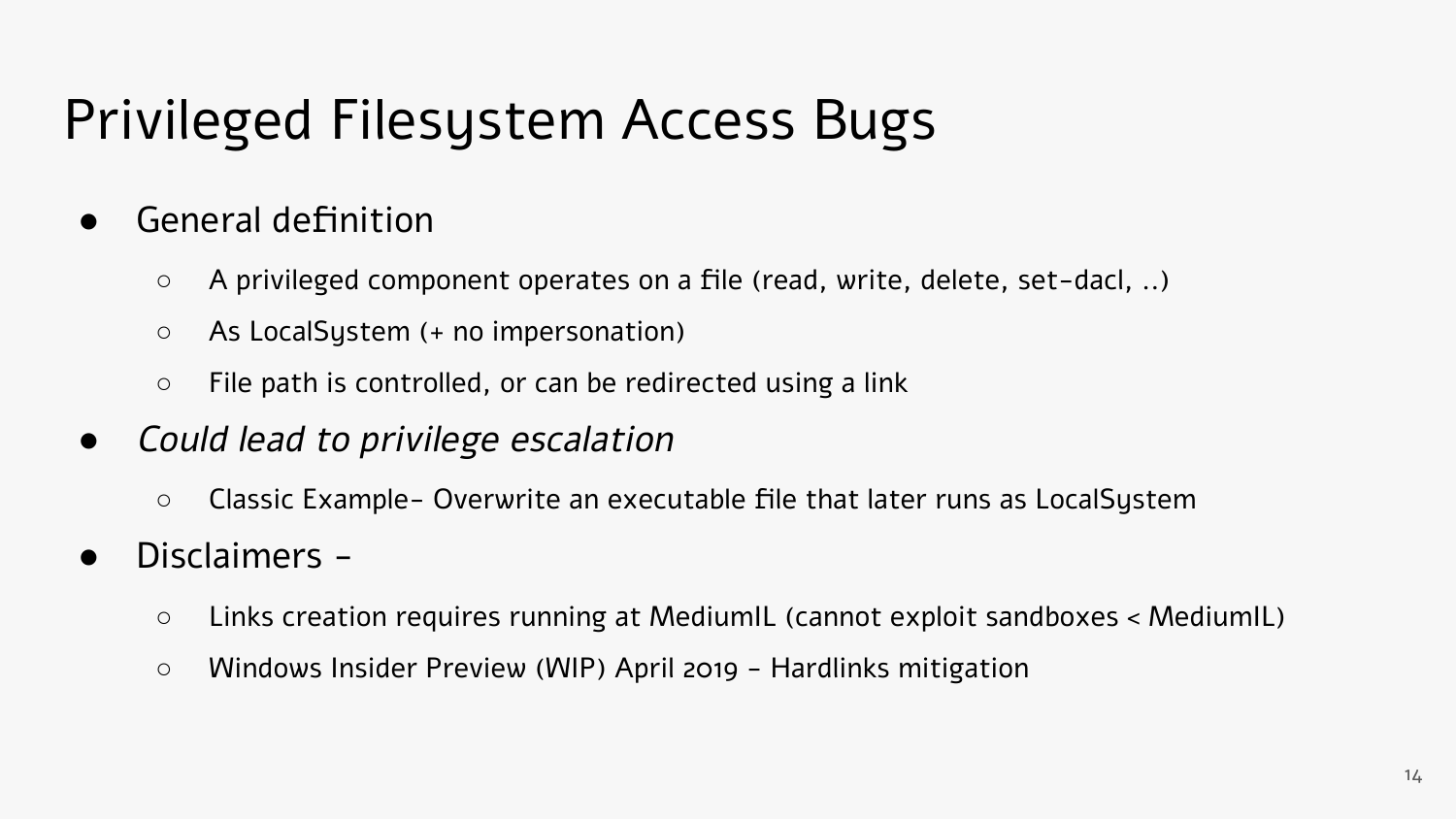#### Privileged Filesystem Access Bugs

- General definition
	- A privileged component operates on a file (read, write, delete, set-dacl, ..)
	- As LocalSystem (+ no impersonation)
	- $\circ$  File path is controlled, or can be redirected using a link
- *●* Could lead to privilege escalation
	- Classic Example- Overwrite an executable file that later runs as LocalSystem
- Disclaimers
	- Links creation requires running at MediumIL (cannot exploit sandboxes < MediumIL)
	- Windows Insider Preview (WIP) April 2019 Hardlinks mitigation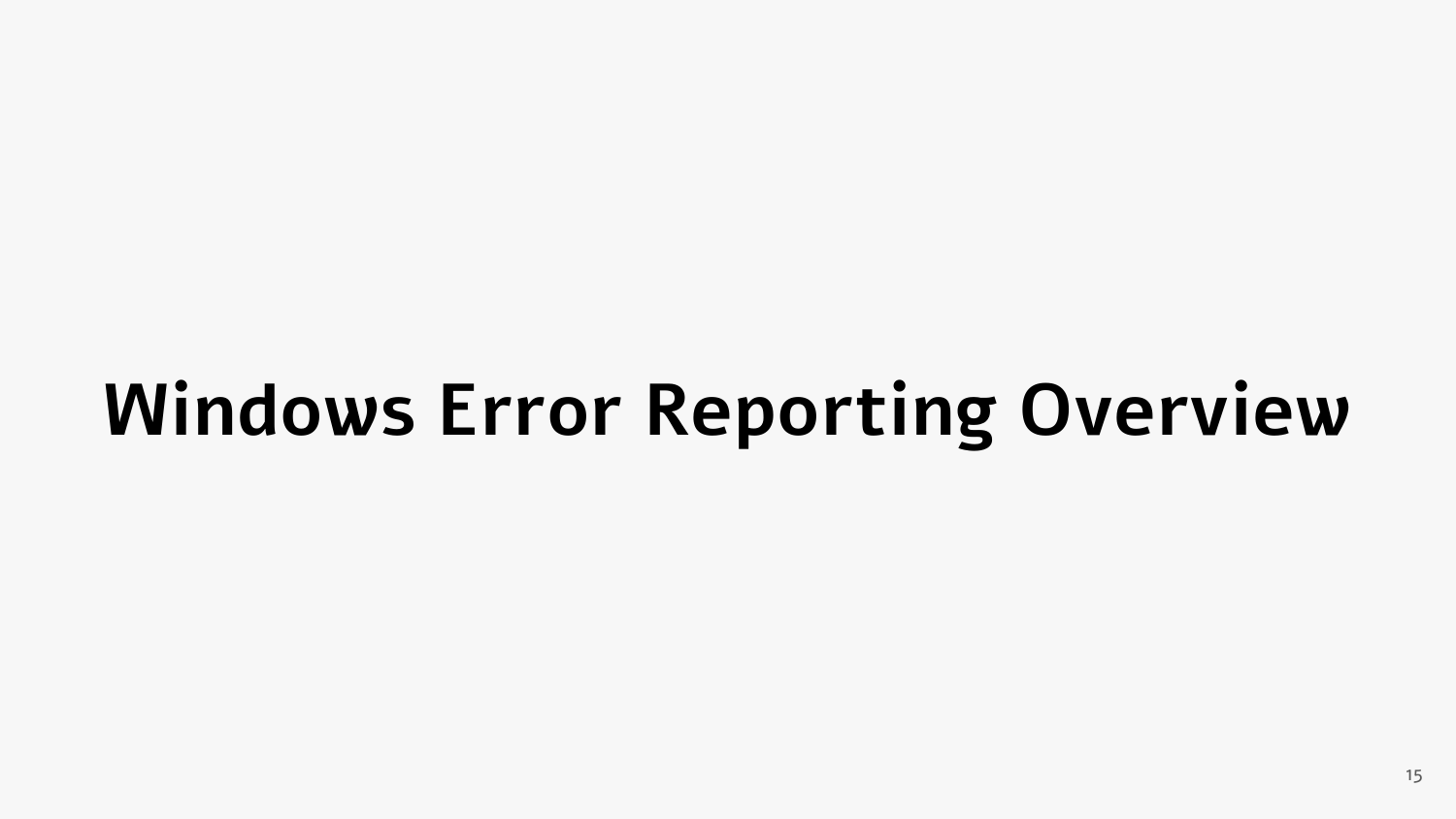## **Windows Error Reporting Overview**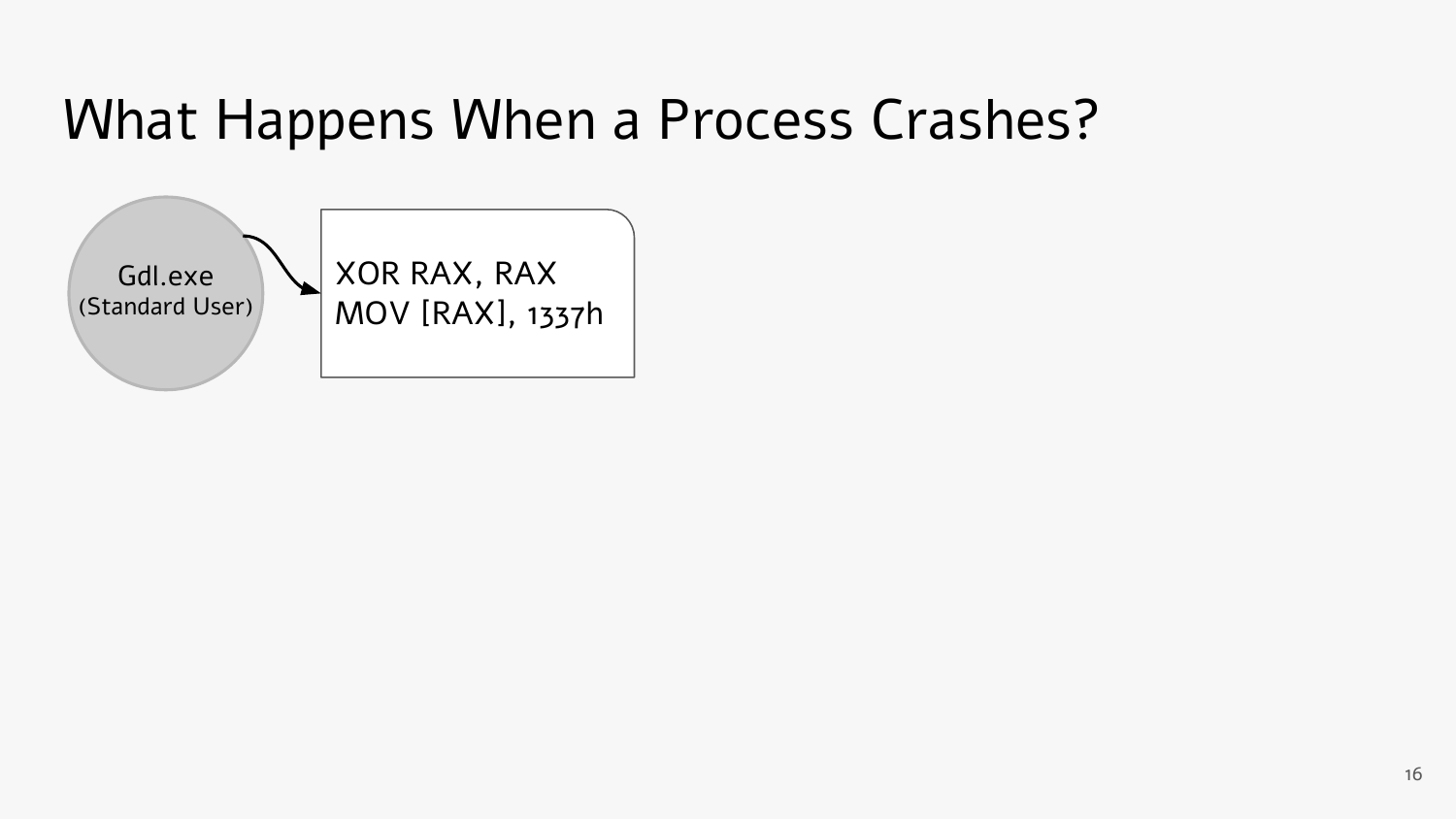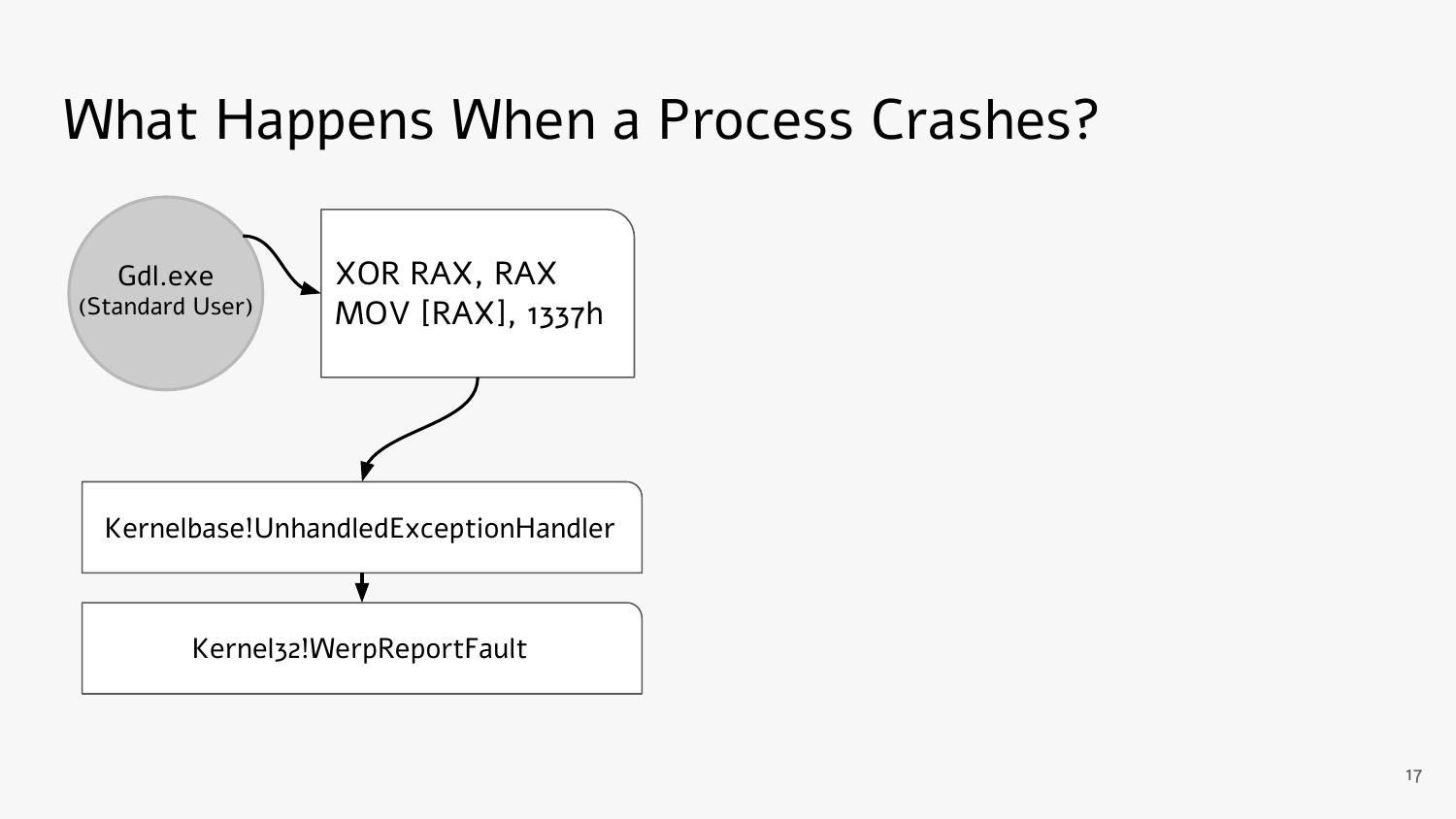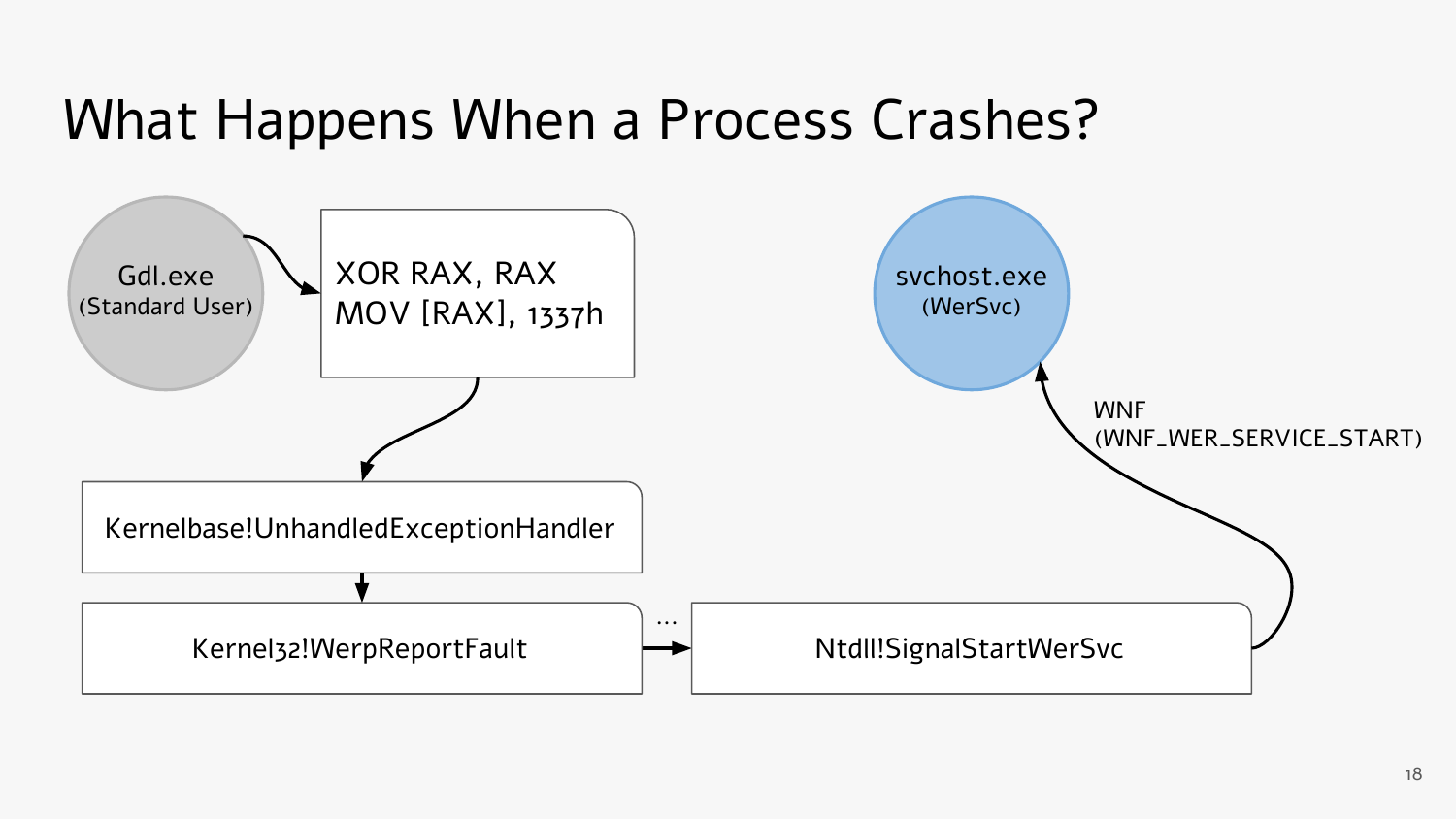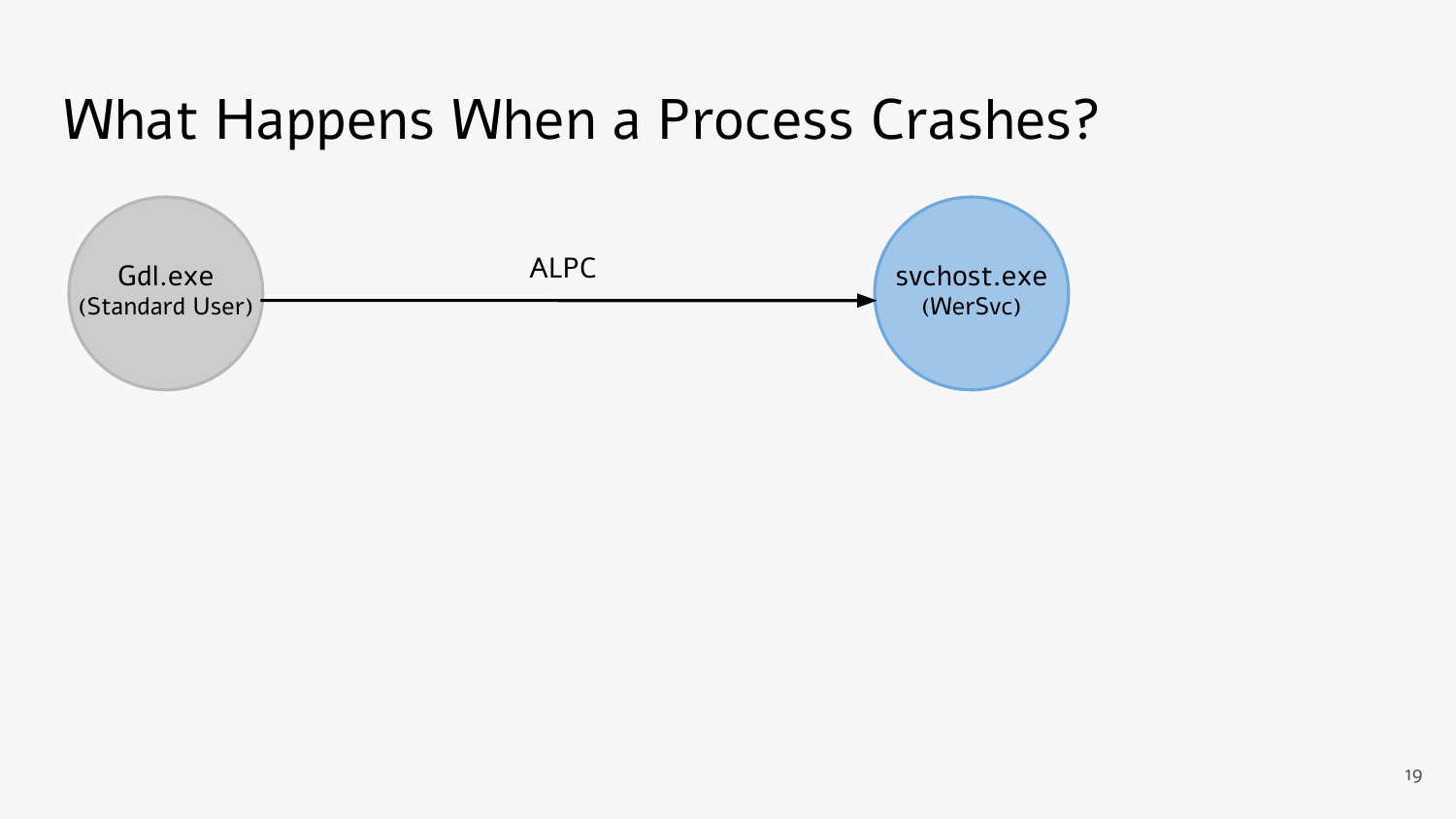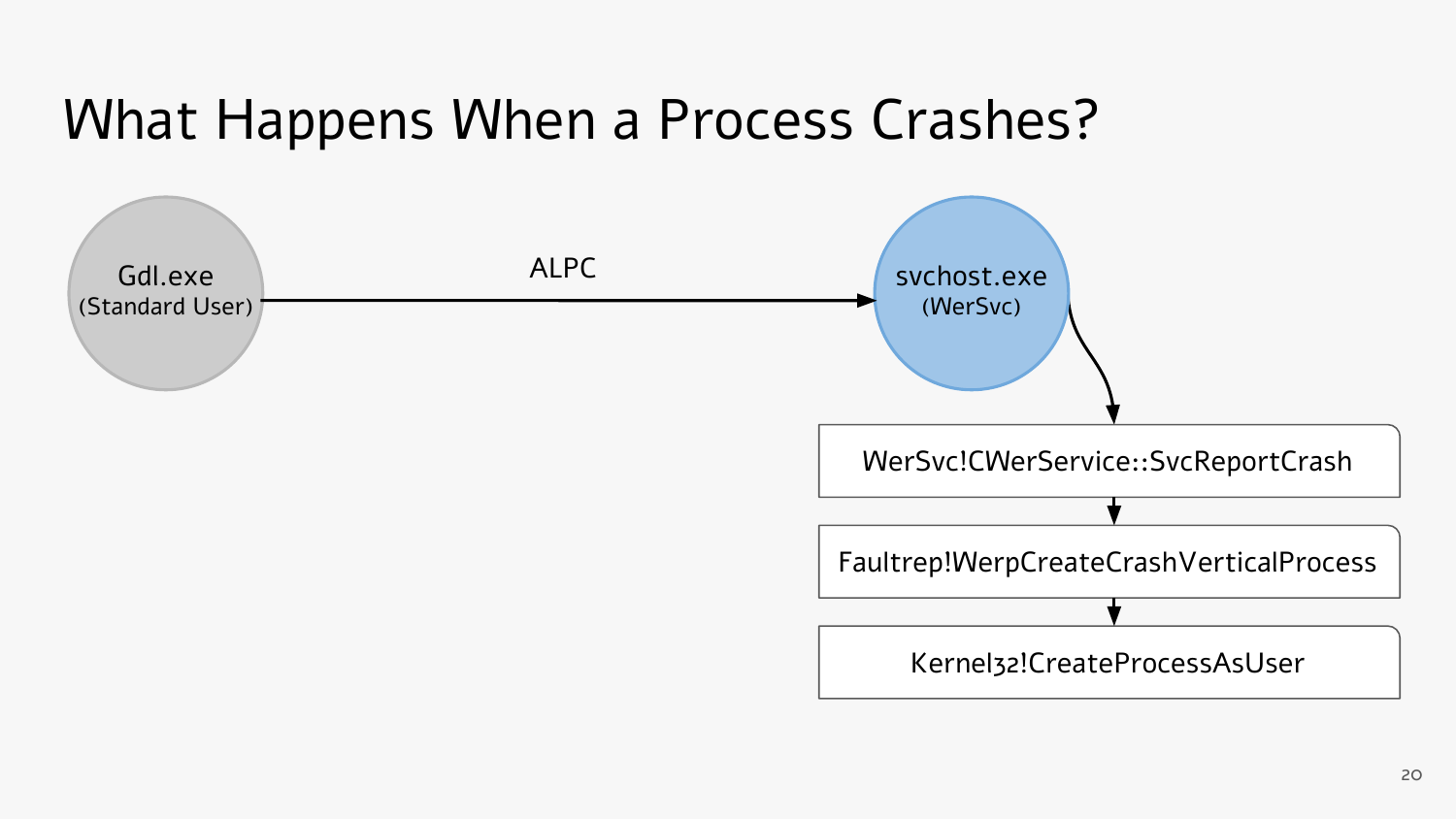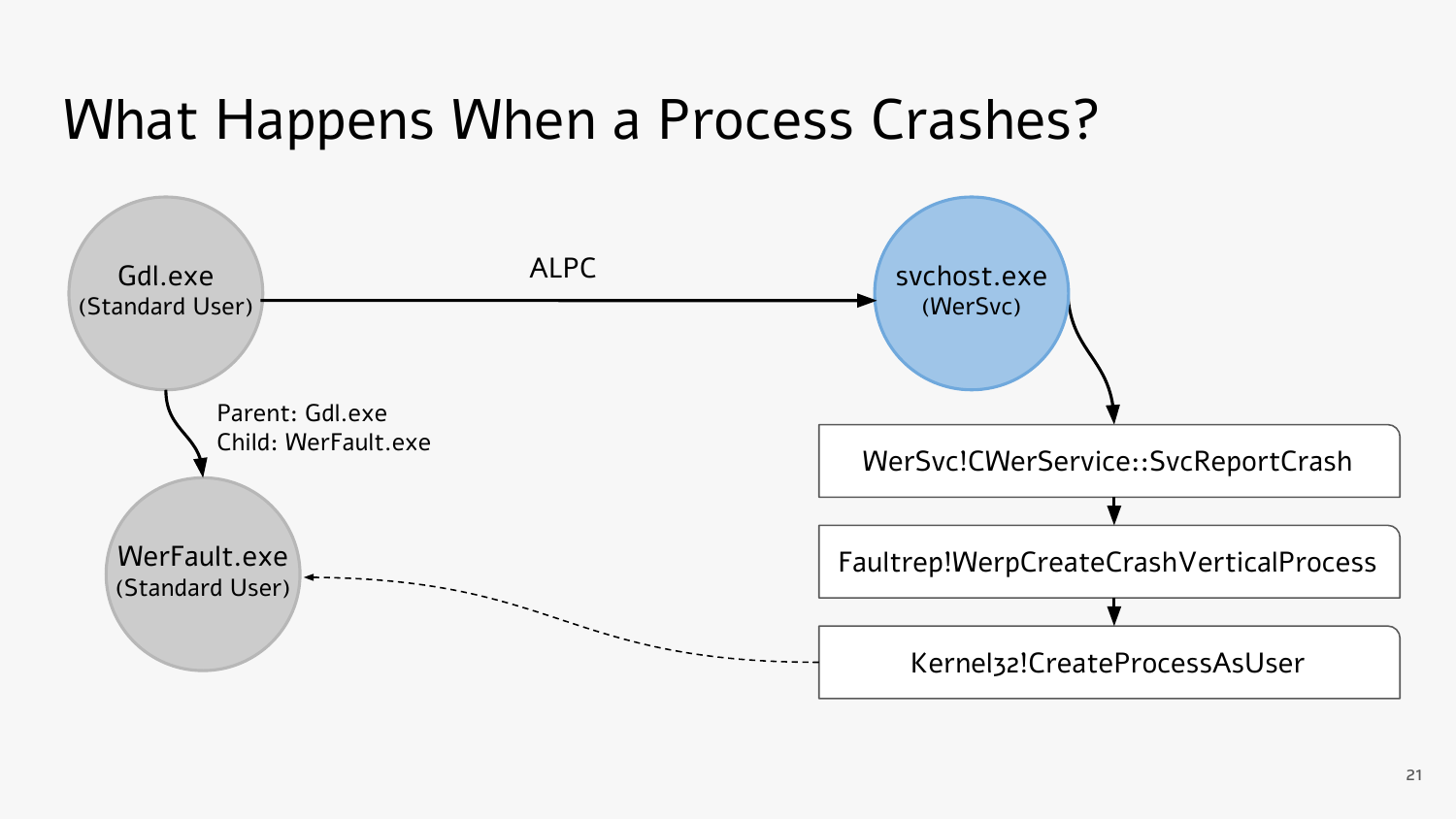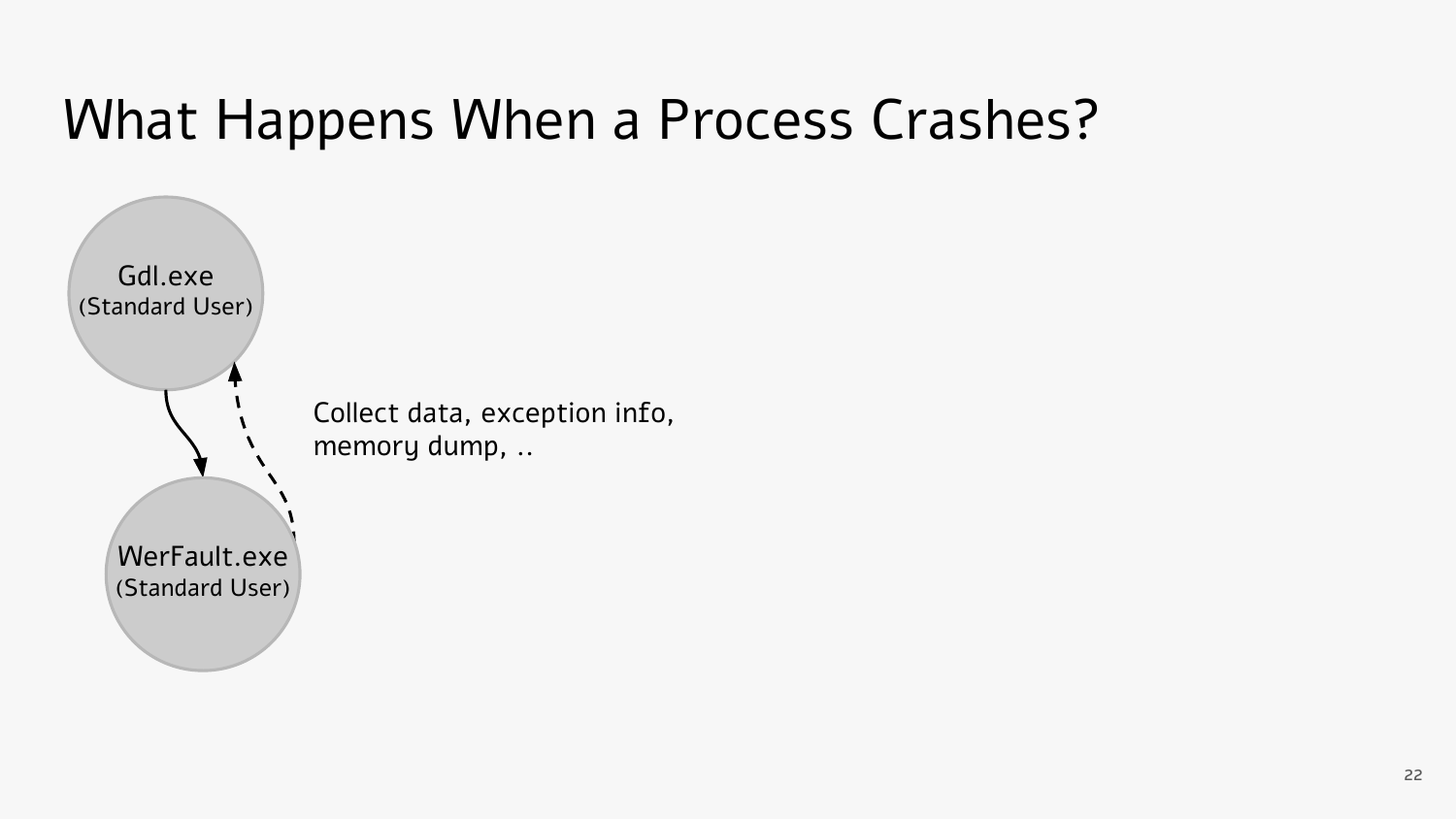

Collect data, exception info, memory dump, ..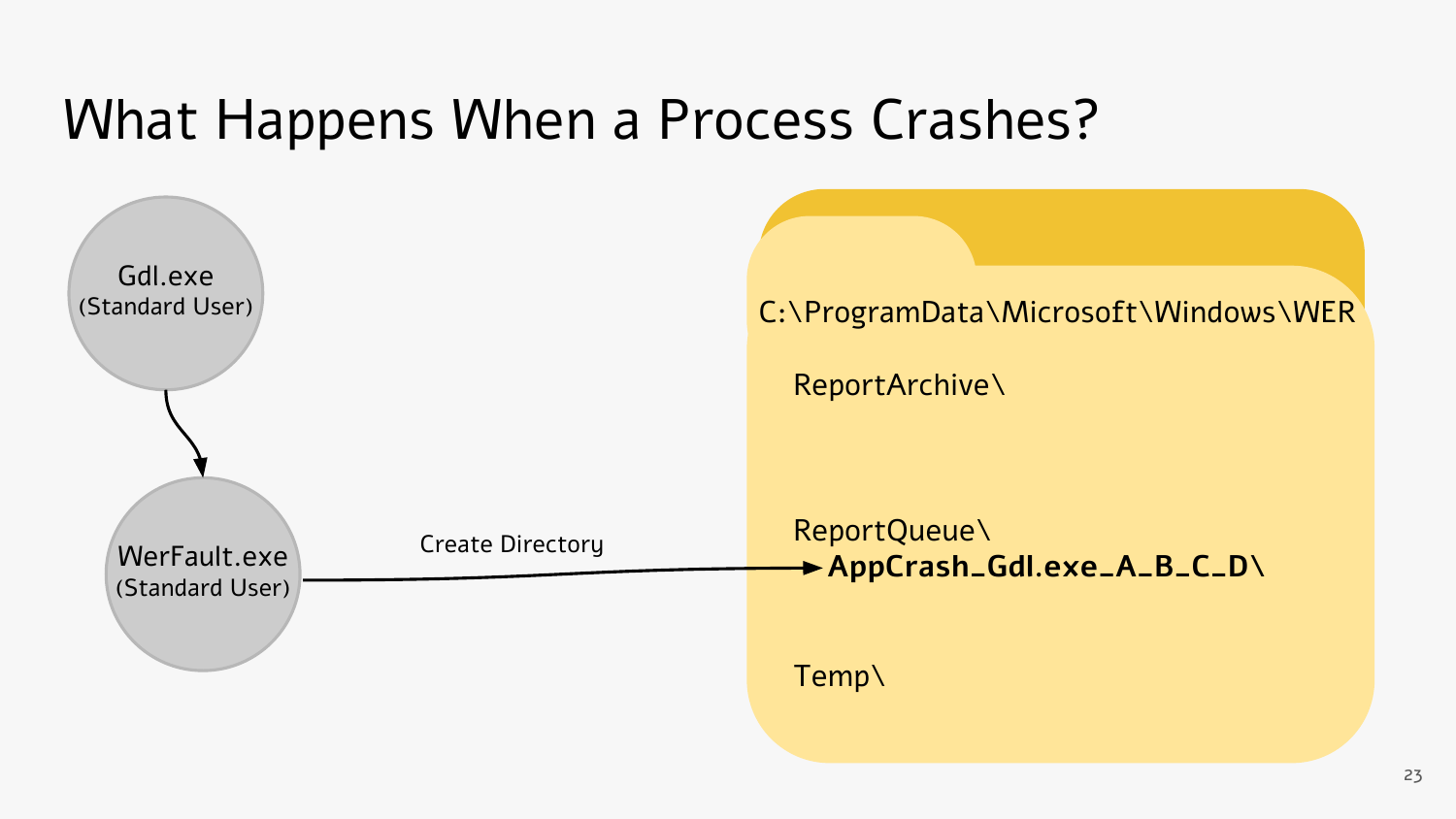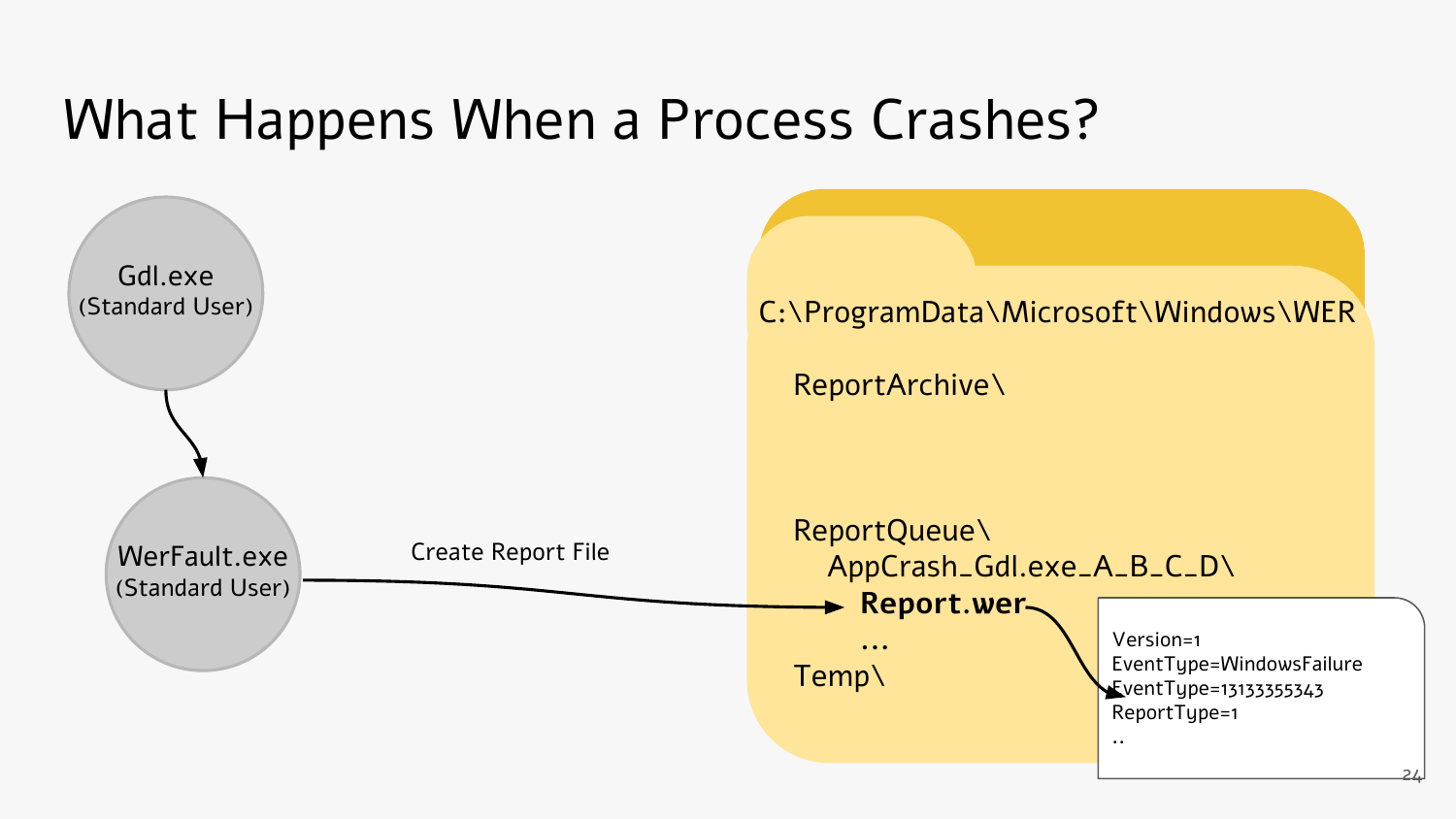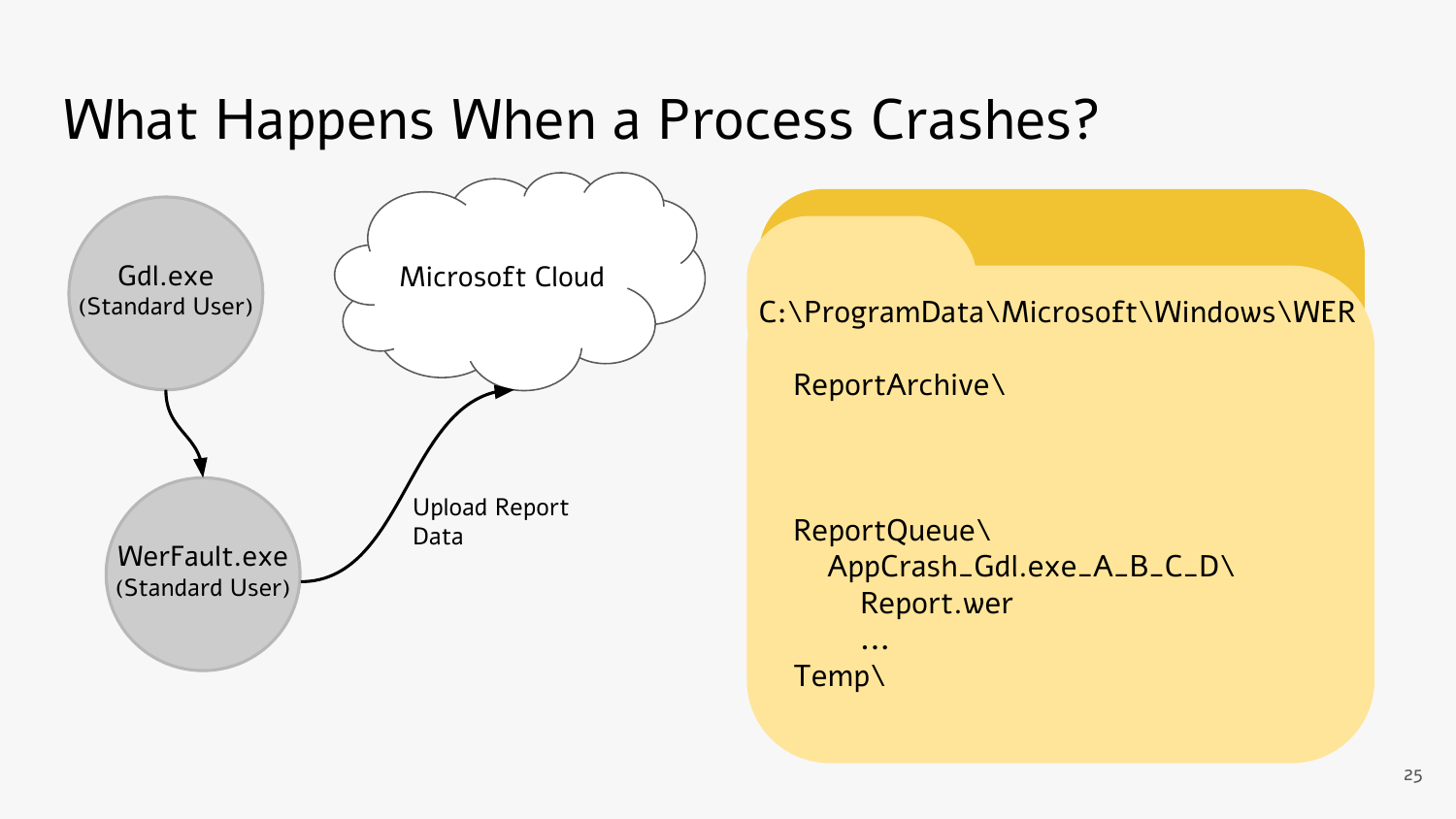

#### C:\ProgramData\Microsoft\Windows\WER

ReportArchive\

 ReportQueue\ AppCrash\_Gdl.exe\_A\_B\_C\_D\ Report.wer

 **...** Temp\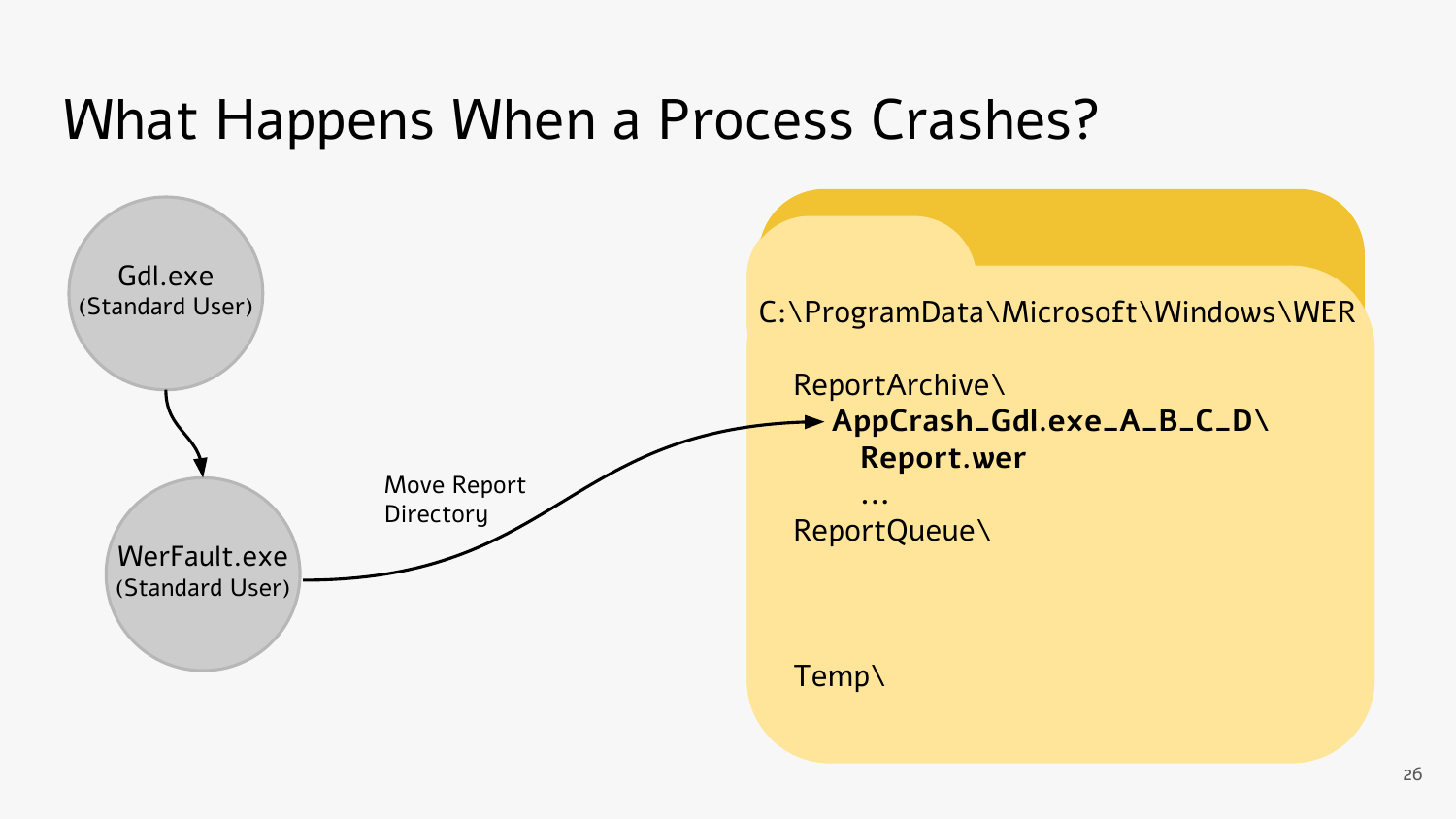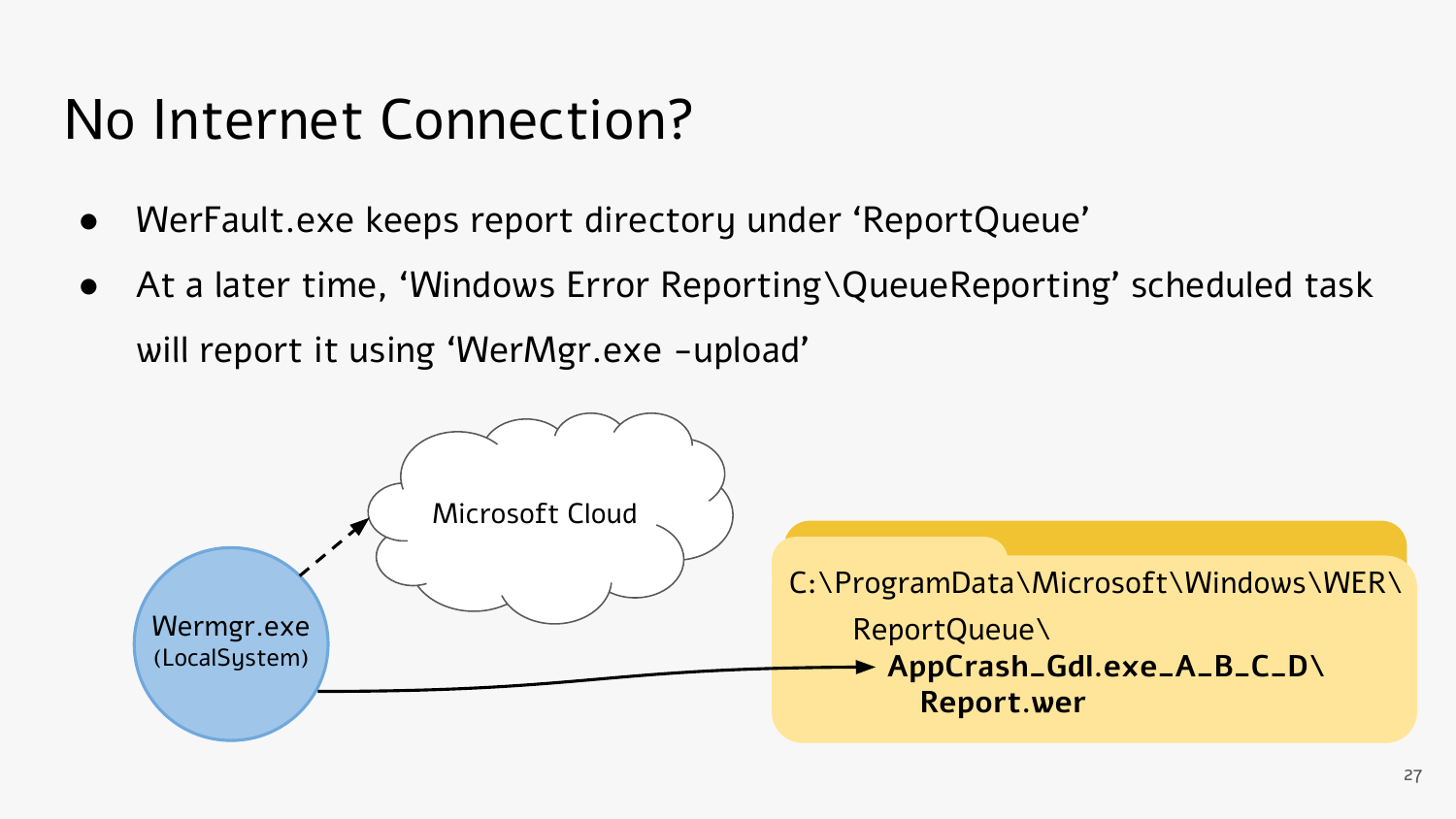#### No Internet Connection?

- WerFault.exe keeps report directory under 'ReportQueue'
- At a later time, 'Windows Error Reporting\QueueReporting' scheduled task will report it using 'WerMgr.exe -upload'

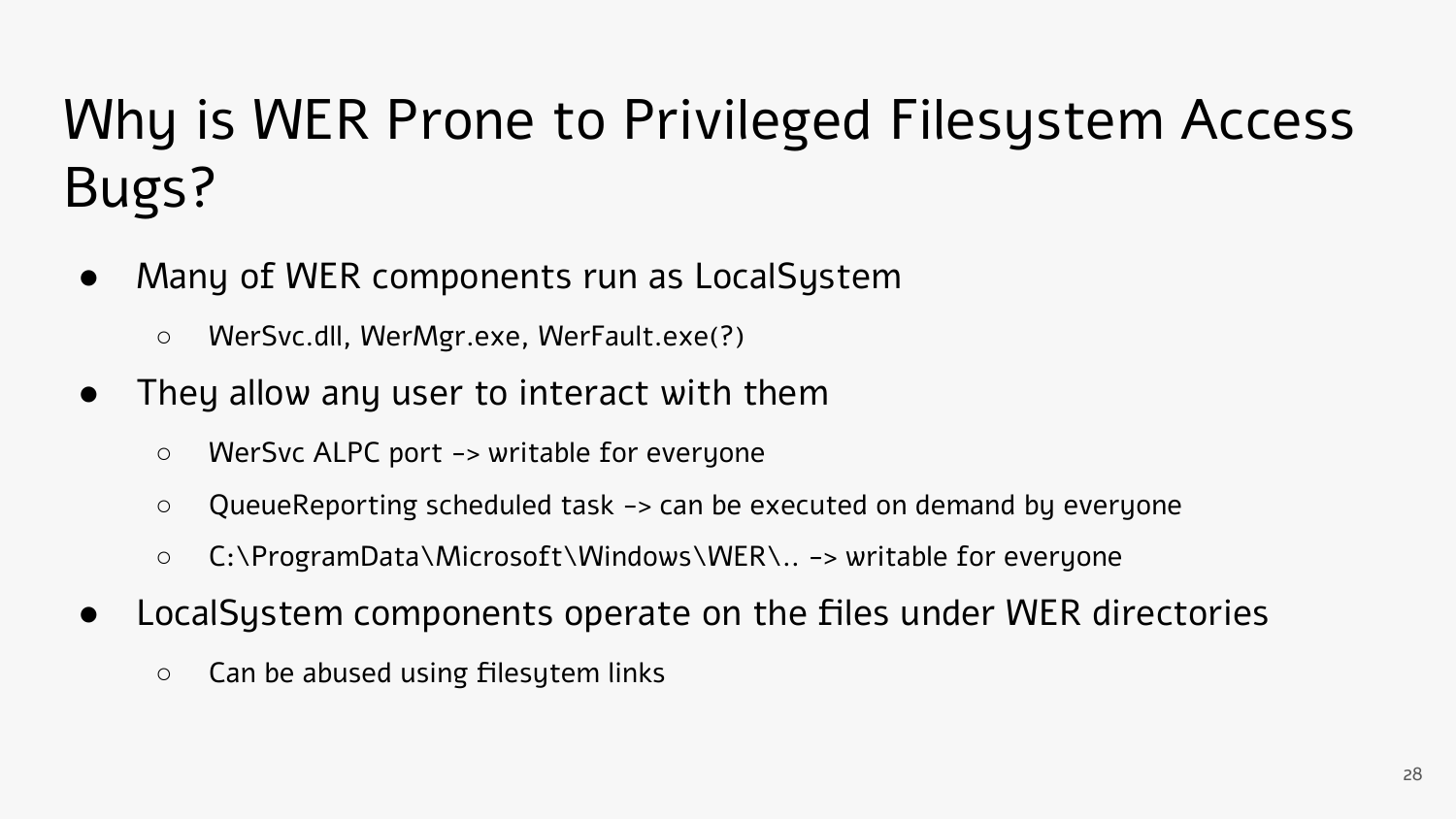### Why is WER Prone to Privileged Filesystem Access Bugs?

- Many of WER components run as LocalSystem
	- WerSvc.dll, WerMgr.exe, WerFault.exe(?)
- They allow any user to interact with them
	- WerSvc ALPC port -> writable for everyone
	- QueueReporting scheduled task -> can be executed on demand by everyone
	- C:\ProgramData\Microsoft\Windows\WER\.. -> writable for everyone
- LocalSystem components operate on the files under WER directories
	- Can be abused using filesytem links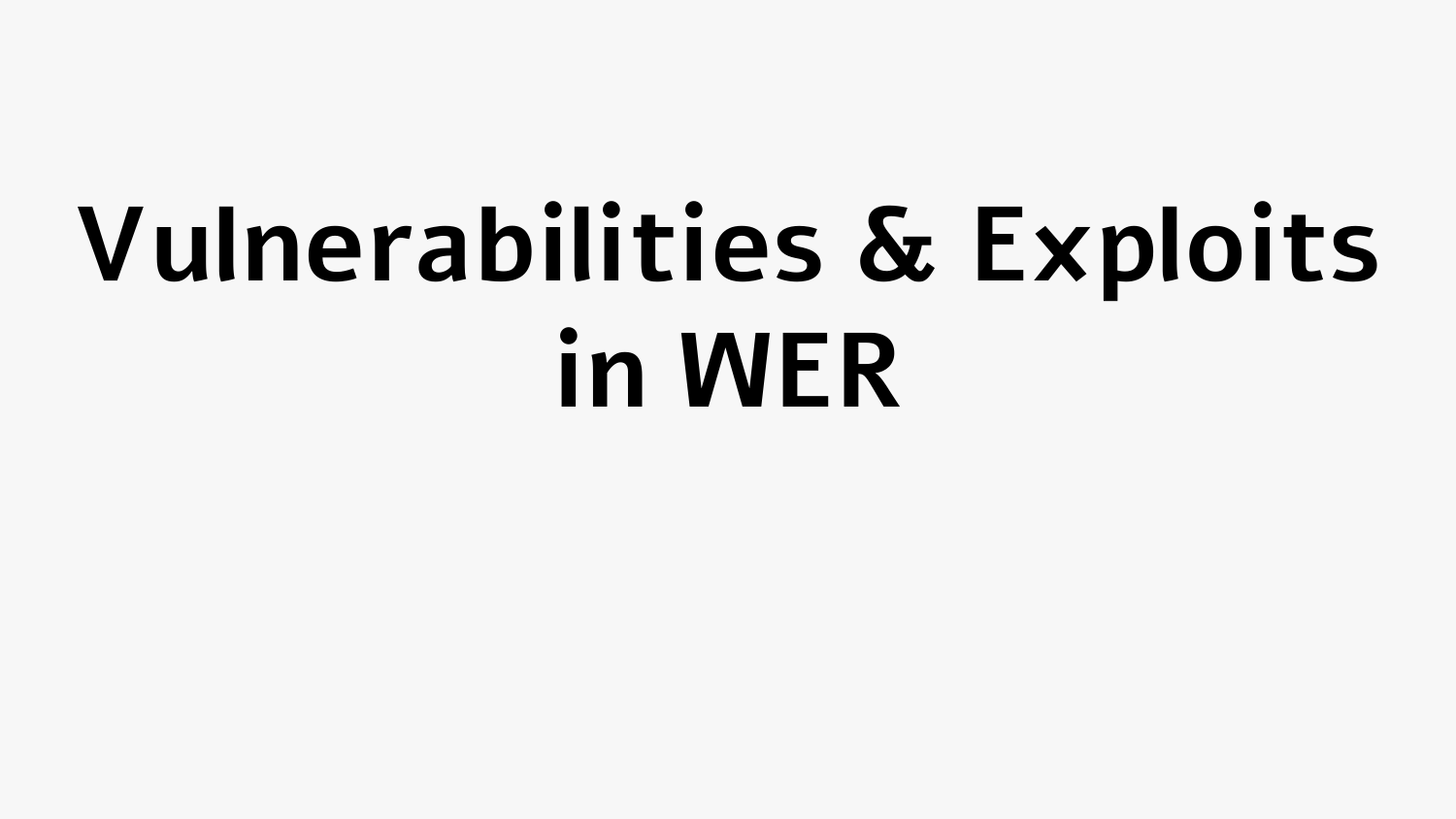# **Vulnerabilities & Exploits in WER**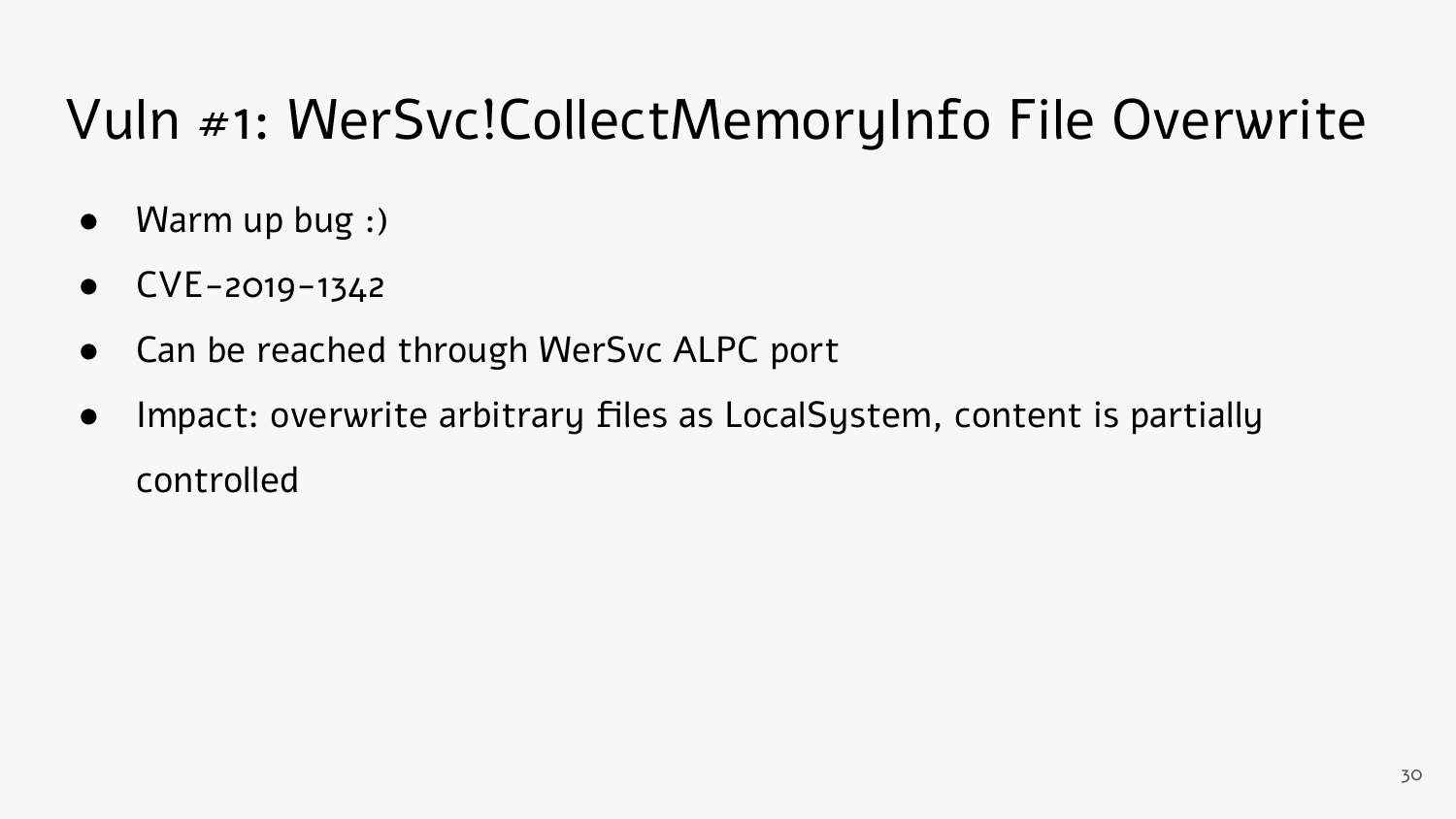#### Vuln #1: WerSvc!CollectMemoryInfo File Overwrite

- Warm up bug :)
- $CVE-2019-1342$
- Can be reached through WerSvc ALPC port
- Impact: overwrite arbitrary files as LocalSystem, content is partially controlled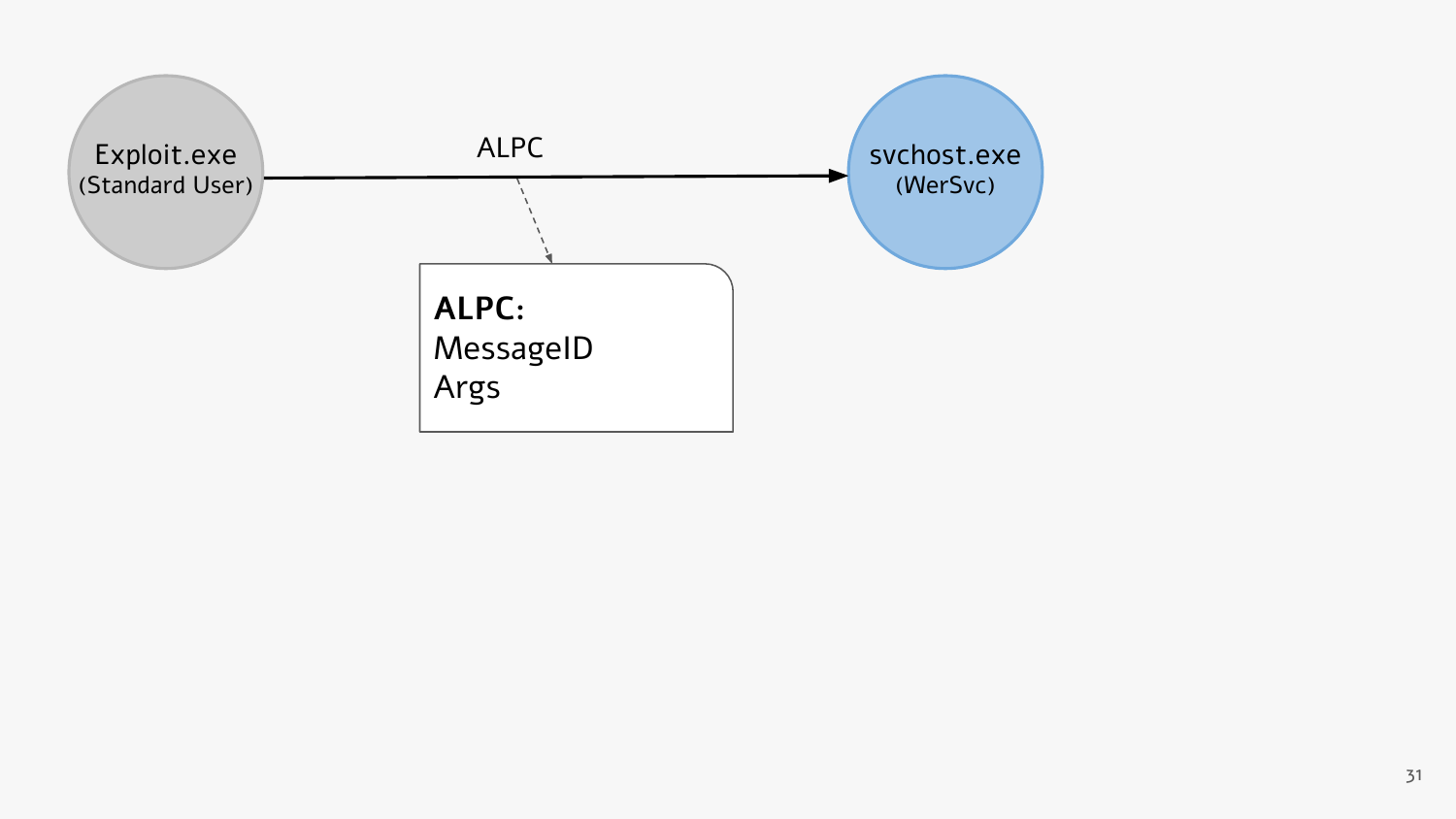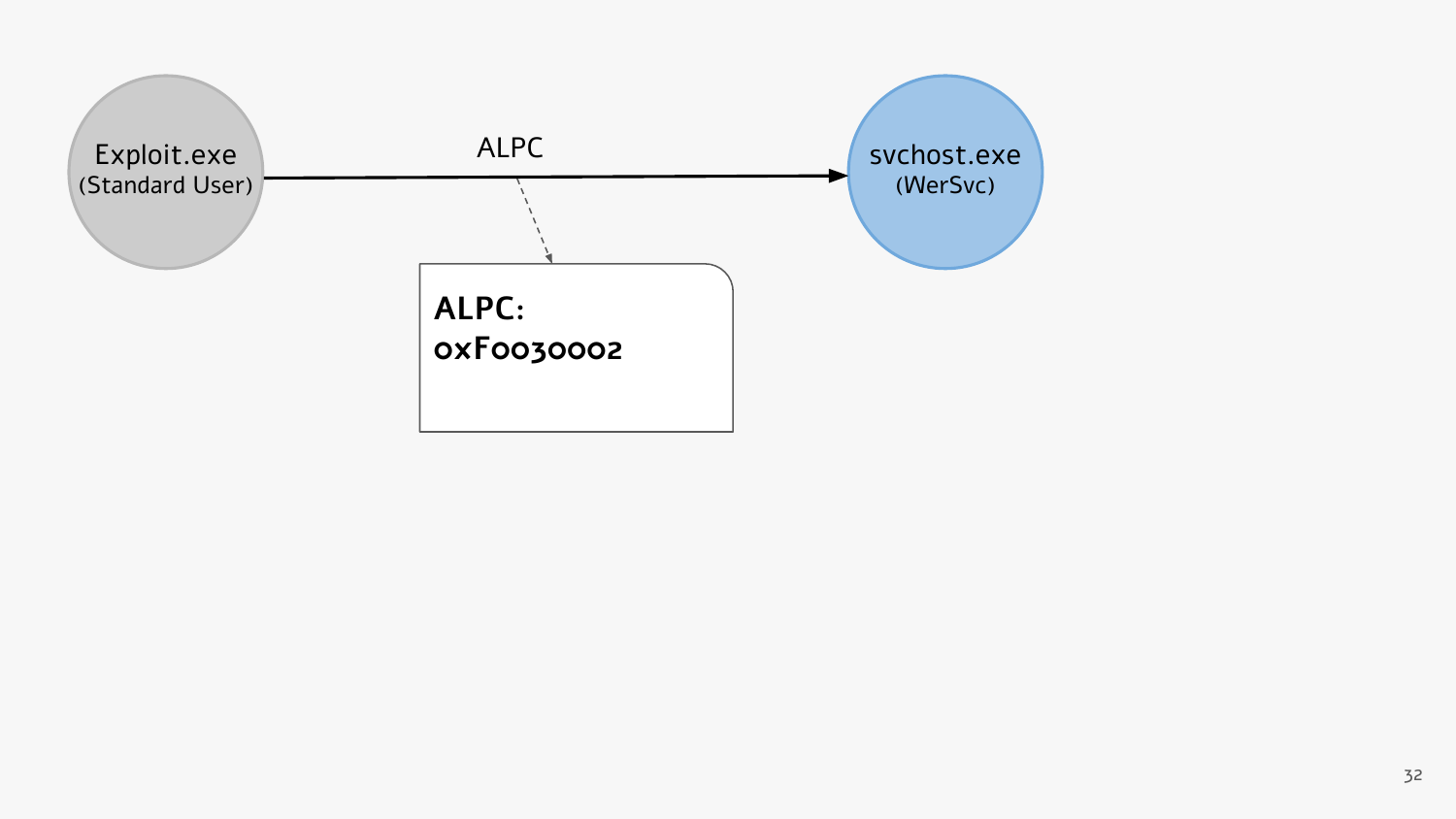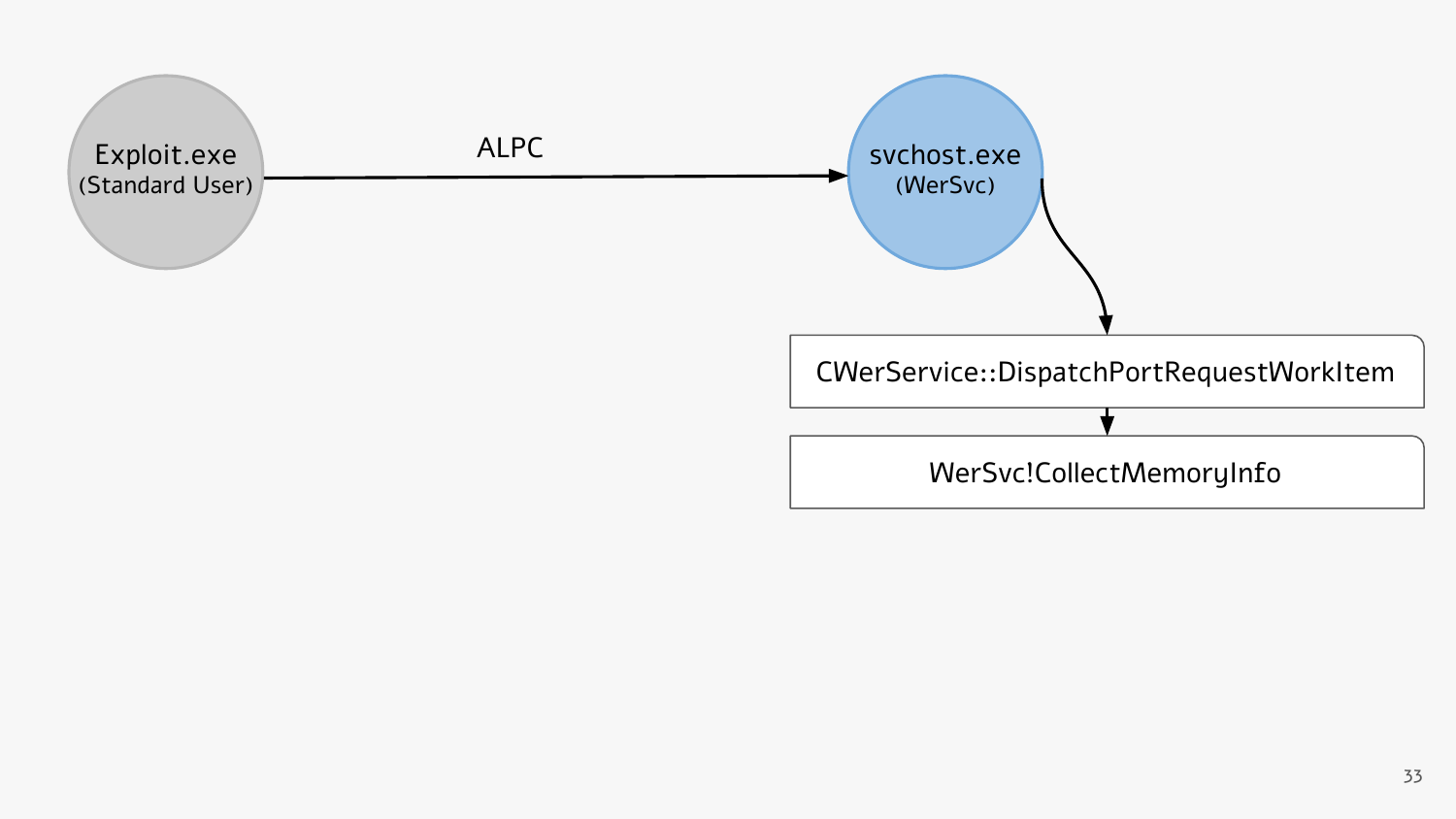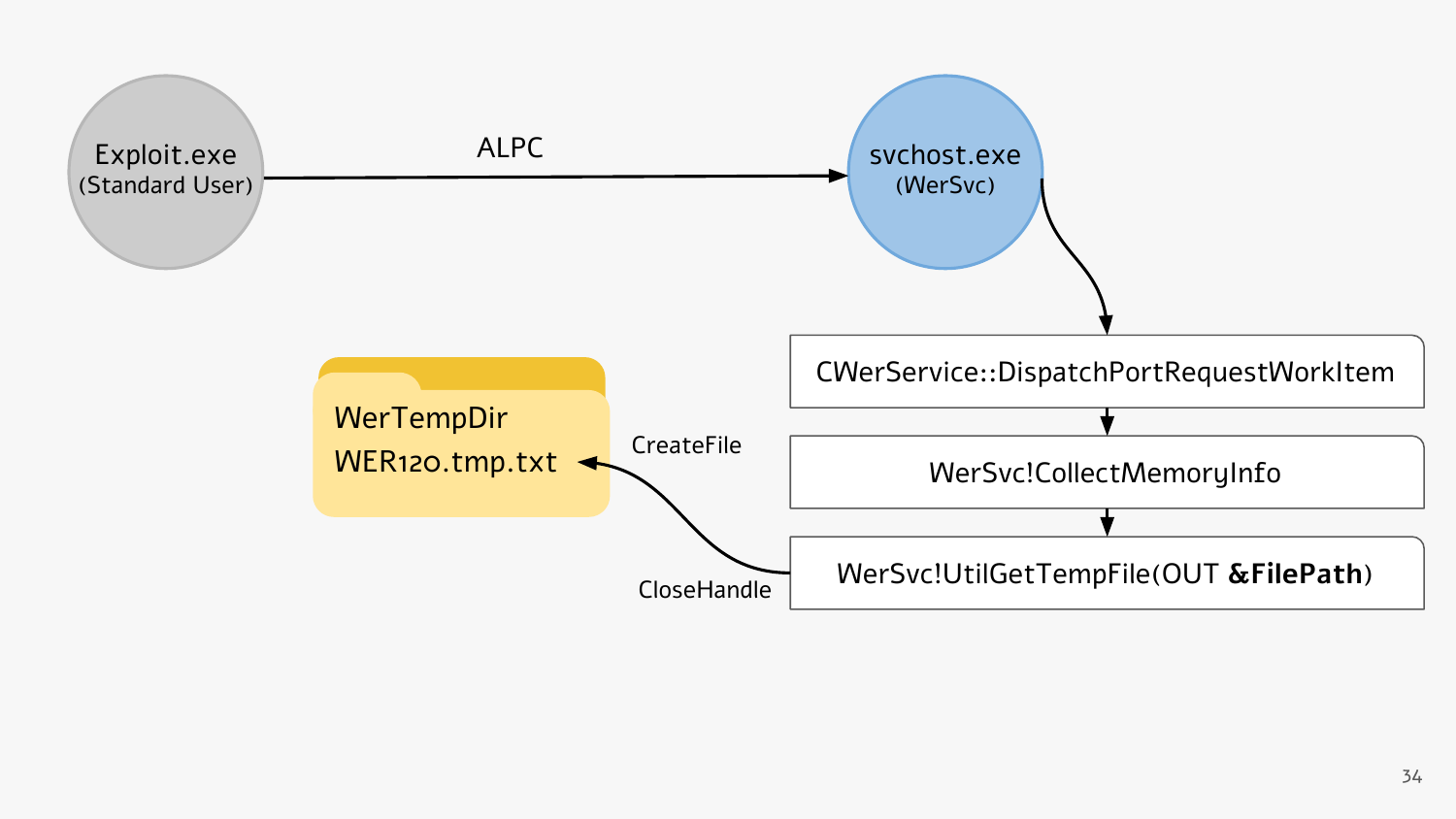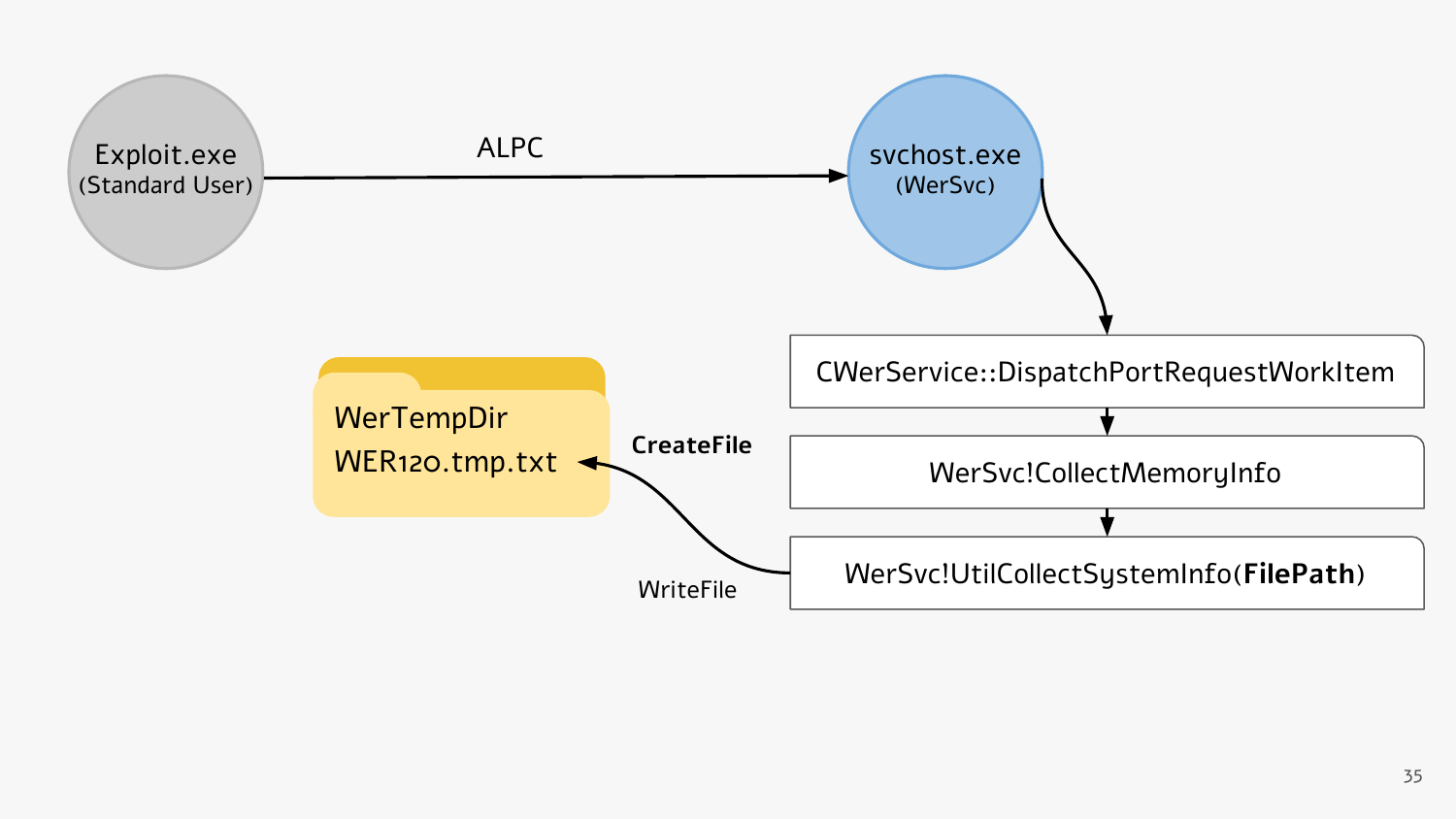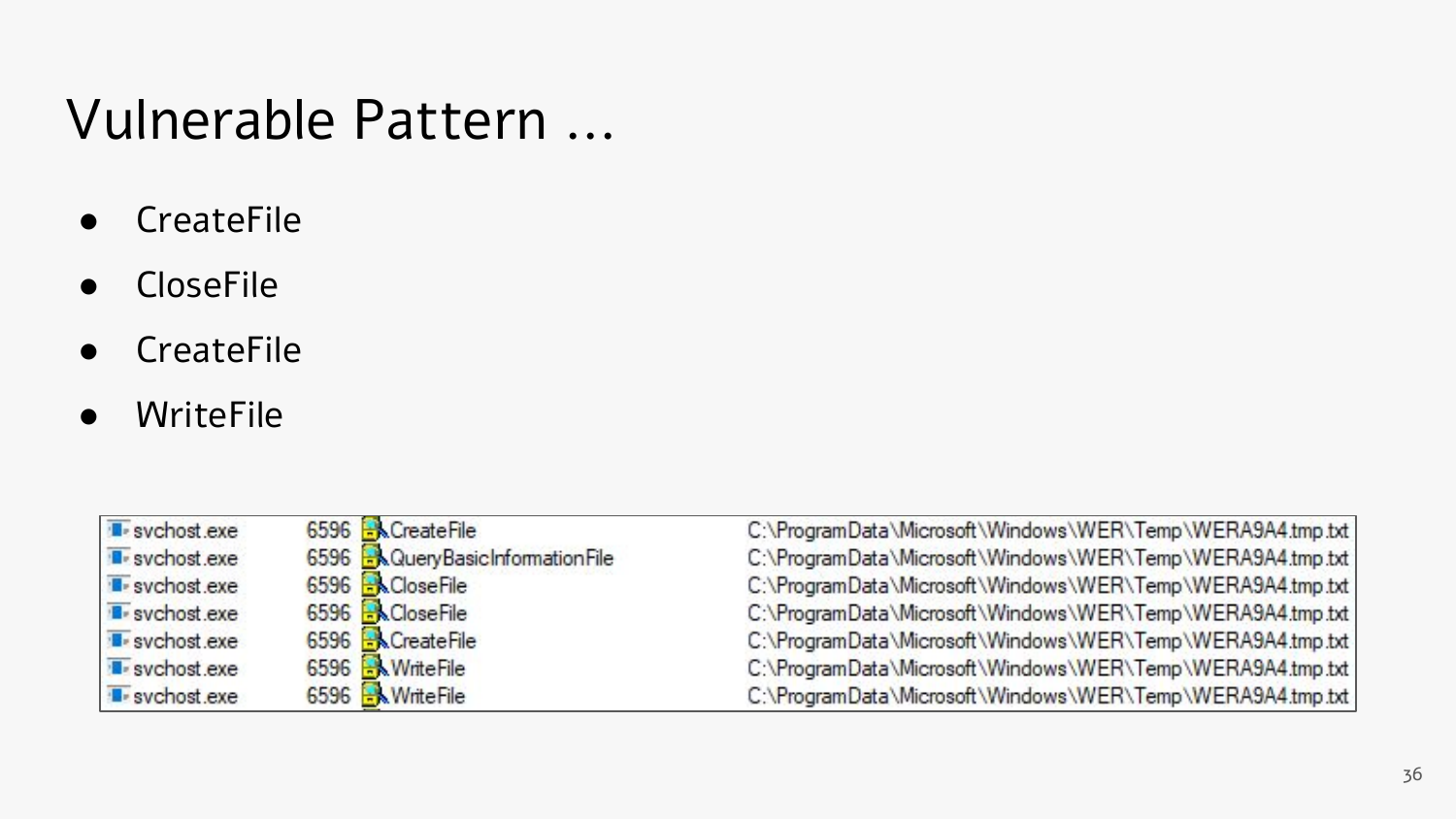#### Vulnerable Pattern ...

- CreateFile
- CloseFile
- CreateFile
- WriteFile

| 6596 R CreateFile<br>svchost.exe<br>6596 R Query Basic Information File<br>svchost.exe<br>6596 R&CloseFile<br><b>E</b> -svchost.exe<br>6596 R&CloseFile<br><b>B</b> -svchost.exe<br>6596 R CreateFile<br>svchost.exe<br>6596 WriteFile<br>svchost.exe<br>6596 Millerlie<br>svchost.exe |  |                                                           |
|----------------------------------------------------------------------------------------------------------------------------------------------------------------------------------------------------------------------------------------------------------------------------------------|--|-----------------------------------------------------------|
|                                                                                                                                                                                                                                                                                        |  | C:\ProgramData\Microsoft\Windows\WER\Temp\WERA9A4.tmp.txt |
|                                                                                                                                                                                                                                                                                        |  | C:\ProgramData\Microsoft\Windows\WER\Temp\WERA9A4.tmp.txt |
|                                                                                                                                                                                                                                                                                        |  | C:\ProgramData\Microsoft\Windows\WER\Temp\WERA9A4.tmp.txt |
|                                                                                                                                                                                                                                                                                        |  | C:\ProgramData\Microsoft\Windows\WER\Temp\WERA9A4.tmp.txt |
|                                                                                                                                                                                                                                                                                        |  | C:\ProgramData\Microsoft\Windows\WER\Temp\WERA9A4.tmp.txt |
|                                                                                                                                                                                                                                                                                        |  | C:\ProgramData\Microsoft\Windows\WER\Temp\WERA9A4.tmp.txt |
|                                                                                                                                                                                                                                                                                        |  | C:\ProgramData\Microsoft\Windows\WER\Temp\WERA9A4.tmp.txt |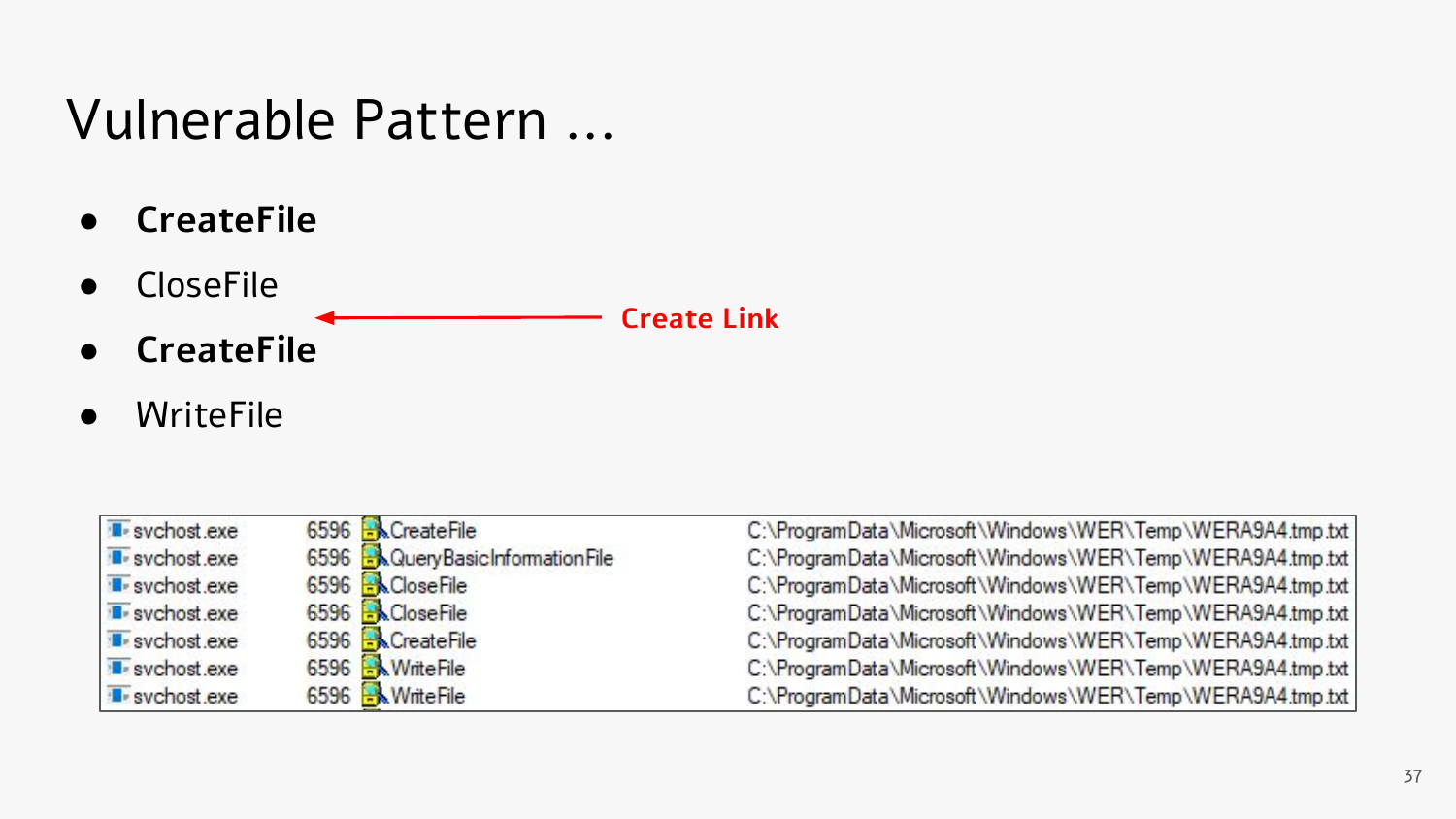#### Vulnerable Pattern ...

- **● CreateFile**
- CloseFile
- **● CreateFile**
- WriteFile

| svchost.exe           | 6596 R. CreateFile               | C:\ProgramData\Microsoft\Windows\WER\Temp\WERA9A4.tmp.txt |
|-----------------------|----------------------------------|-----------------------------------------------------------|
| <b>I</b> svchost exe  | 6596 R&QueryBasicInformationFile | C:\ProgramData\Microsoft\Windows\WER\Temp\WERA9A4.tmp.txt |
| <b>B</b> -svchost.exe | 6596 <b>ACloseFile</b>           | C:\ProgramData\Microsoft\Windows\WER\Temp\WERA9A4.tmp.txt |
| <b>B</b> -svchost.exe | 6596 <b>RACloseFile</b>          | C:\ProgramData\Microsoft\Windows\WER\Temp\WERA9A4.tmp.txt |
| sychost.exe           | 6596 RCreateFile                 | C:\ProgramData\Microsoft\Windows\WER\Temp\WERA9A4.tmp.txt |
| svchost.exe           | 6596 WriteFile                   | C:\ProgramData\Microsoft\Windows\WER\Temp\WERA9A4.tmp.txt |
| <b>E</b> -svchost.exe | 6596 MiteFile                    | C:\ProgramData\Microsoft\Windows\WER\Temp\WERA9A4.tmp.txt |
|                       |                                  |                                                           |

**Create Link**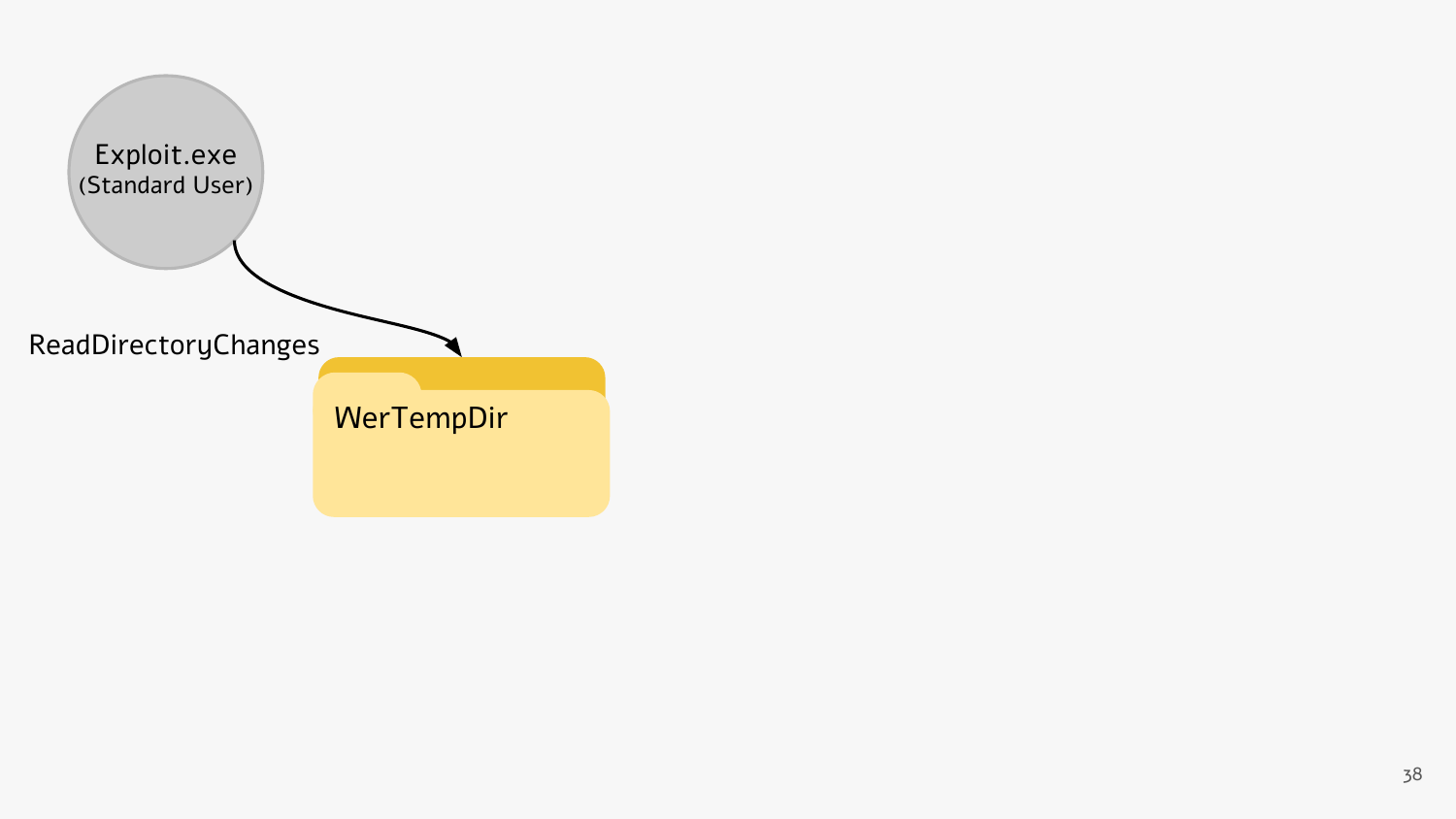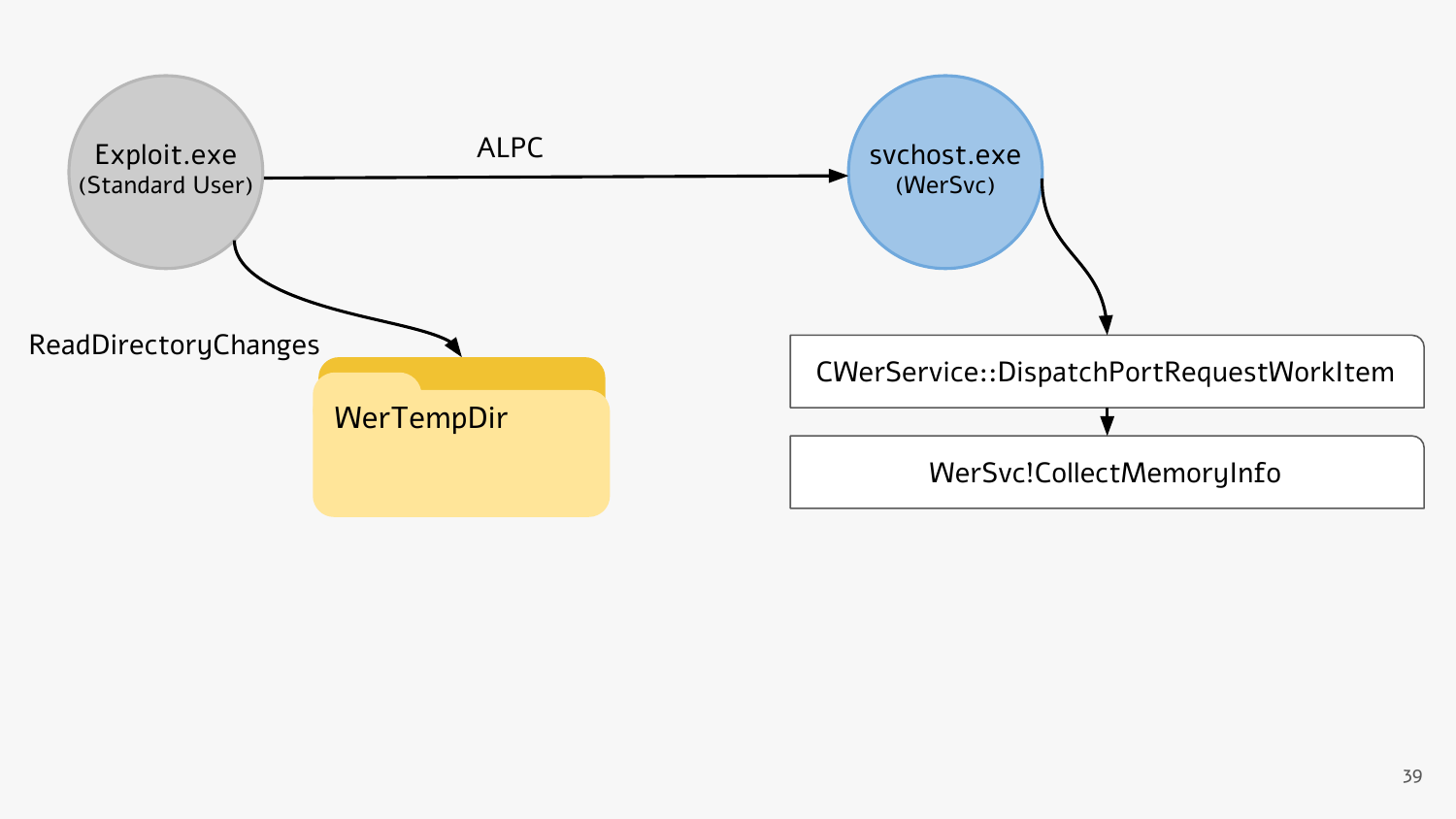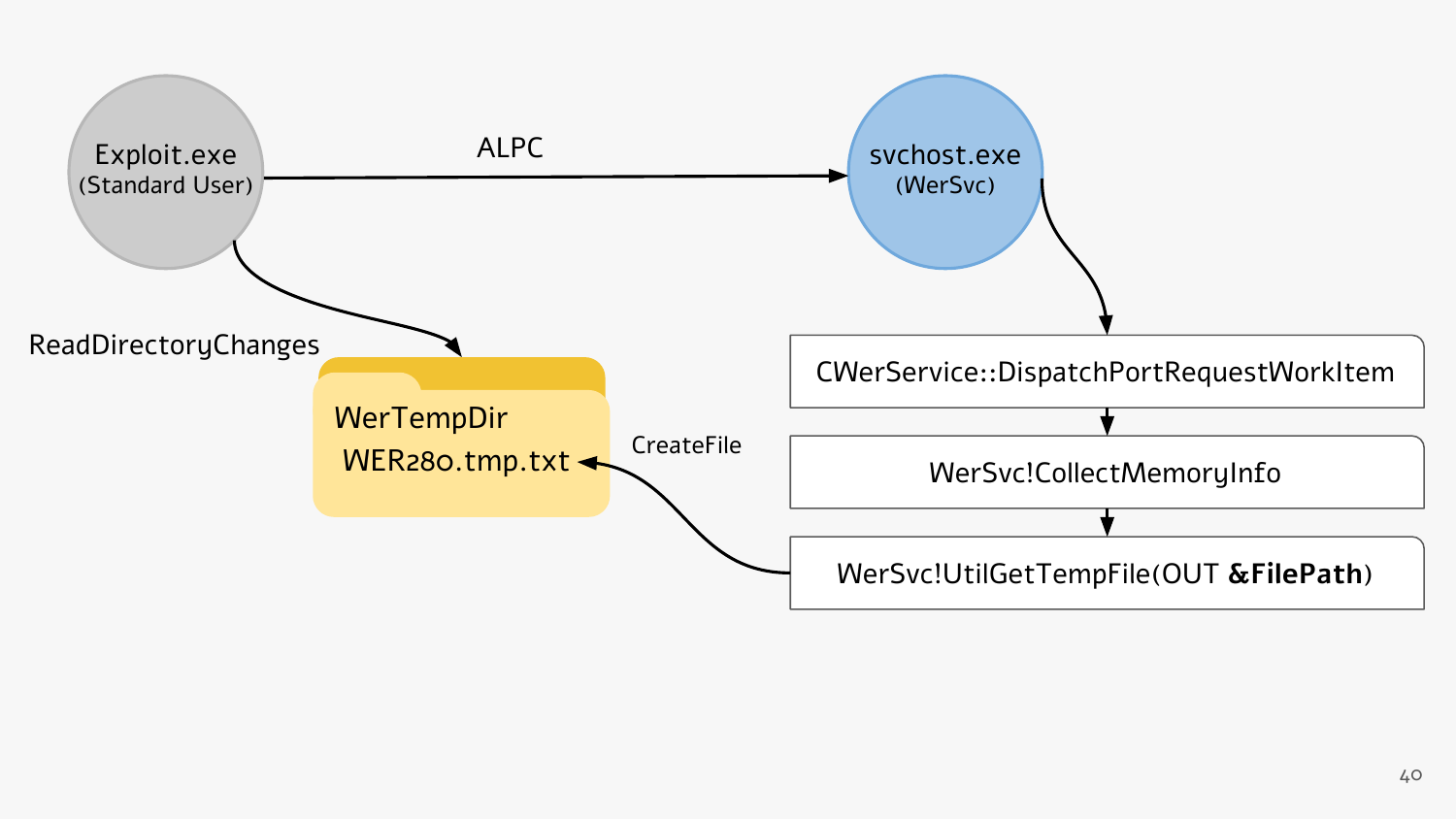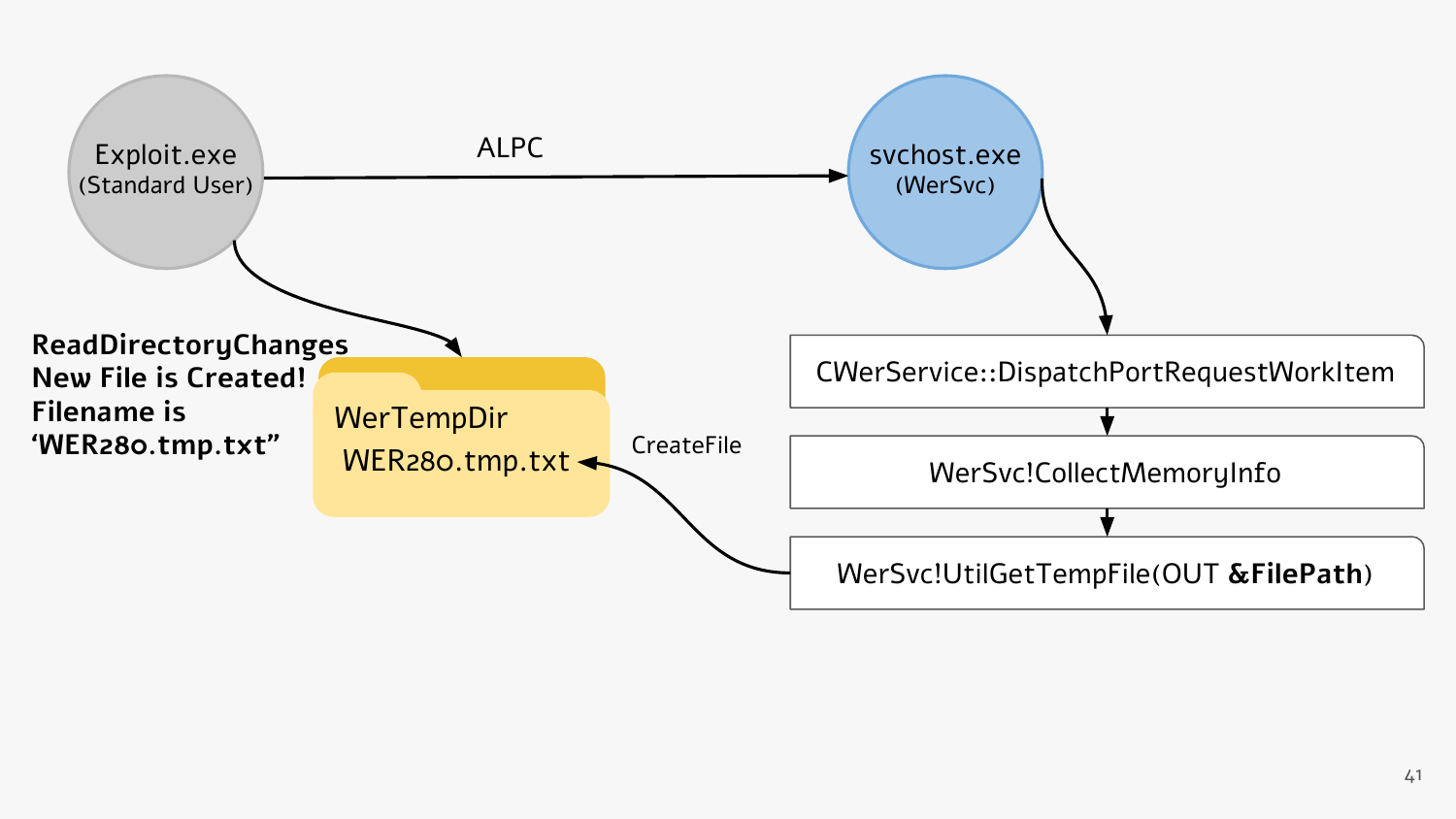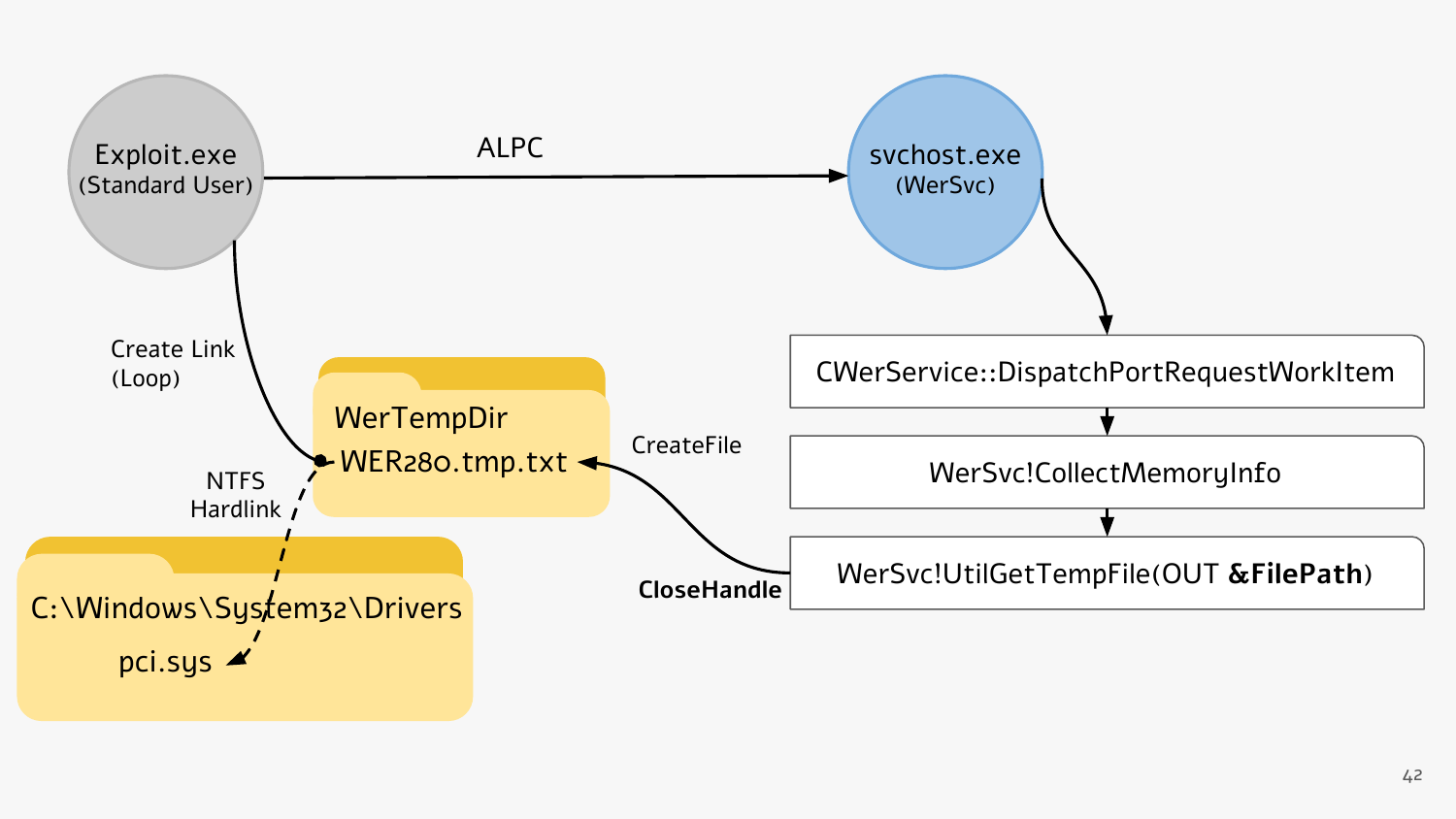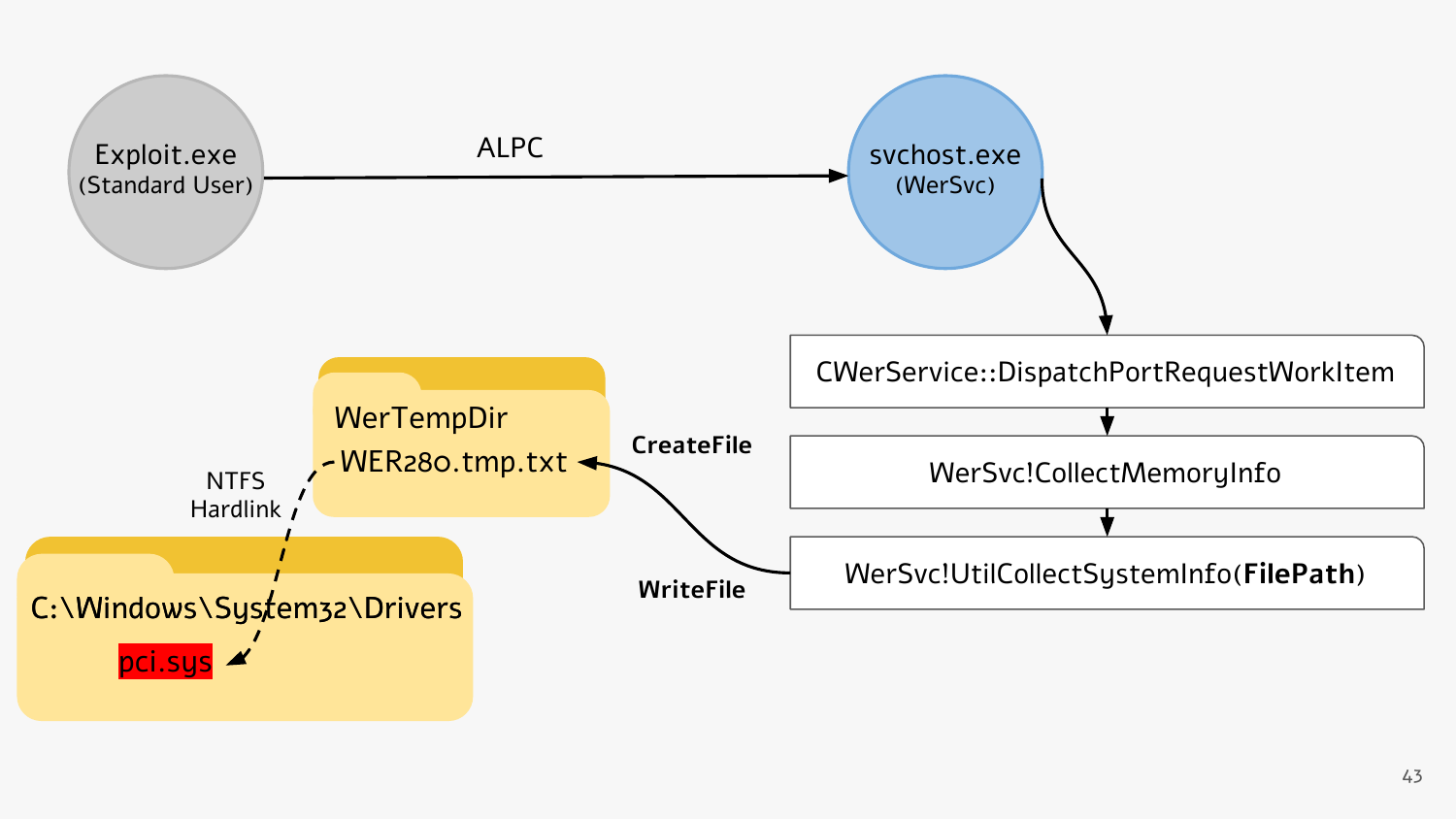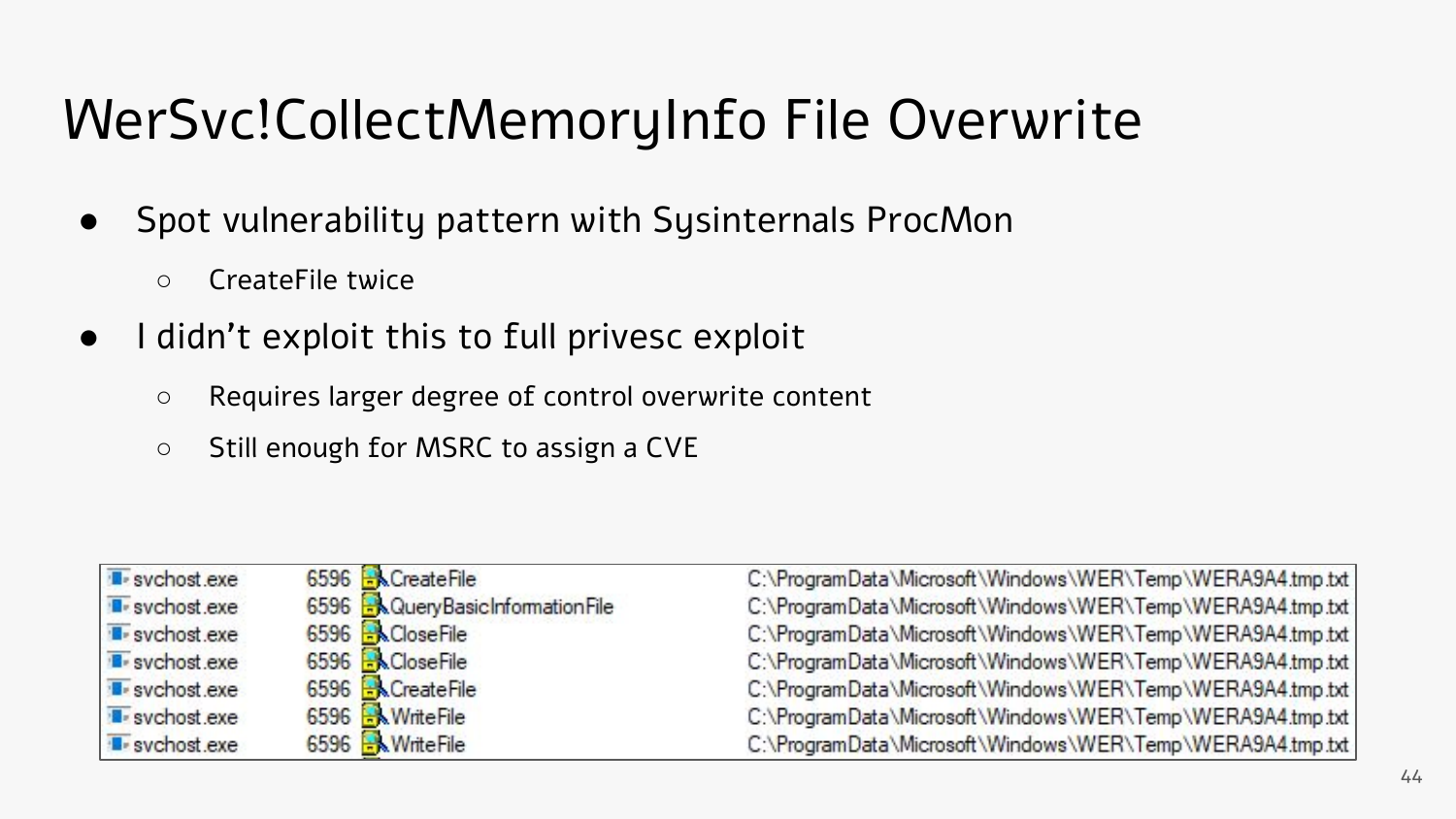# WerSvc!CollectMemoryInfo File Overwrite

- Spot vulnerability pattern with Sysinternals ProcMon
	- CreateFile twice
- I didn't exploit this to full privesc exploit
	- Requires larger degree of control overwrite content
	- Still enough for MSRC to assign a CVE

| <b>I</b> -svchost.exe | 6596 R CreateFile                   | C:\ProgramData\Microsoft\Windows\WER\Temp\WERA9A4.tmp.txt |
|-----------------------|-------------------------------------|-----------------------------------------------------------|
| <b>E</b> svchost exe  | 6596 R Query Basic Information File | C:\ProgramData\Microsoft\Windows\WER\Temp\WERA9A4.tmp.txt |
| <b>B</b> -svchost.exe | 6596 <b>B</b> CloseFile             | C:\ProgramData\Microsoft\Windows\WER\Temp\WERA9A4.tmp.txt |
| <b>B</b> -sychost.exe | 6596 R&CloseFile                    | C:\ProgramData\Microsoft\Windows\WER\Temp\WERA9A4.tmp.txt |
| svchost.exe           | 6596 RCreateFile                    | C:\ProgramData\Microsoft\Windows\WER\Temp\WERA9A4.tmp.txt |
| svchost.exe           | 6596 MWriteFile                     | C:\ProgramData\Microsoft\Windows\WER\Temp\WERA9A4.tmp.txt |
| <b>B</b> -sychost.exe | 6596 MriteFile                      | C:\ProgramData\Microsoft\Windows\WER\Temp\WERA9A4.tmp.txt |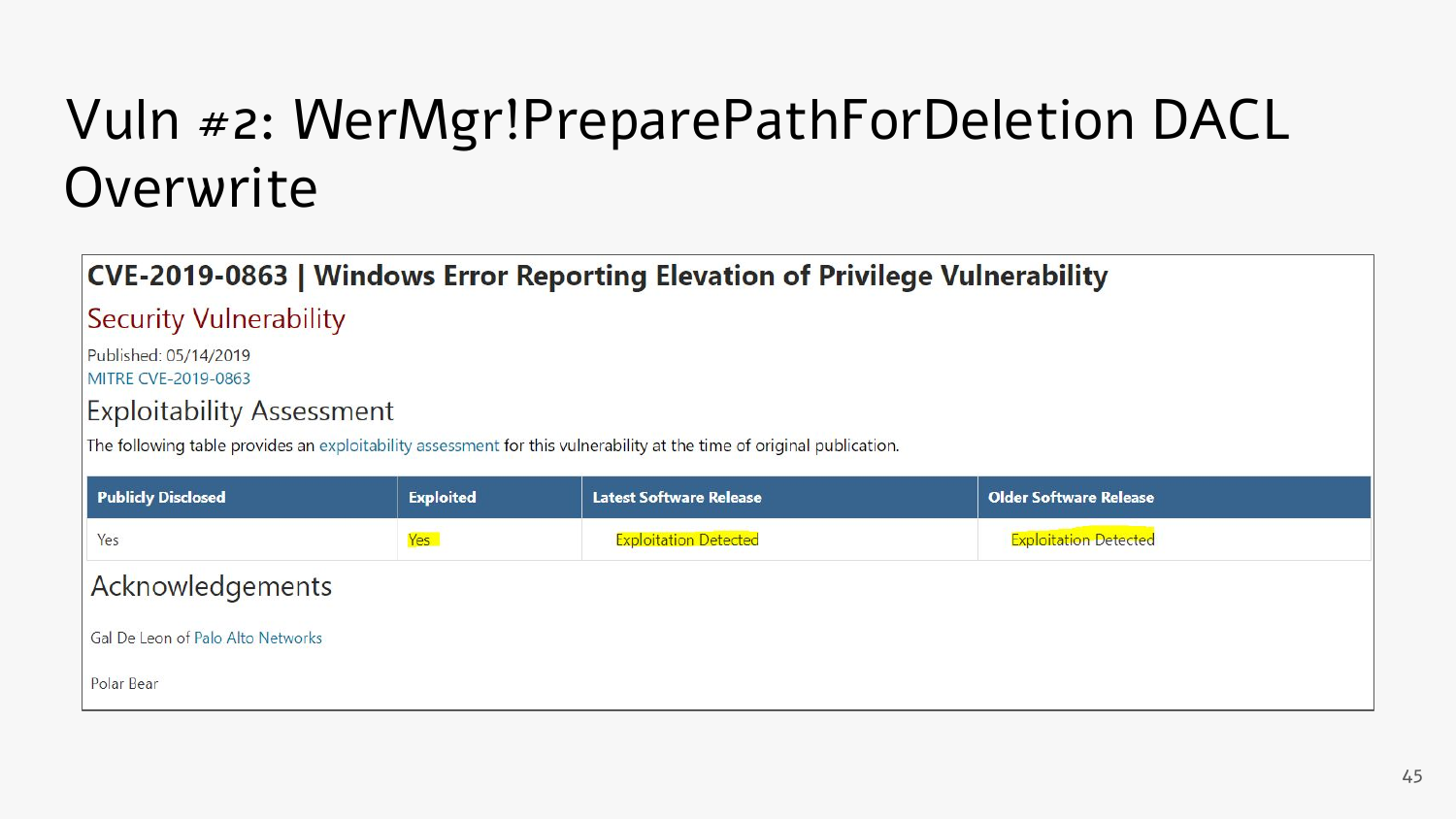# Vuln #2: WerMgr!PreparePathForDeletion DACL **Overwrite**

#### CVE-2019-0863 | Windows Error Reporting Elevation of Privilege Vulnerability

**Security Vulnerability** 

Published: 05/14/2019

MITRE CVE-2019-0863

#### **Exploitability Assessment**

The following table provides an exploitability assessment for this vulnerability at the time of original publication.

| Publicly Disclosed                | <b>Exploited</b> | <b>Latest Software Release</b> | <b>Older Software Release</b> |  |  |  |  |
|-----------------------------------|------------------|--------------------------------|-------------------------------|--|--|--|--|
| Yes                               | Yes <sup>1</sup> | <b>Exploitation Detected</b>   | <b>Exploitation Detected</b>  |  |  |  |  |
| Acknowledgements                  |                  |                                |                               |  |  |  |  |
| Gal De Leon of Palo Alto Networks |                  |                                |                               |  |  |  |  |
| Polar Bear                        |                  |                                |                               |  |  |  |  |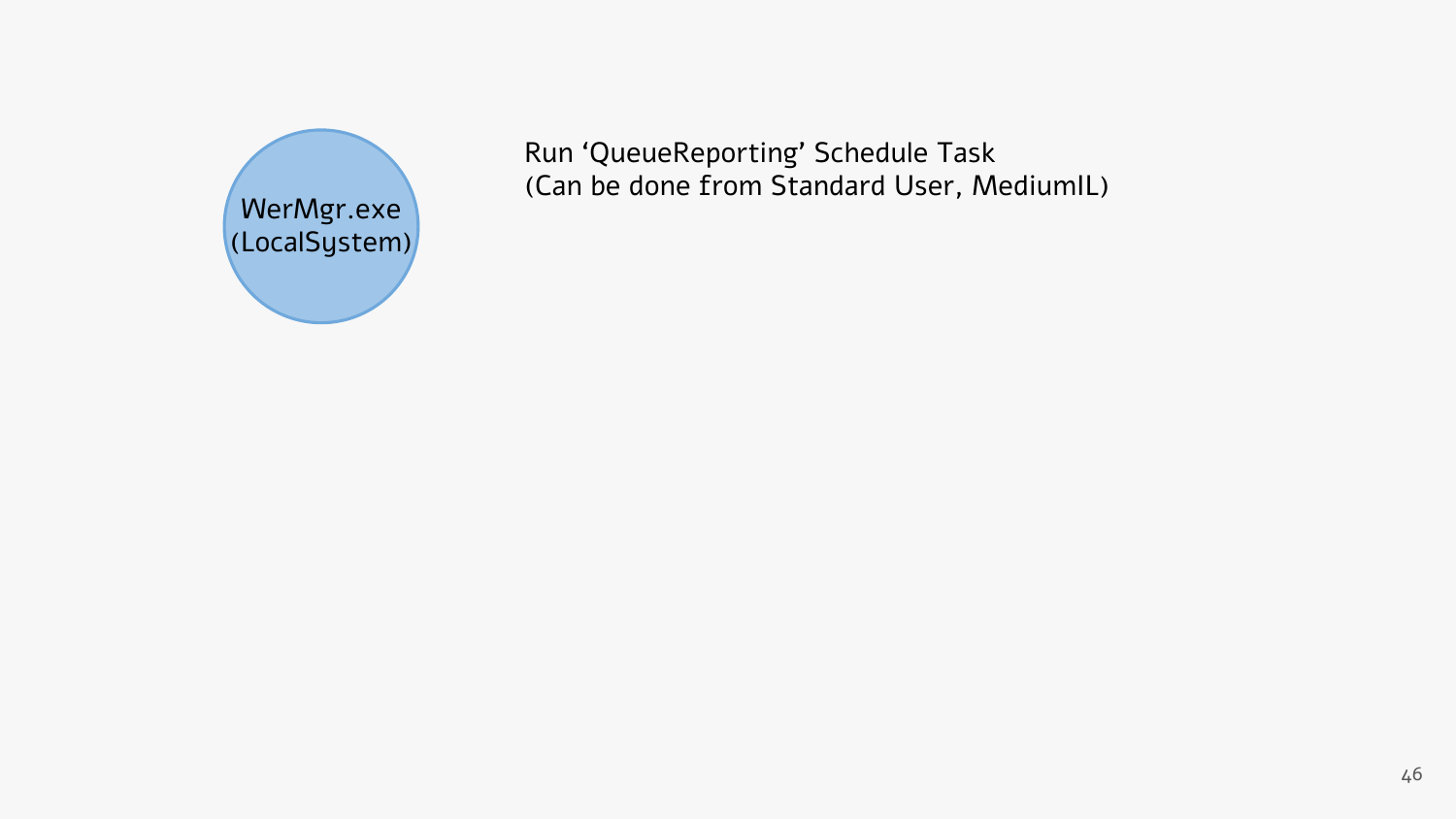

Run 'QueueReporting' Schedule Task (Can be done from Standard User, MediumIL) WerMgr.exe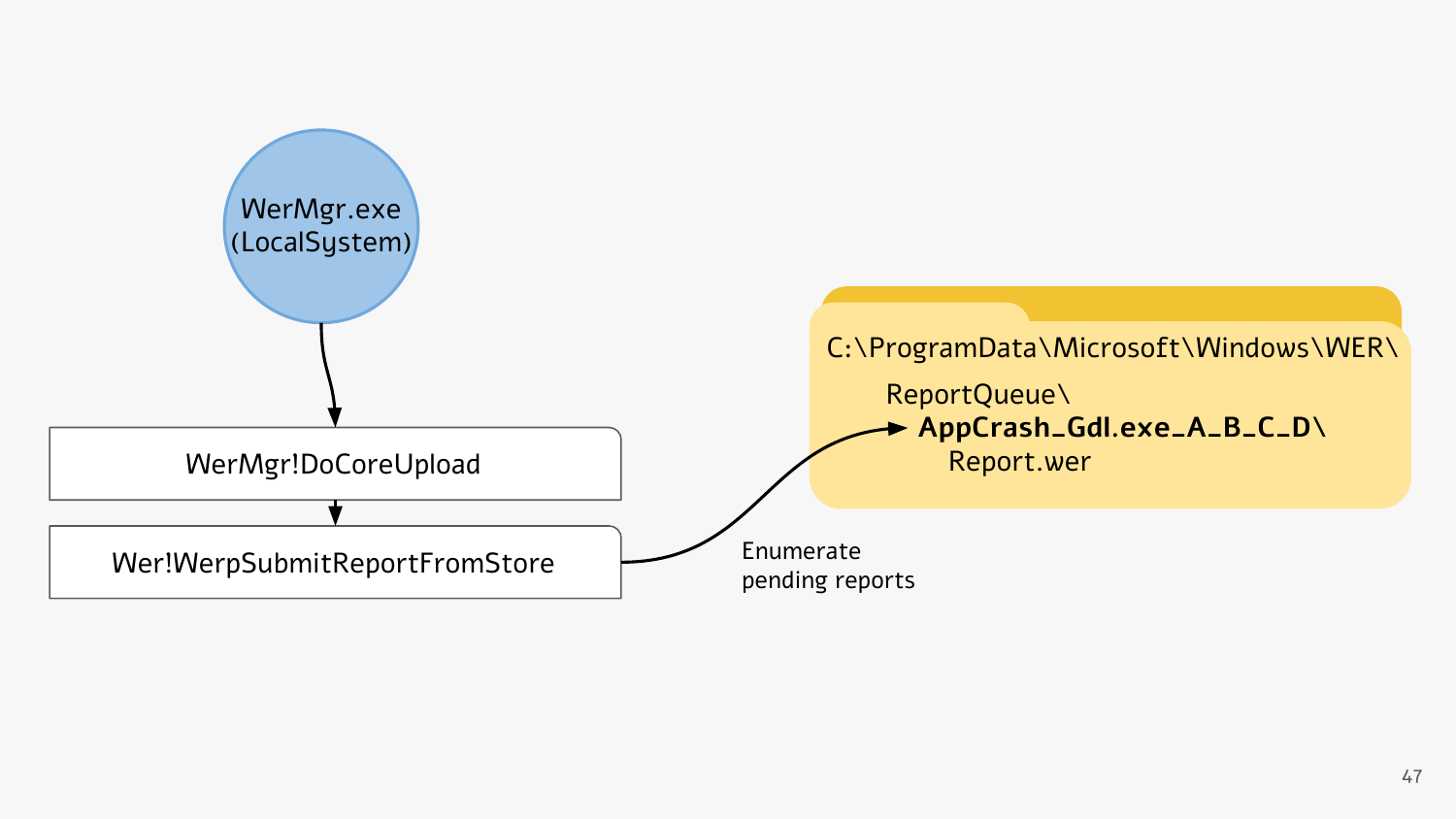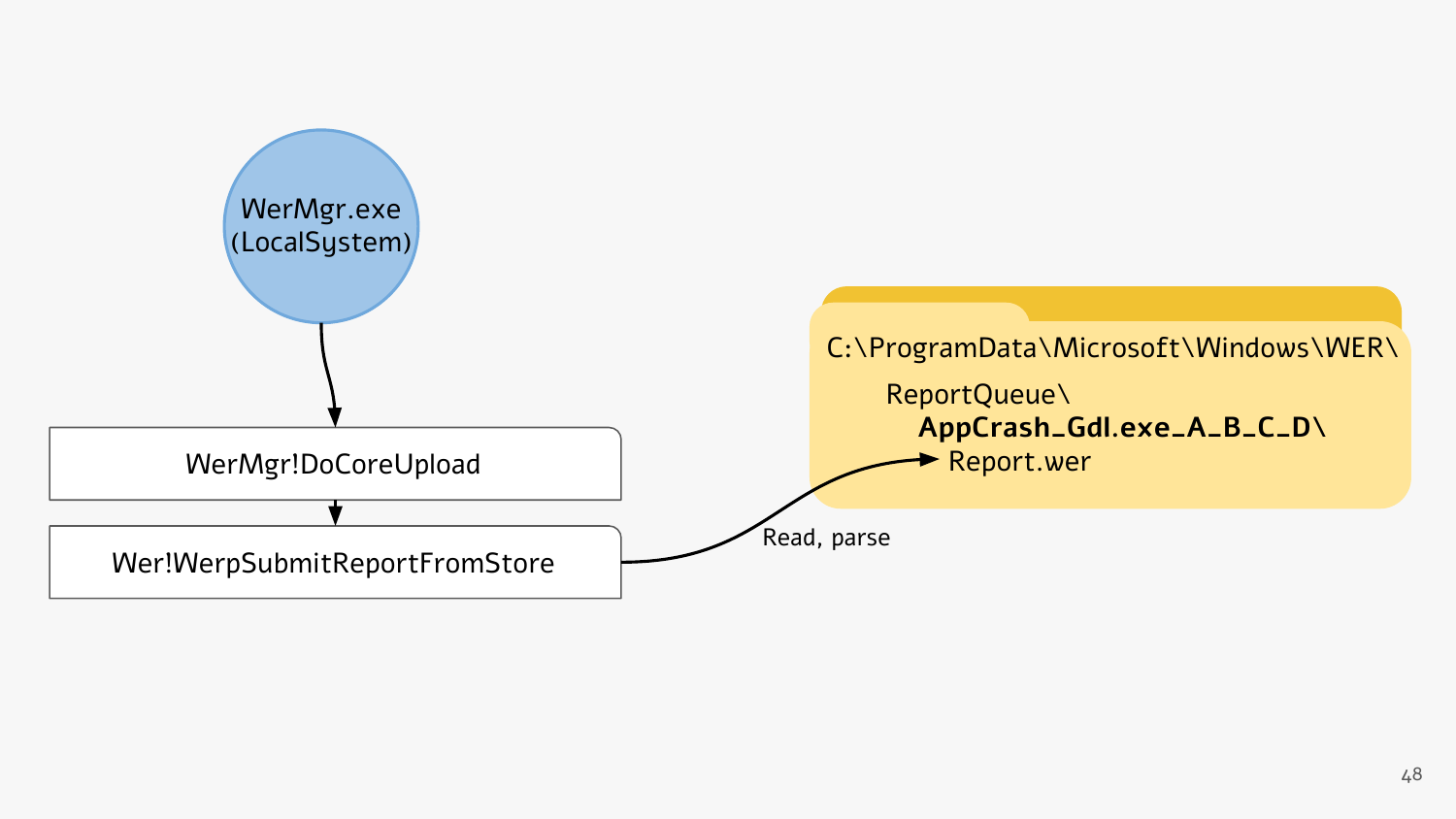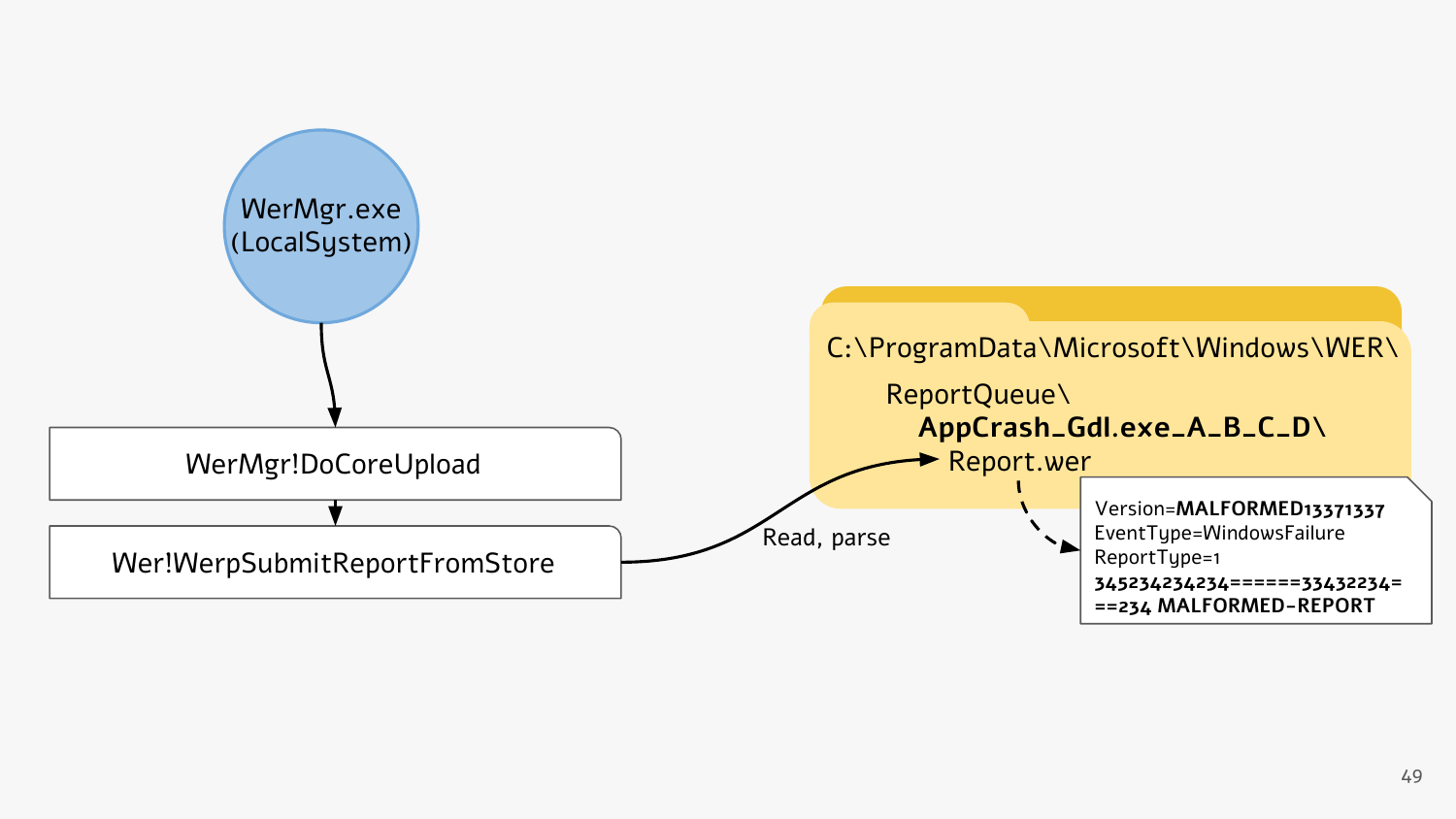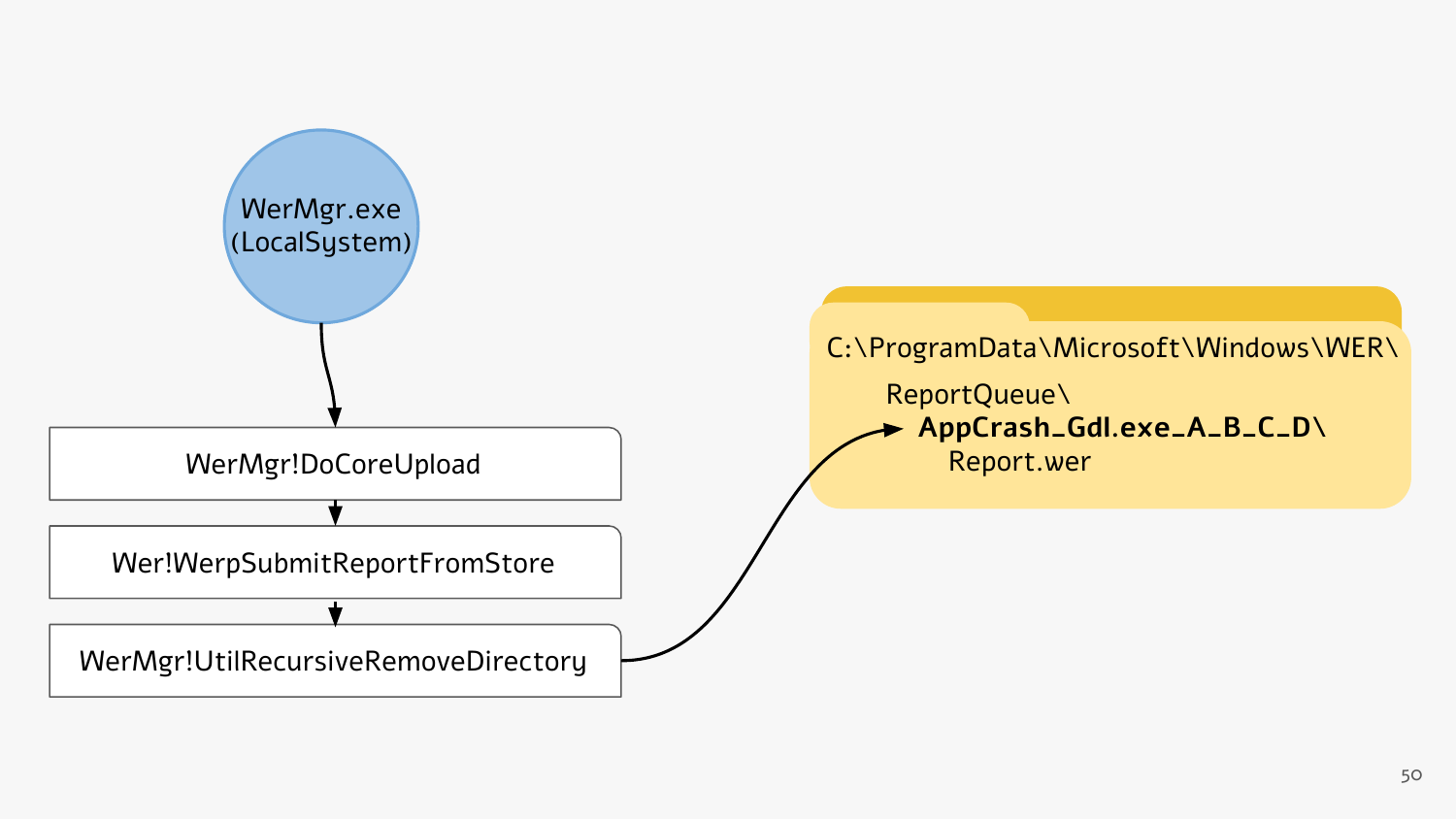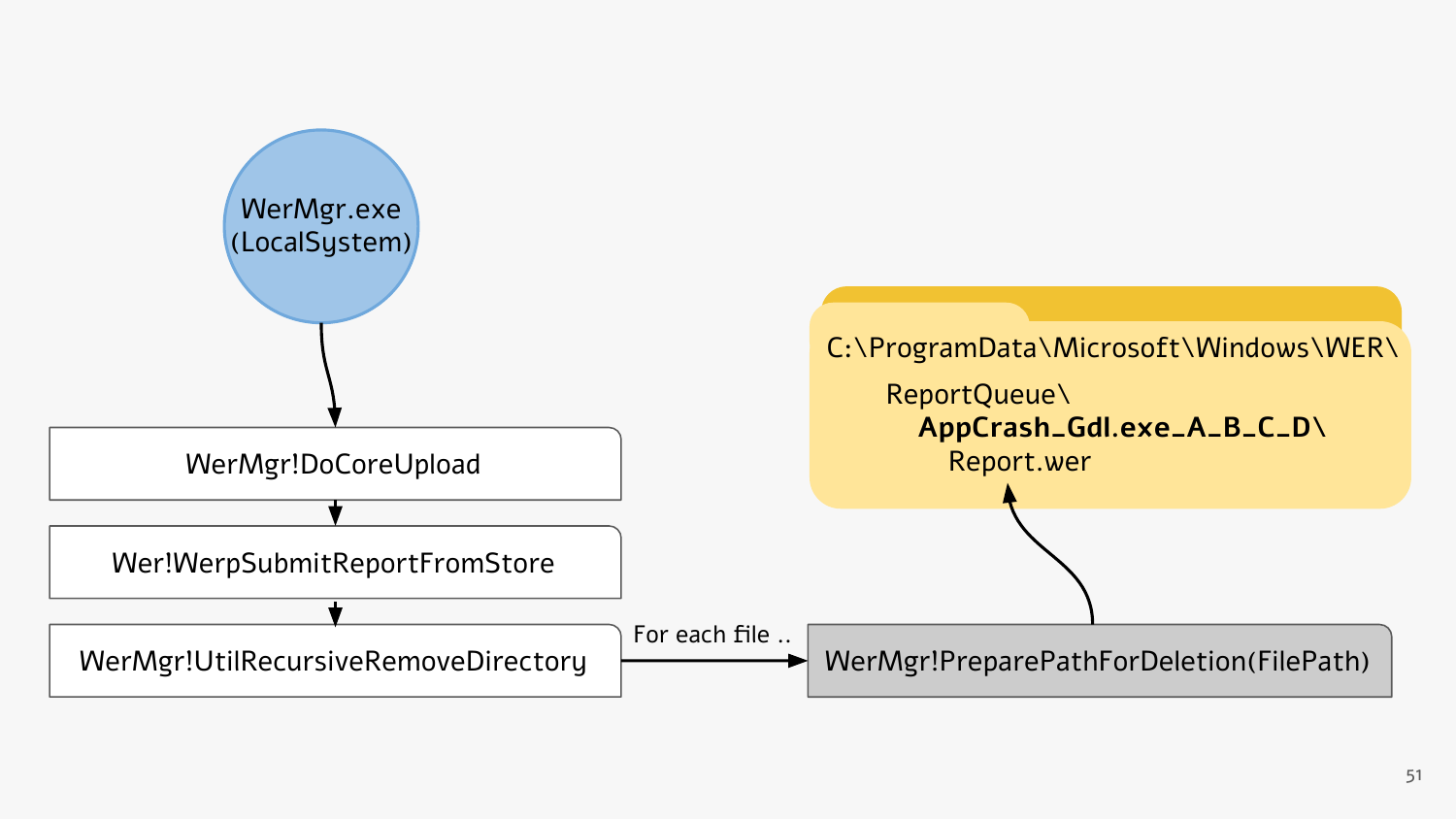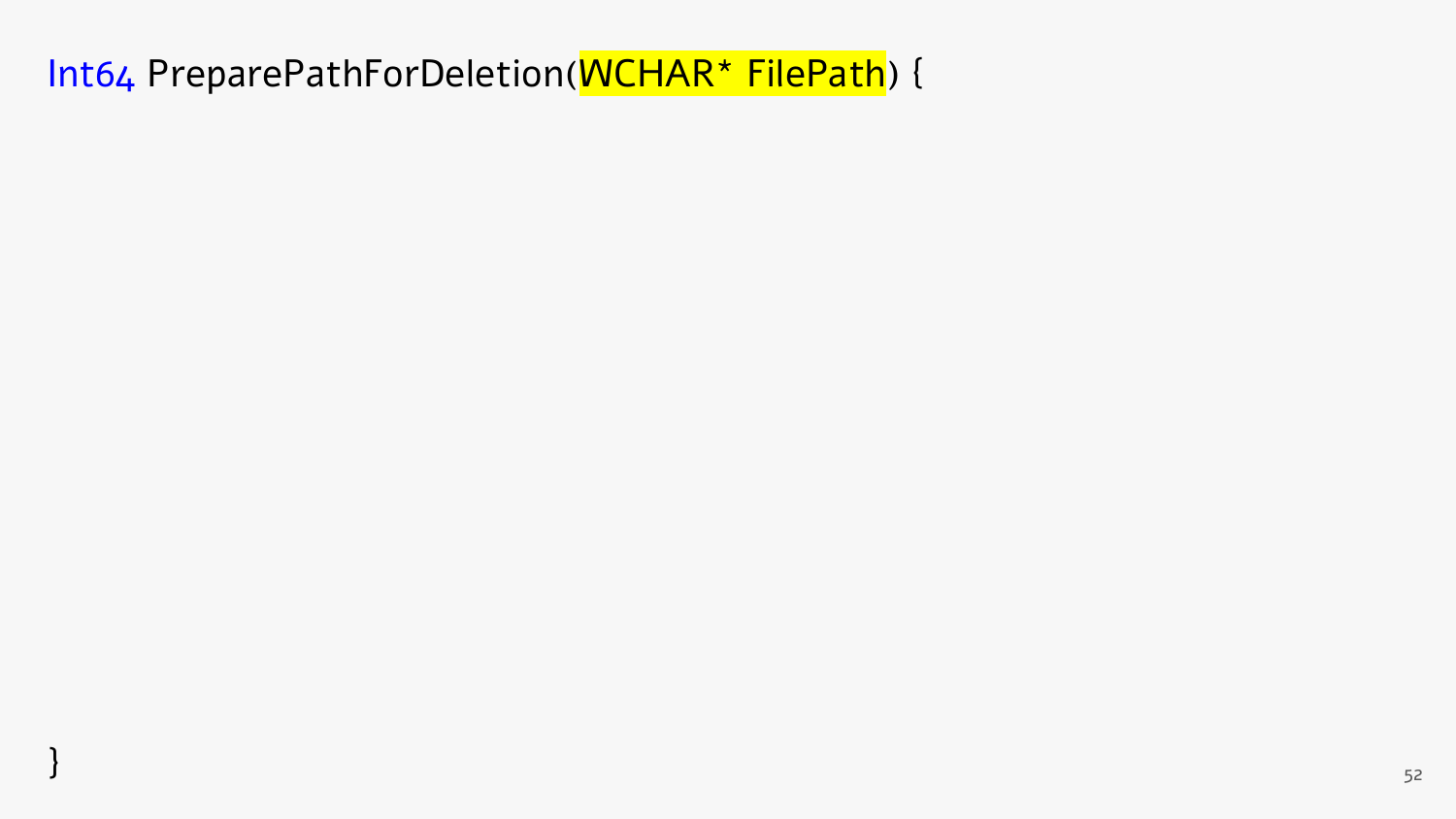Int64 PreparePathForDeletion(WCHAR\* FilePath) {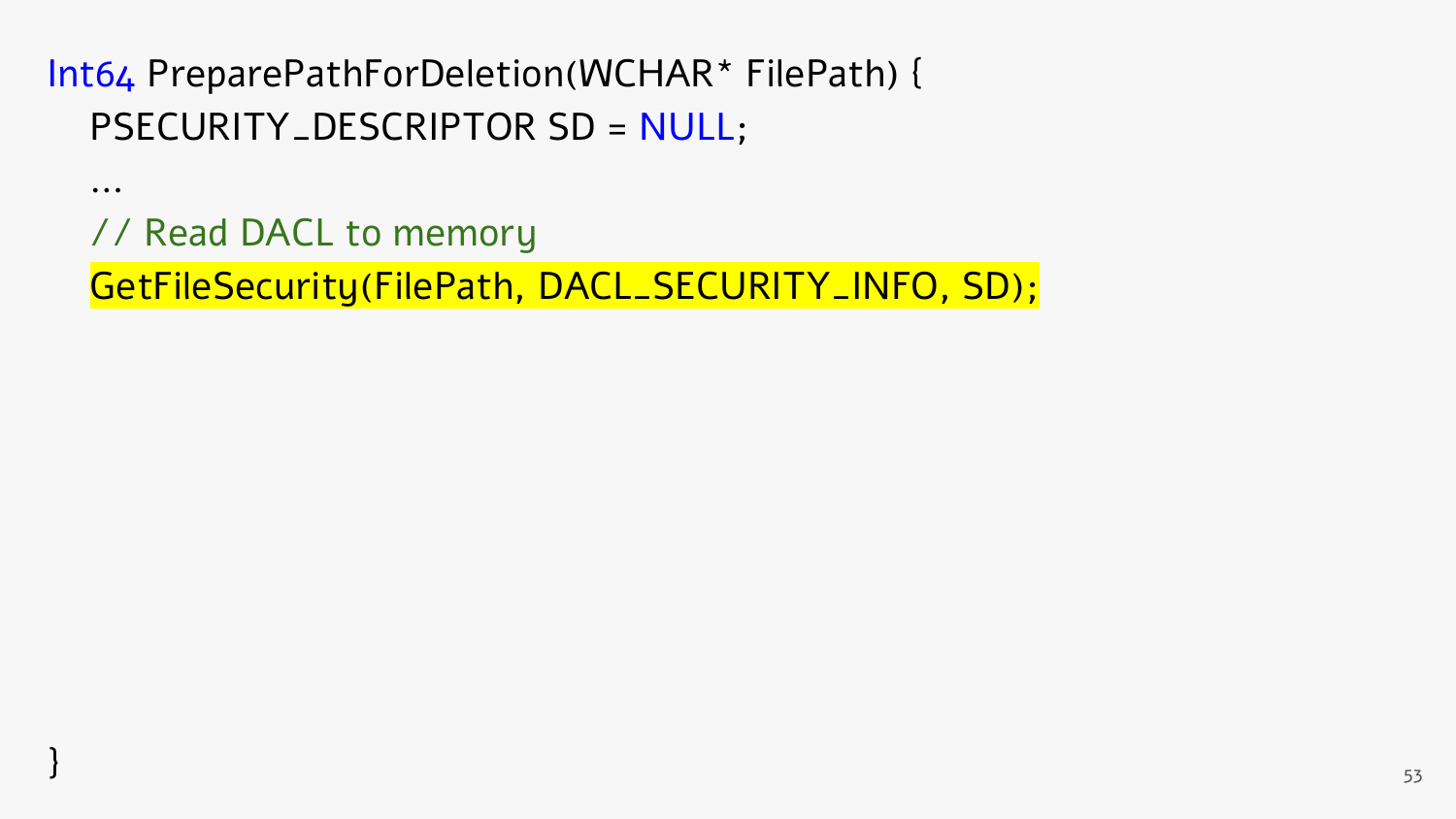…

// Read DACL to memory

GetFileSecurity(FilePath, DACL\_SECURITY\_INFO, SD);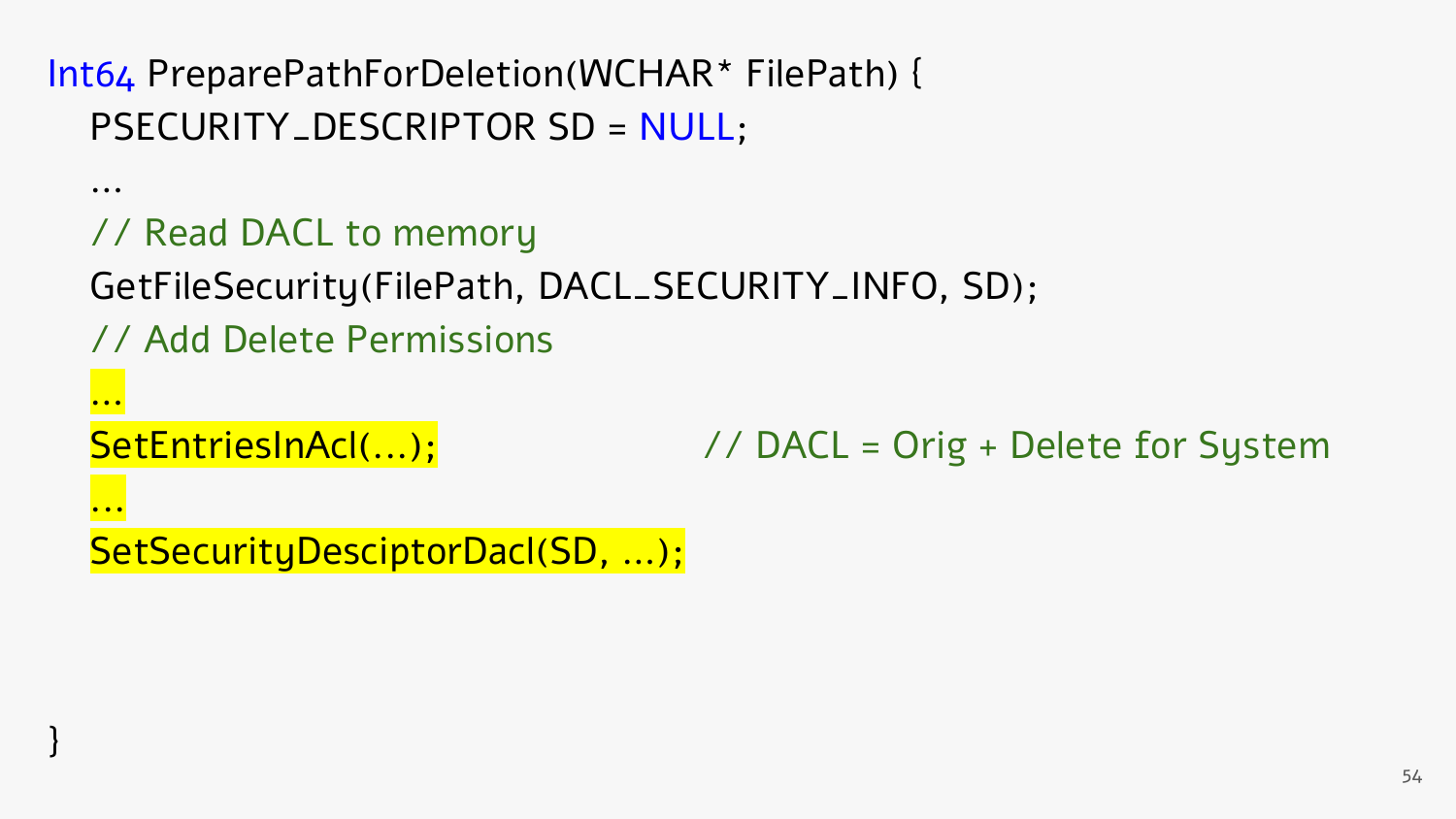// Read DACL to memory

GetFileSecurity(FilePath, DACL\_SECURITY\_INFO, SD);

// Add Delete Permissions

…

....<mark>...</mark>

}

…

SetEntriesInAcl(...);  $\frac{1}{2}$  // DACL = Orig + Delete for System

SetSecurityDesciptorDacI(SD, ...);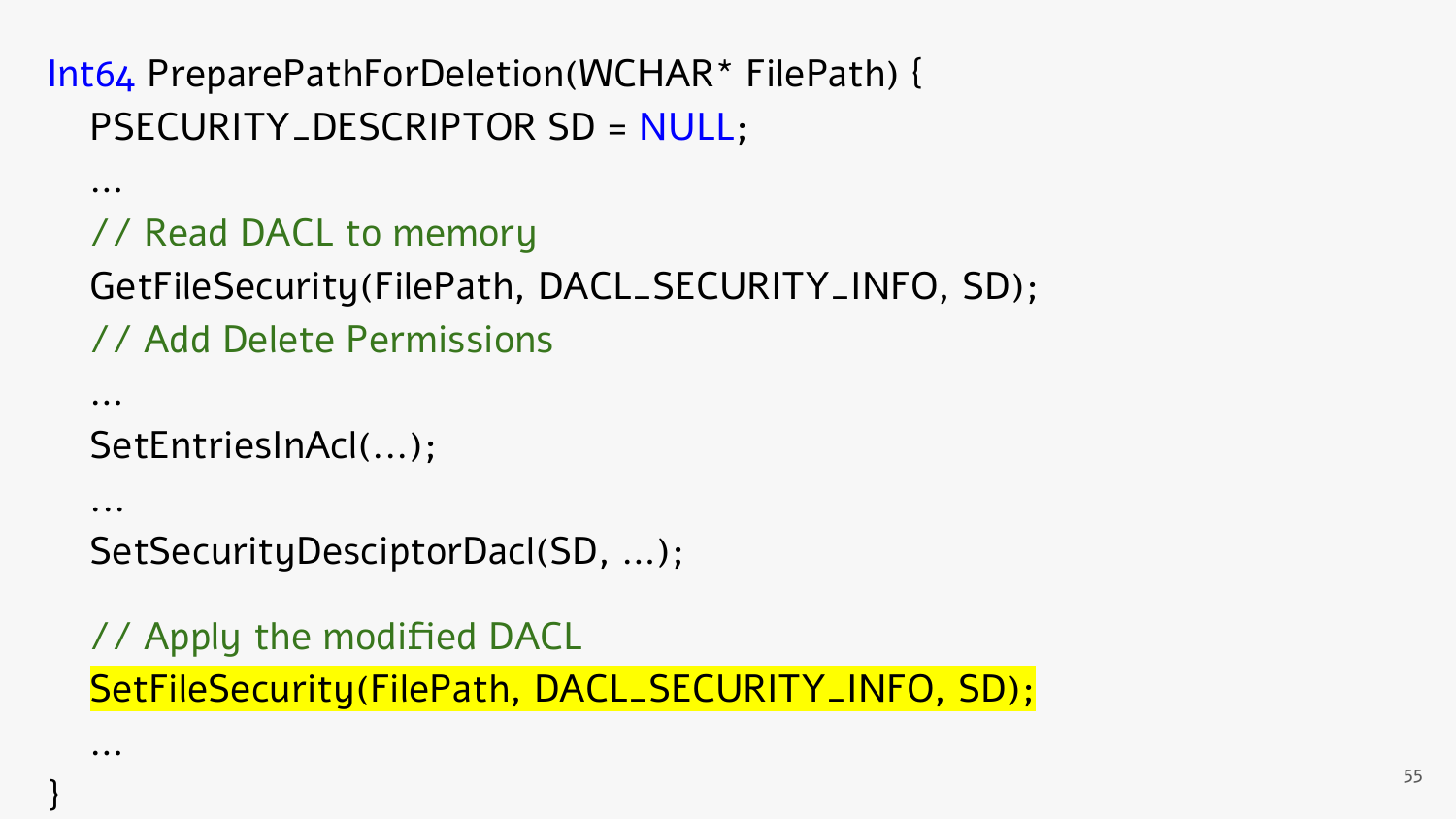```
 …
// Read DACL to memory
GetFileSecurity(FilePath, DACL_SECURITY_INFO, SD);
// Add Delete Permissions
```

```
 SetEntriesInAcl(...);
```
…

...

…

}

```
 SetSecurityDesciptorDacl(SD, …);
```
 // Apply the modified DACL SetFileSecurity(FilePath, DACL\_SECURITY\_INFO, SD);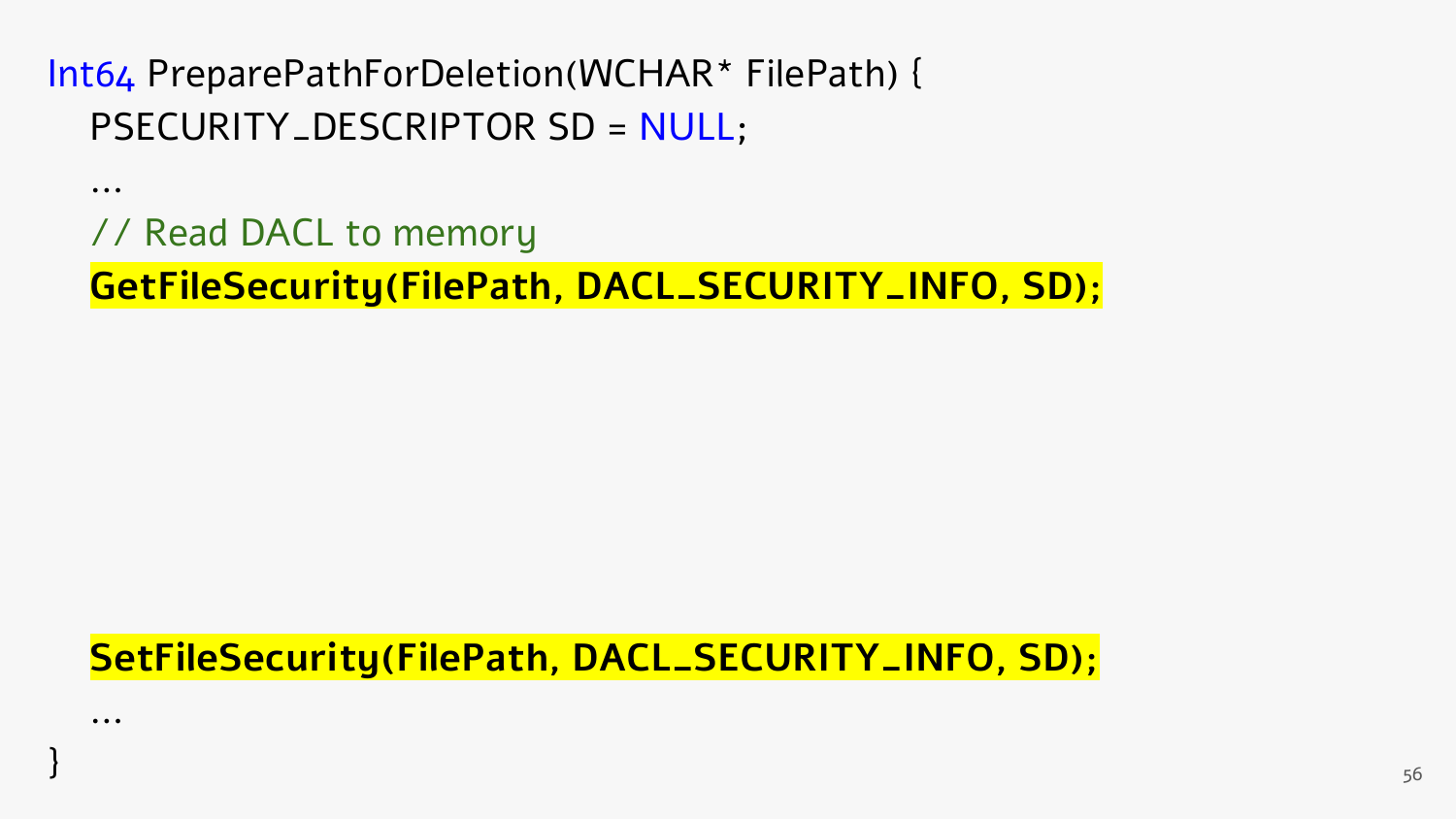…

…

// Read DACL to memory

**GetFileSecurity(FilePath, DACL\_SECURITY\_INFO, SD);**

 **SetFileSecurity(FilePath, DACL\_SECURITY\_INFO, SD);**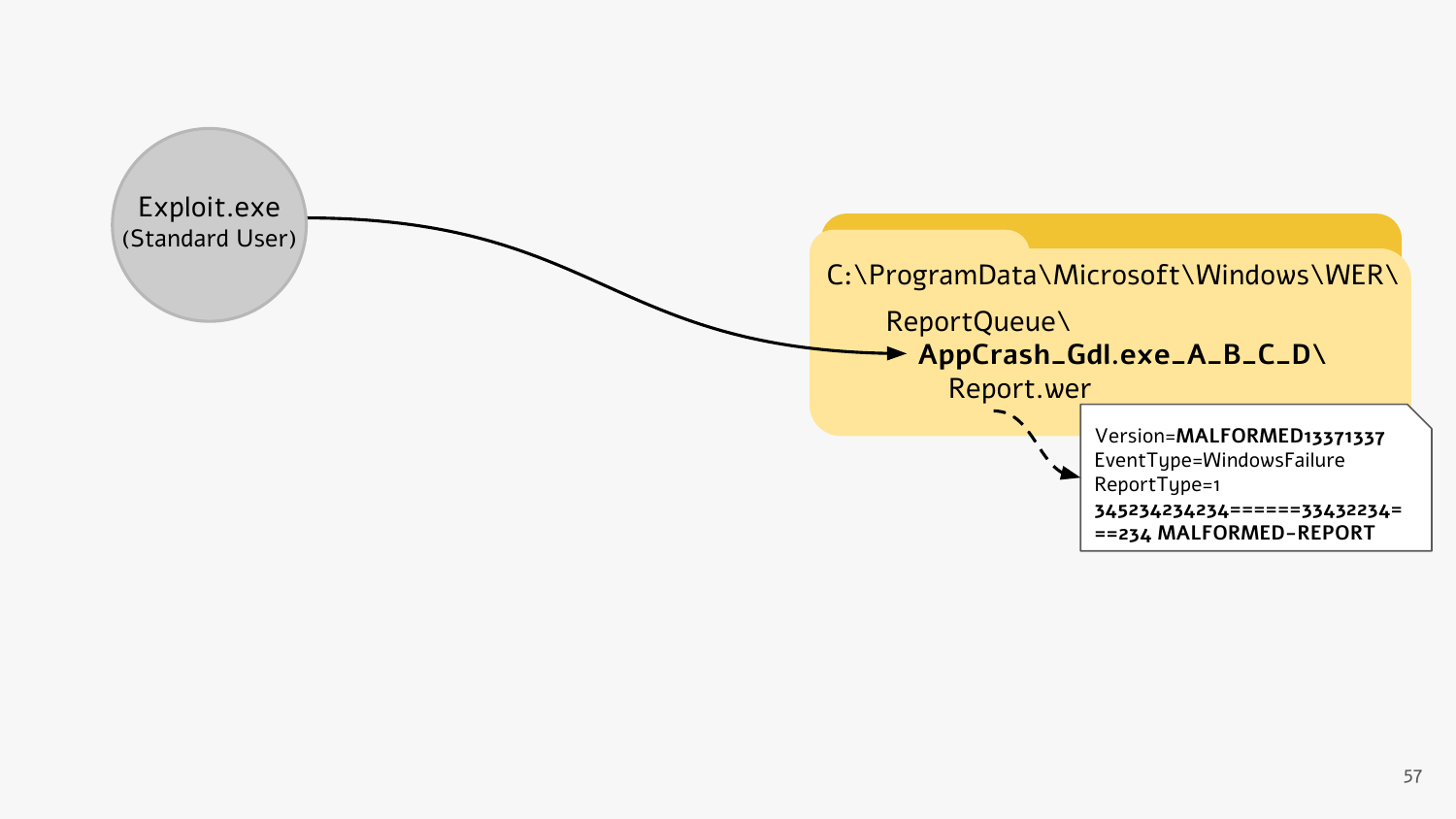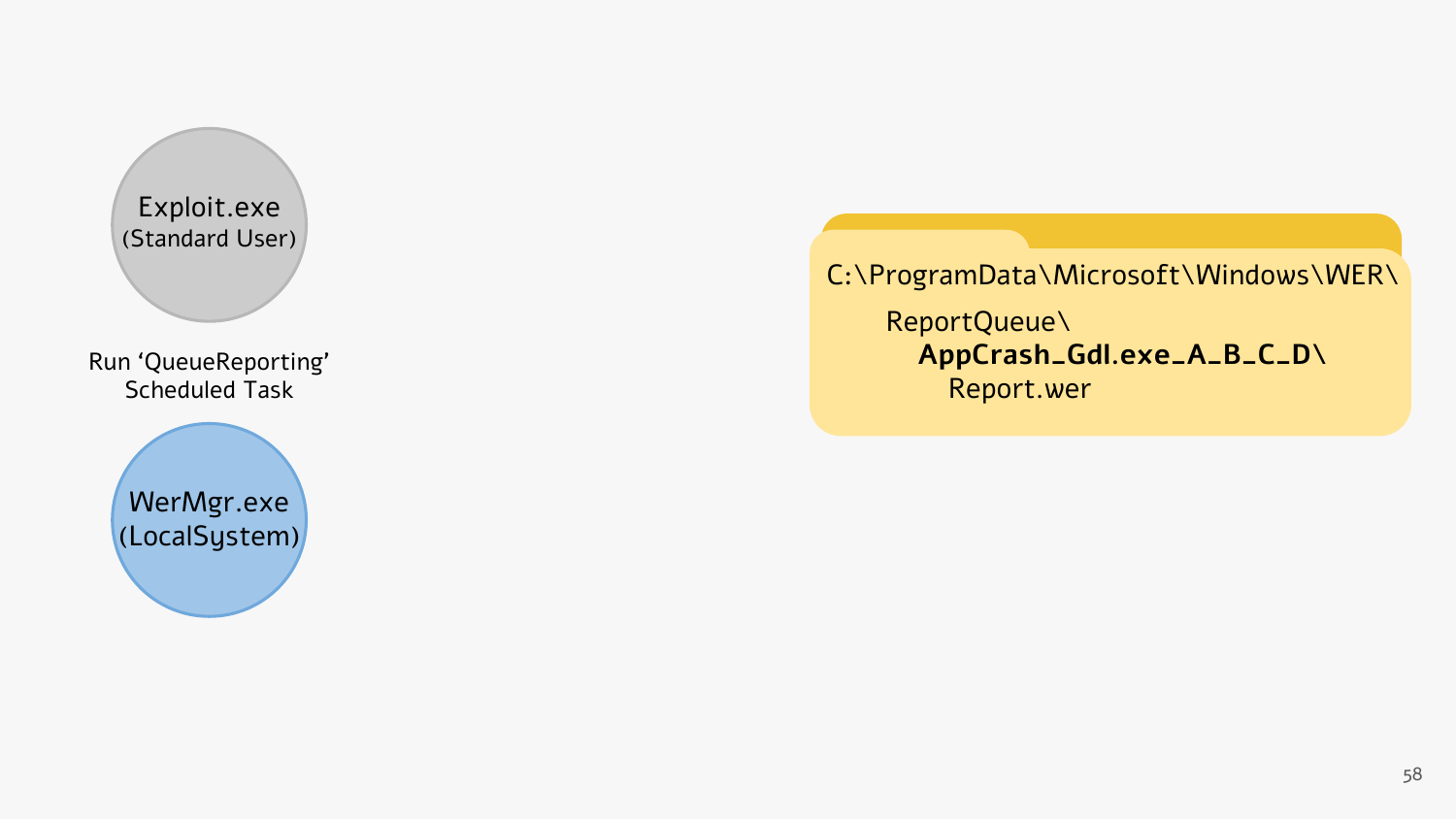

C:\ProgramData\Microsoft\Windows\WER\ ReportQueue\ **AppCrash\_Gdl.exe\_A\_B\_C\_D\** Report.wer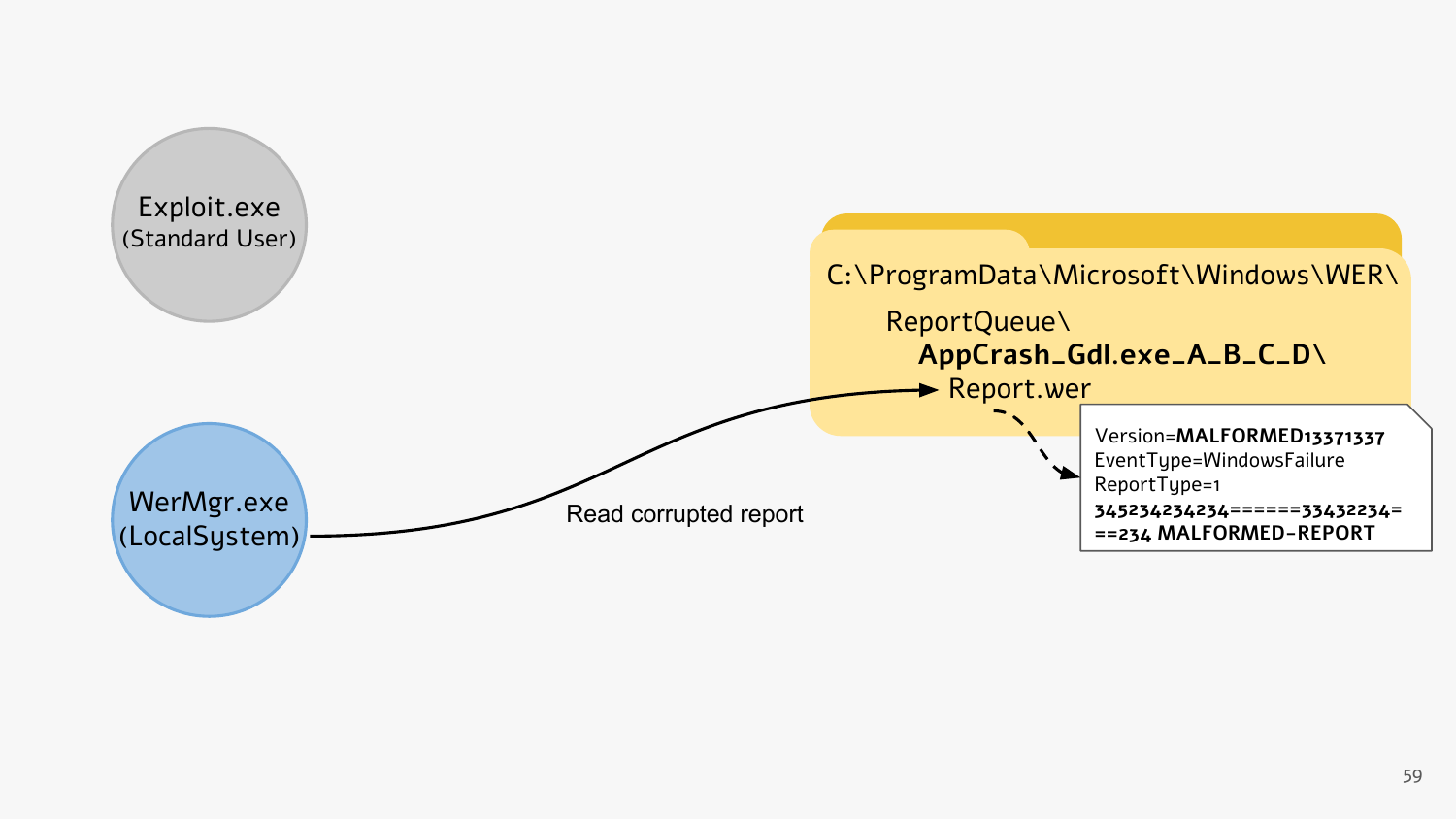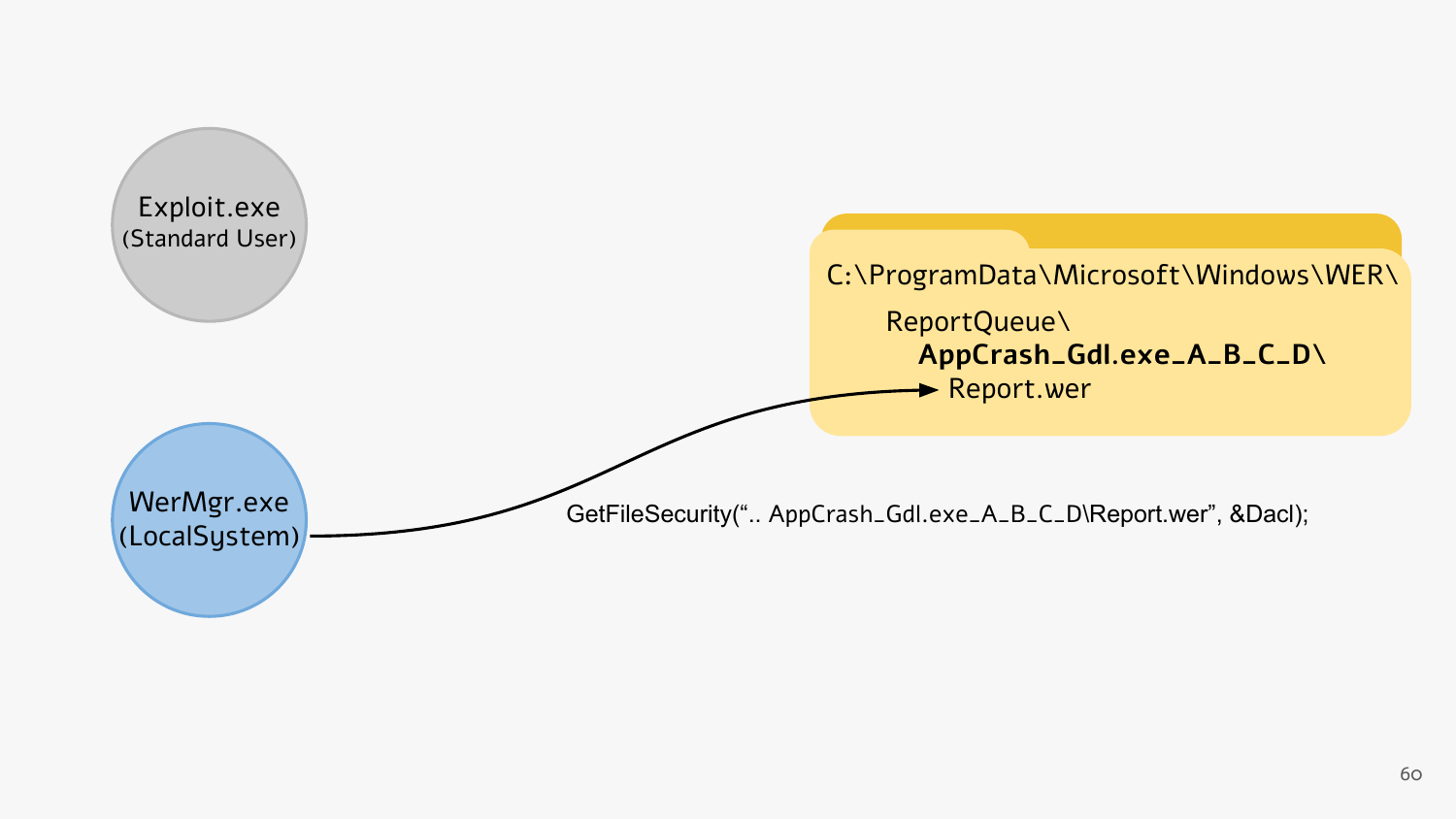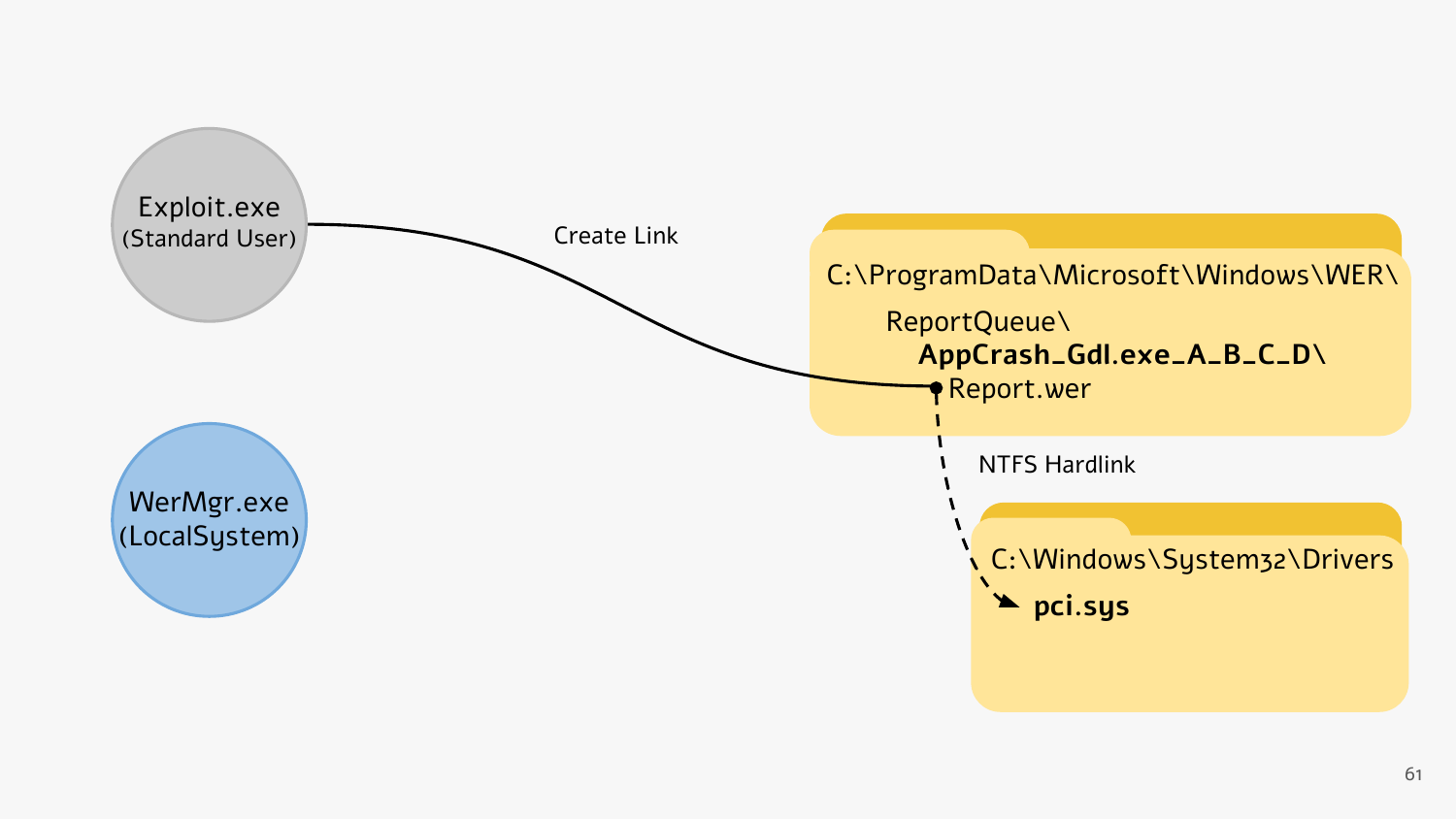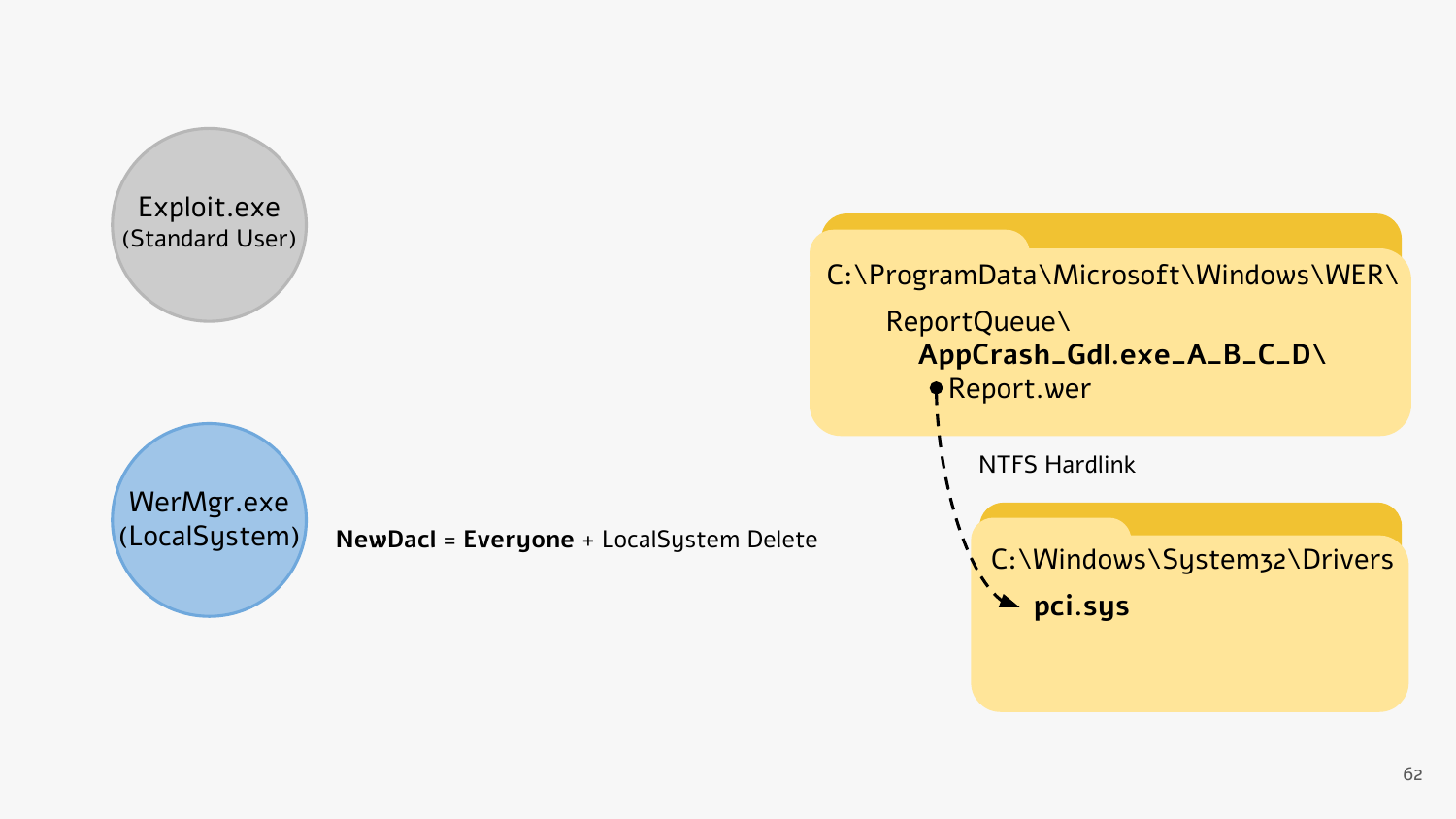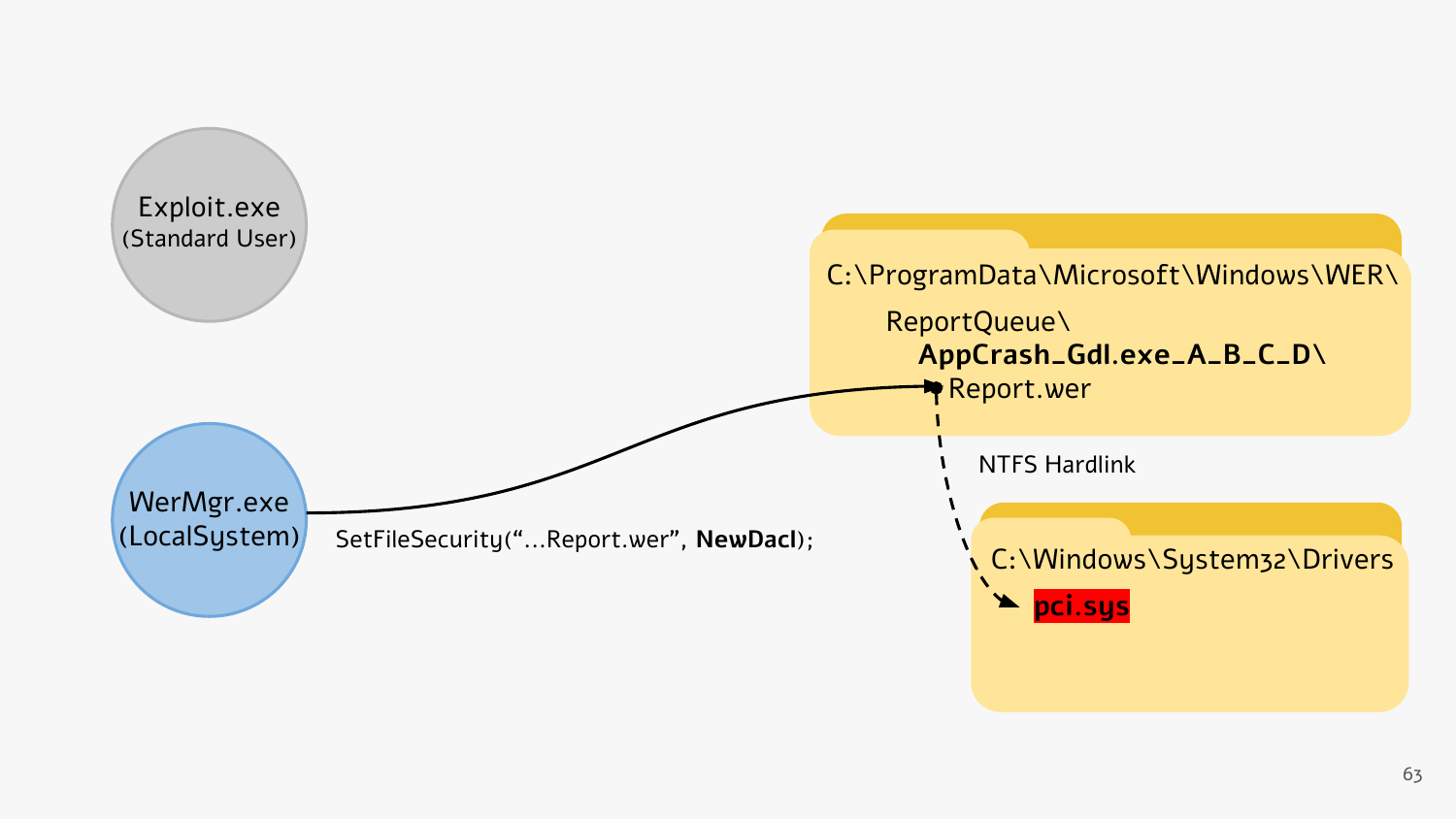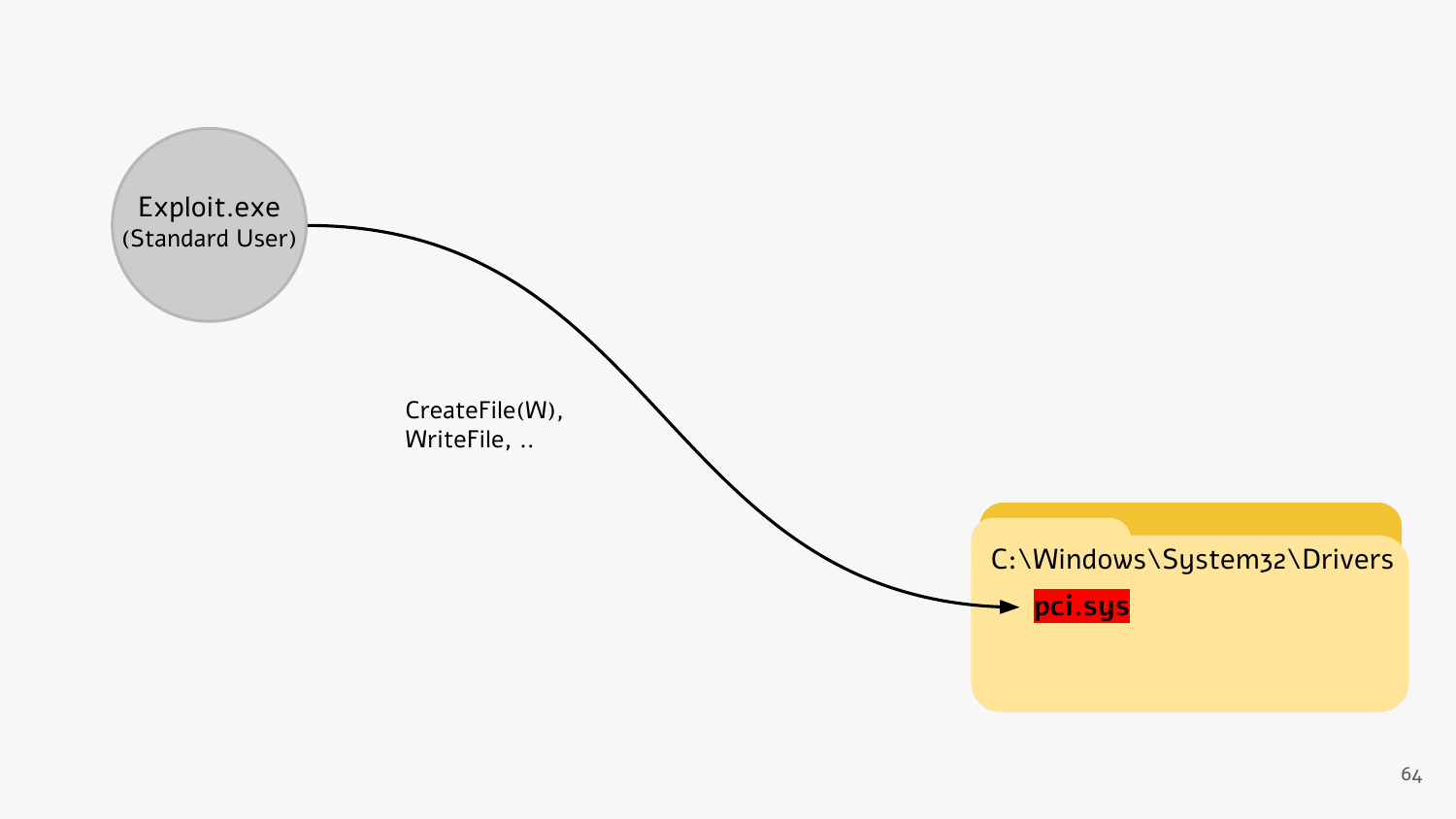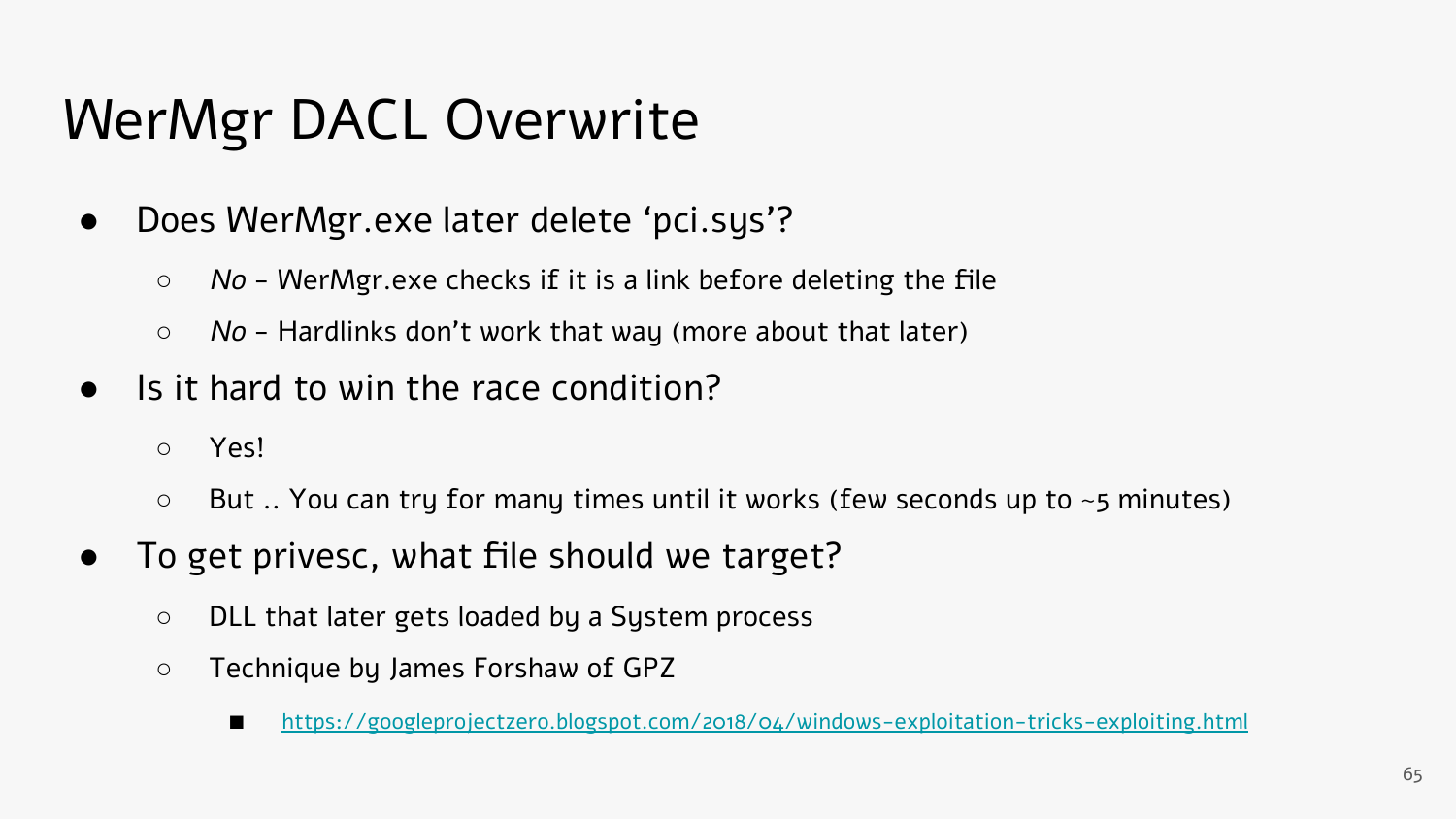# WerMgr DACL Overwrite

- Does WerMgr.exe later delete 'pci.sys'?
	- *○* No WerMgr.exe checks if it is a link before deleting the file
	- $\circ$  No Hardlinks don't work that way (more about that later)
- Is it hard to win the race condition?
	- Yes!
	- $\circ$  But .. You can try for many times until it works (few seconds up to  $\sim$ 5 minutes)
- To get privesc, what file should we target?
	- DLL that later gets loaded by a System process
	- Technique by James Forshaw of GPZ
		- <https://googleprojectzero.blogspot.com/2018/04/windows-exploitation-tricks-exploiting.html>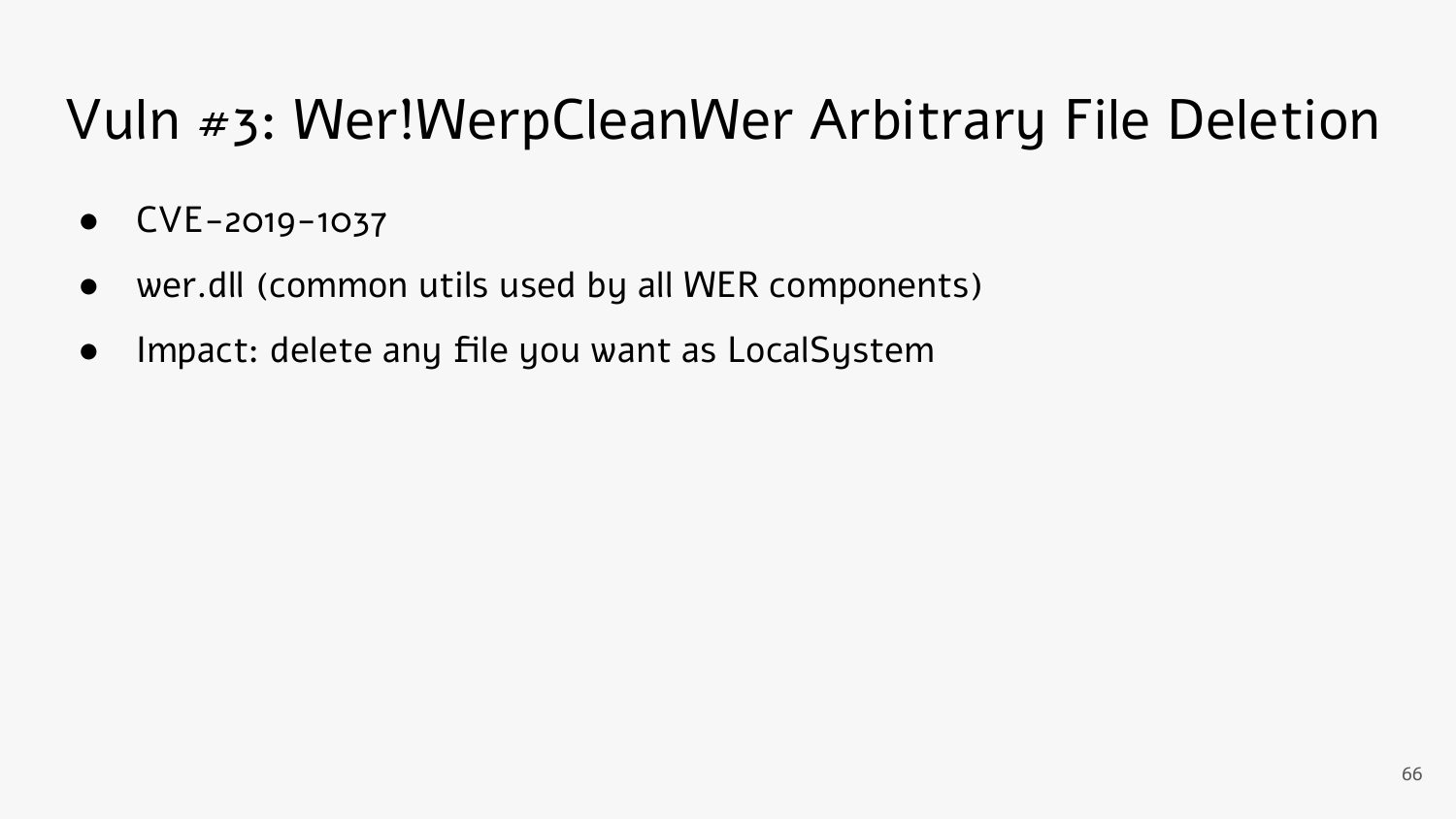## Vuln #3: Wer!WerpCleanWer Arbitrary File Deletion

- CVE-2019-1037
- wer.dll (common utils used by all WER components)
- Impact: delete any file you want as LocalSystem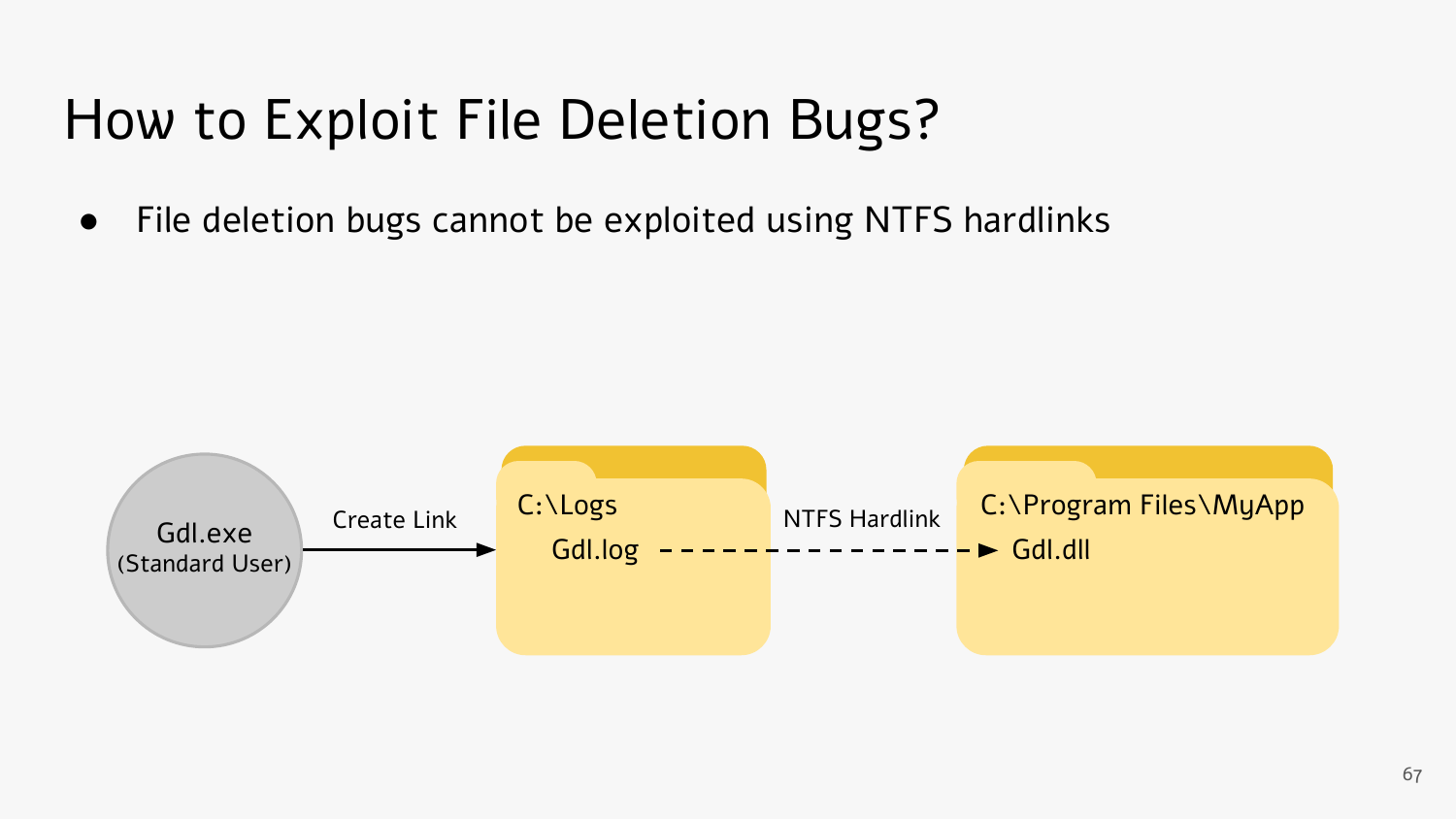● File deletion bugs cannot be exploited using NTFS hardlinks

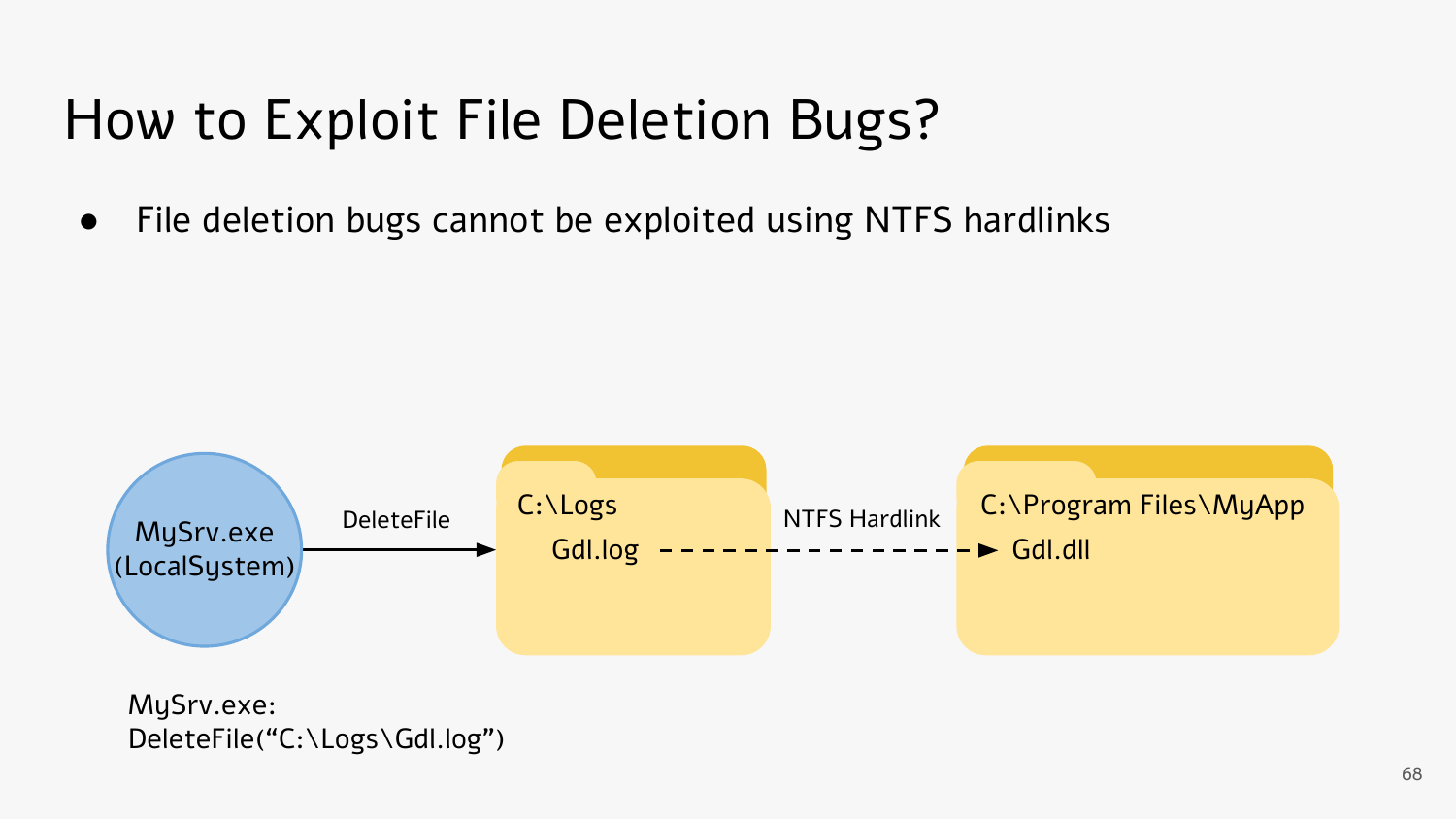• File deletion bugs cannot be exploited using NTFS hardlinks



MySrv.exe: DeleteFile("C:\Logs\Gdl.log")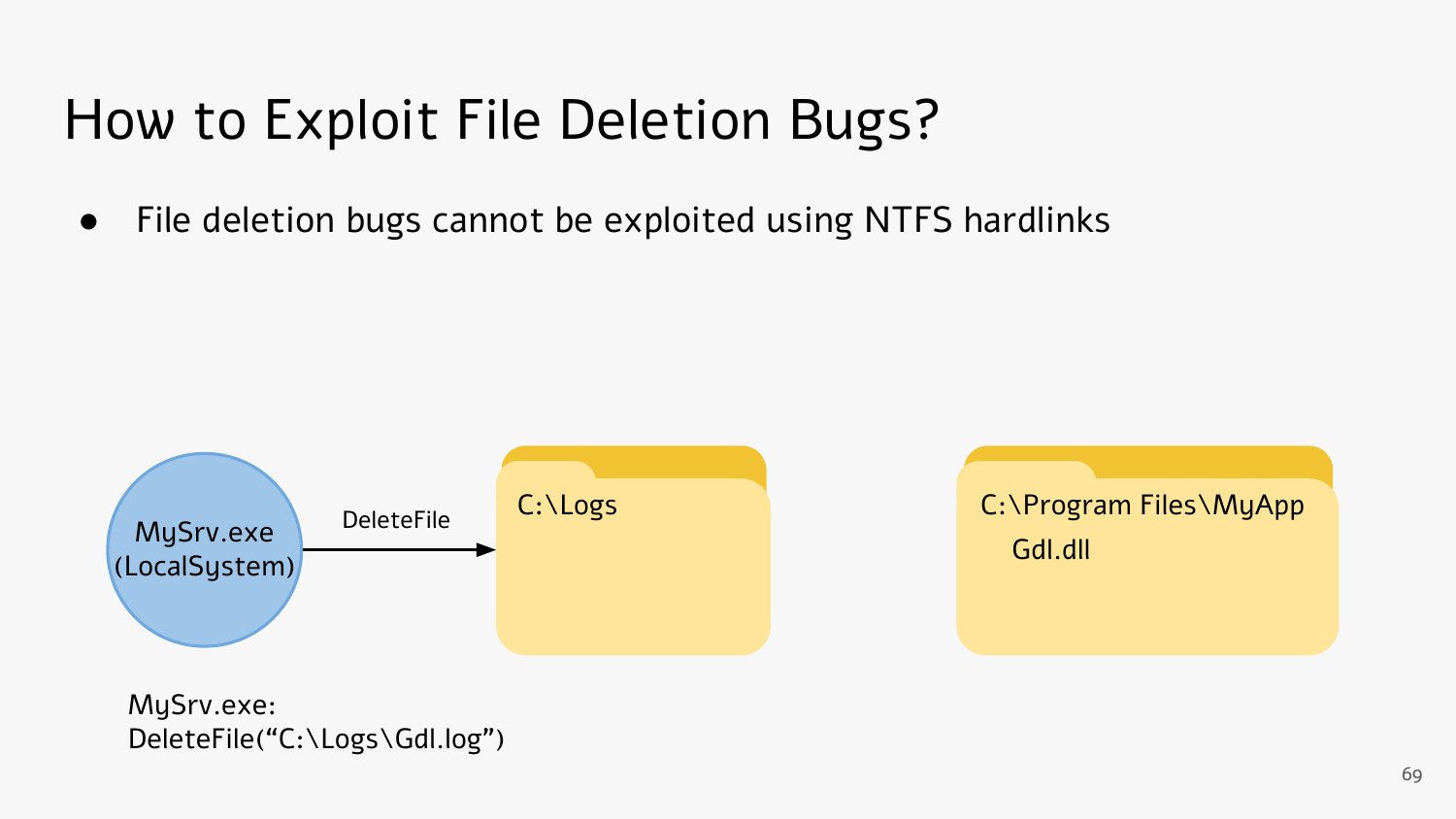• File deletion bugs cannot be exploited using NTFS hardlinks



C:\Program Files\MyApp Gdl.dll

MySrv.exe: DeleteFile("C:\Logs\Gdl.log")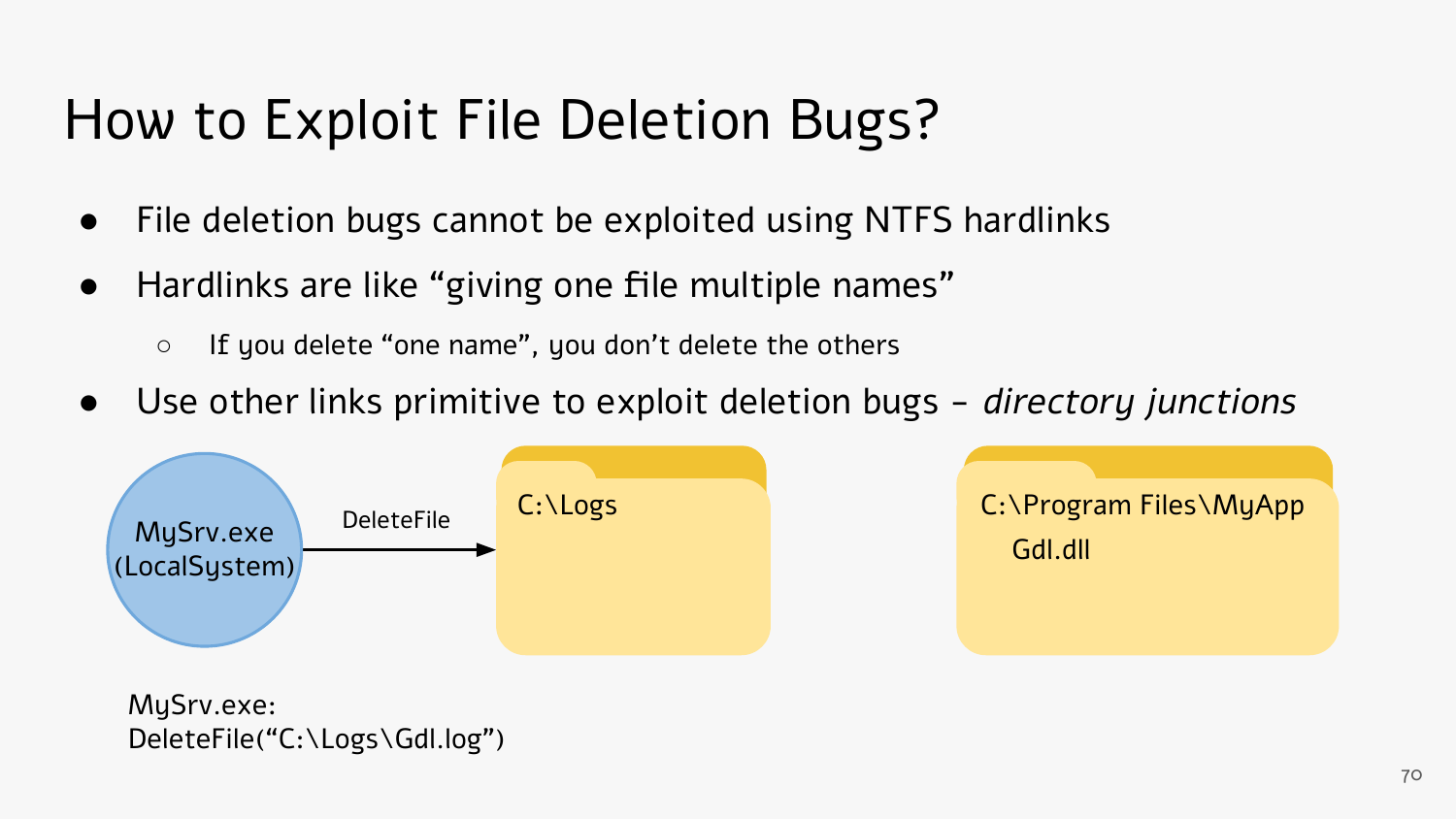- File deletion bugs cannot be exploited using NTFS hardlinks
- Hardlinks are like "giving one file multiple names"
	- If you delete "one name", you don't delete the others
- Use other links primitive to exploit deletion bugs directory junctions



C:\Program Files\MyApp Gdl.dll

MySrv.exe: DeleteFile("C:\Logs\Gdl.log")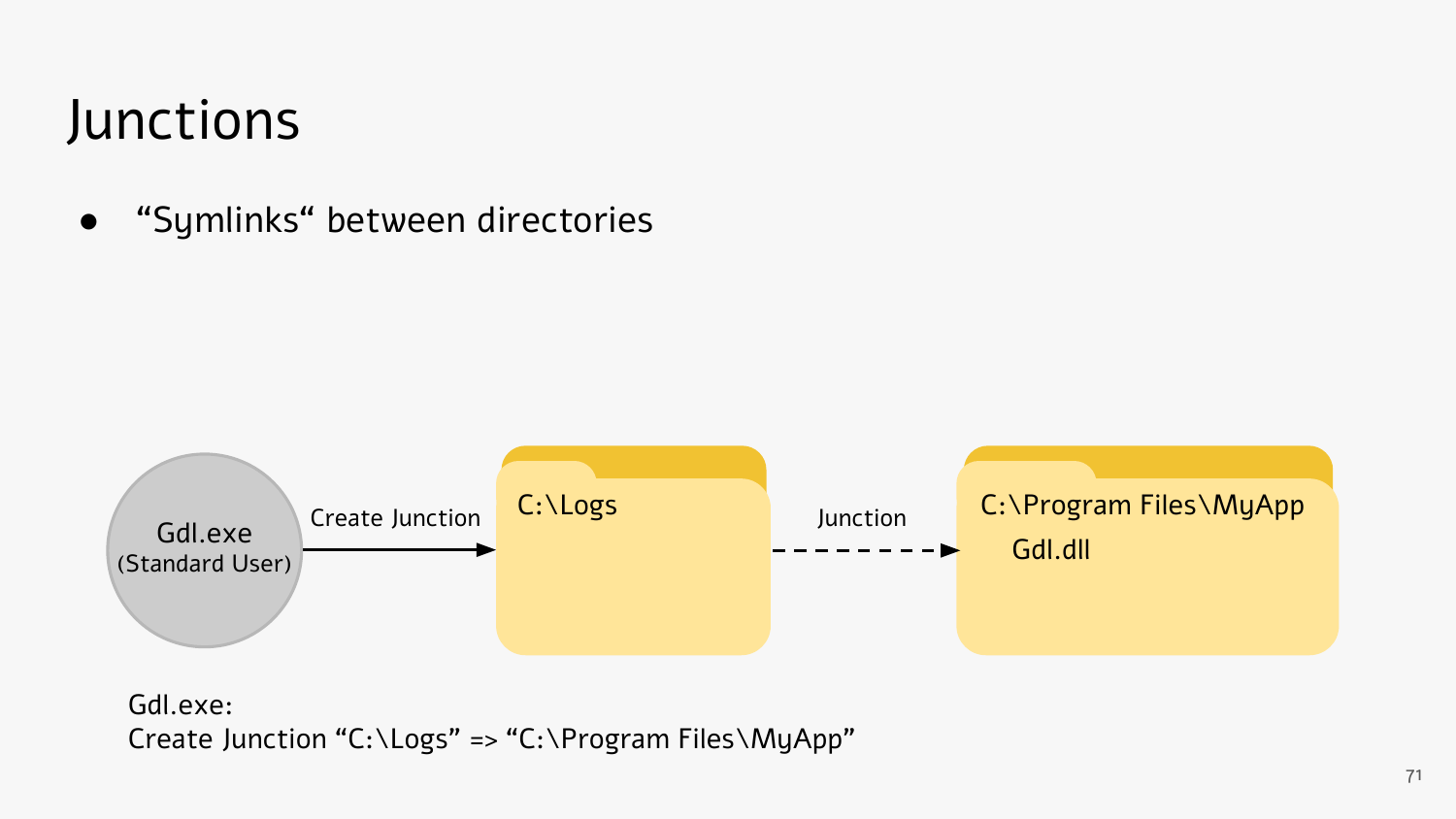### Junctions

● "Symlinks" between directories



Gdl.exe: Create Junction "C:\Logs" => "C:\Program Files\MyApp"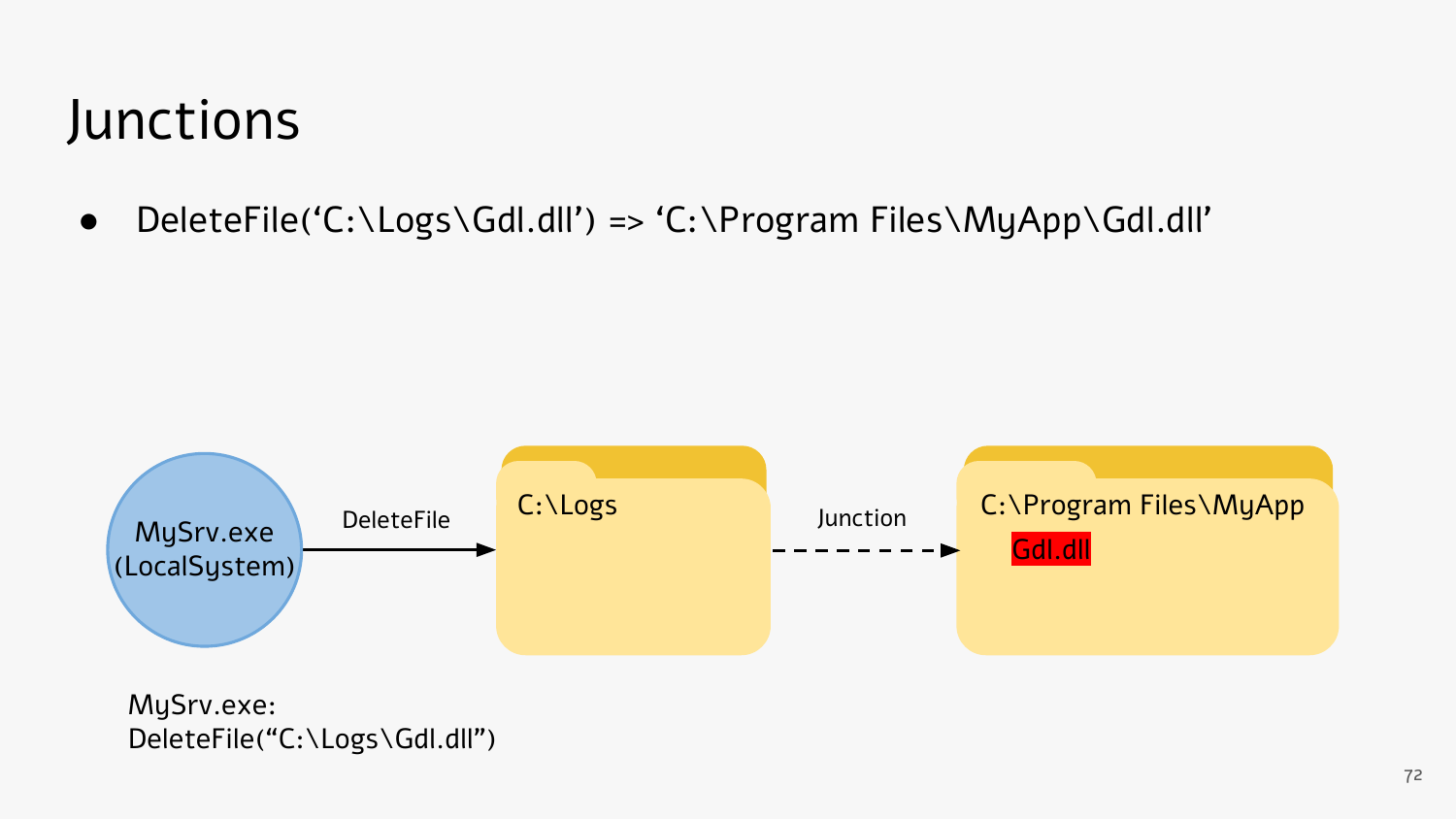### Junctions

● DeleteFile('C:\Logs\Gdl.dll') => 'C:\Program Files\MyApp\Gdl.dll'



MySrv.exe: DeleteFile("C:\Logs\Gdl.dll")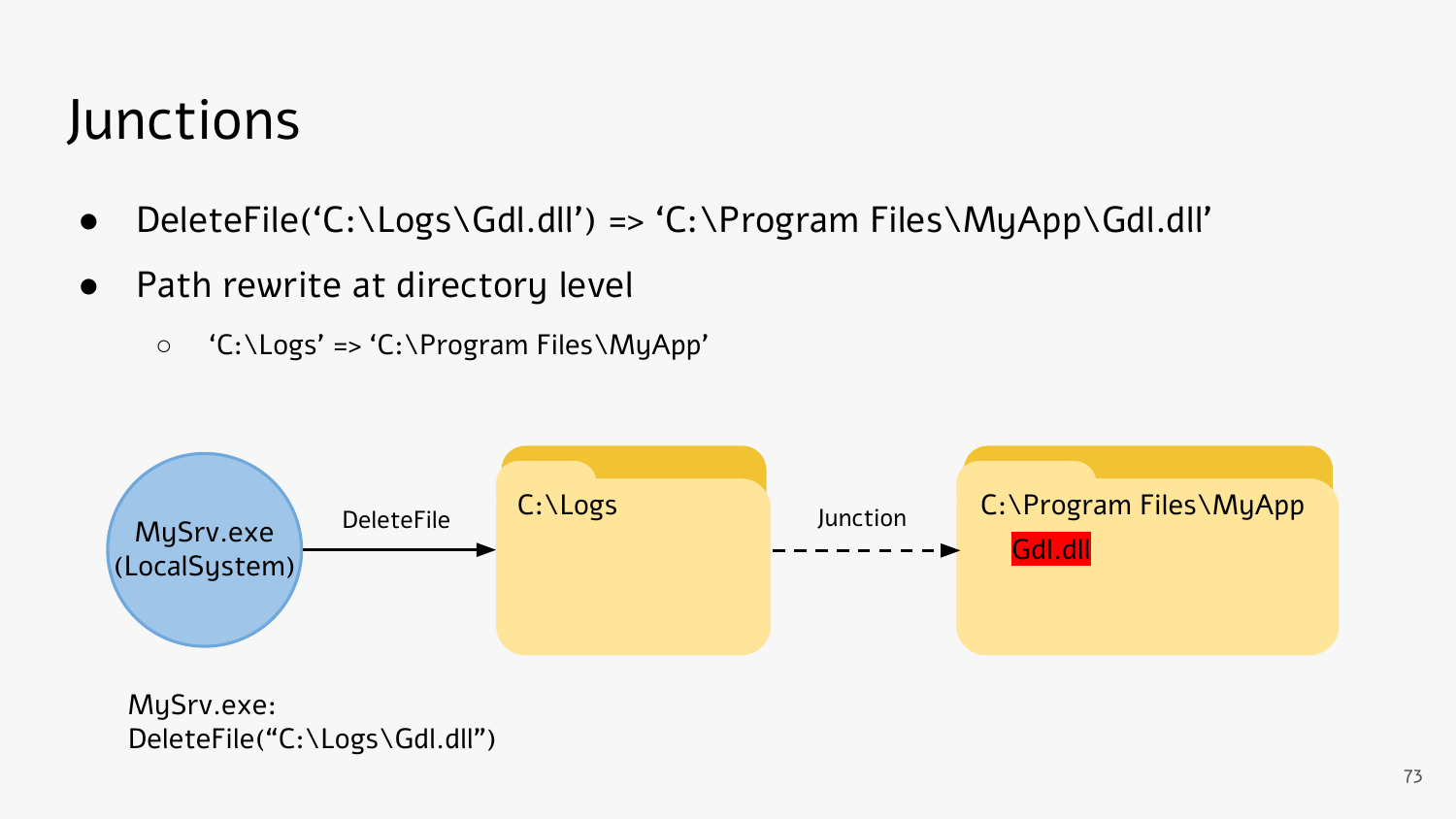#### Junctions

- DeleteFile('C:\Logs\Gdl.dll') => 'C:\Program Files\MyApp\Gdl.dll'
- Path rewrite at directory level
	- 'C:\Logs' => 'C:\Program Files\MyApp'



MySrv.exe: DeleteFile("C:\Logs\Gdl.dll")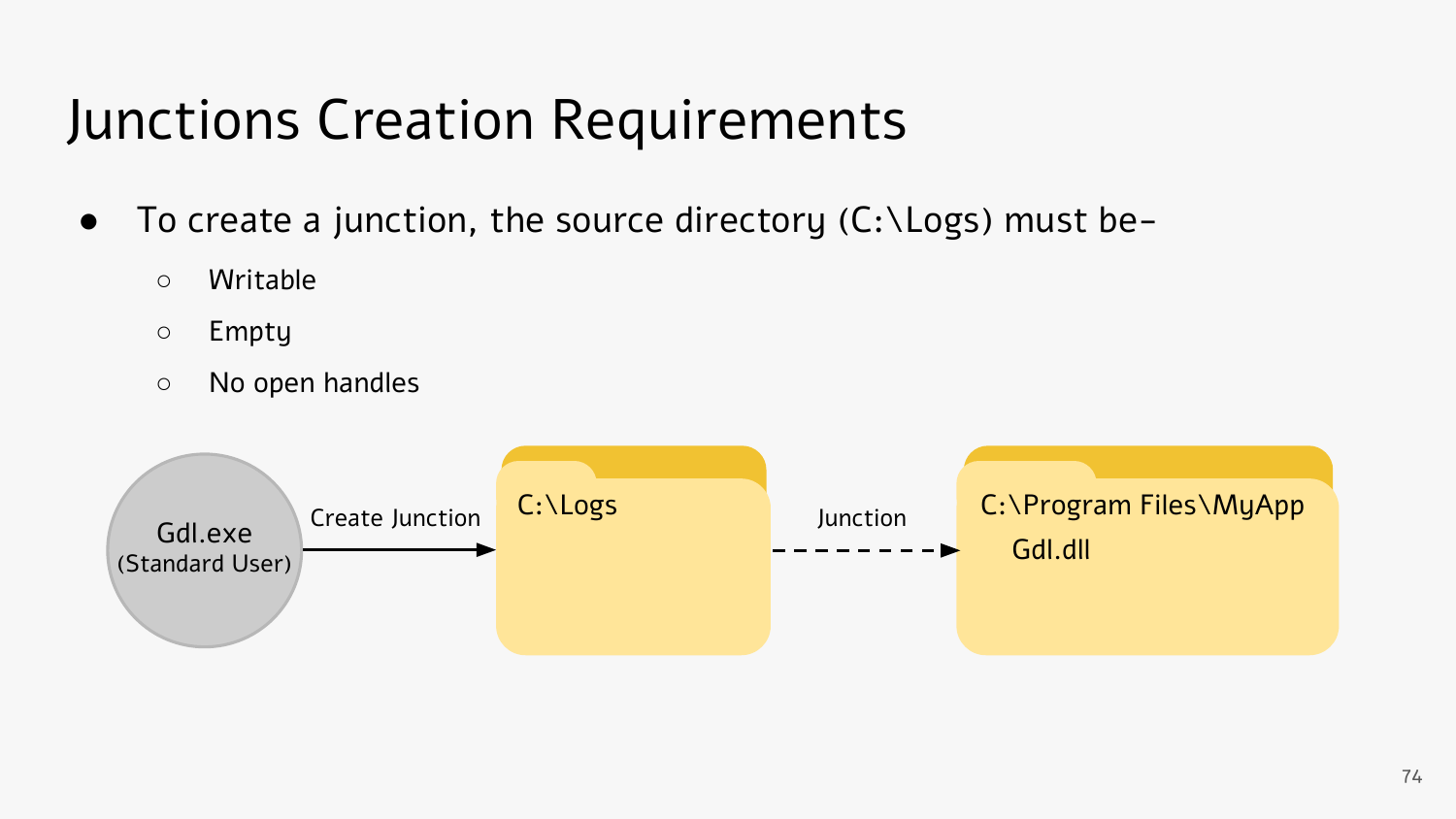### Junctions Creation Requirements

- $\bullet$  To create a junction, the source directory (C:\Logs) must be-
	- Writable
	- Empty
	- No open handles

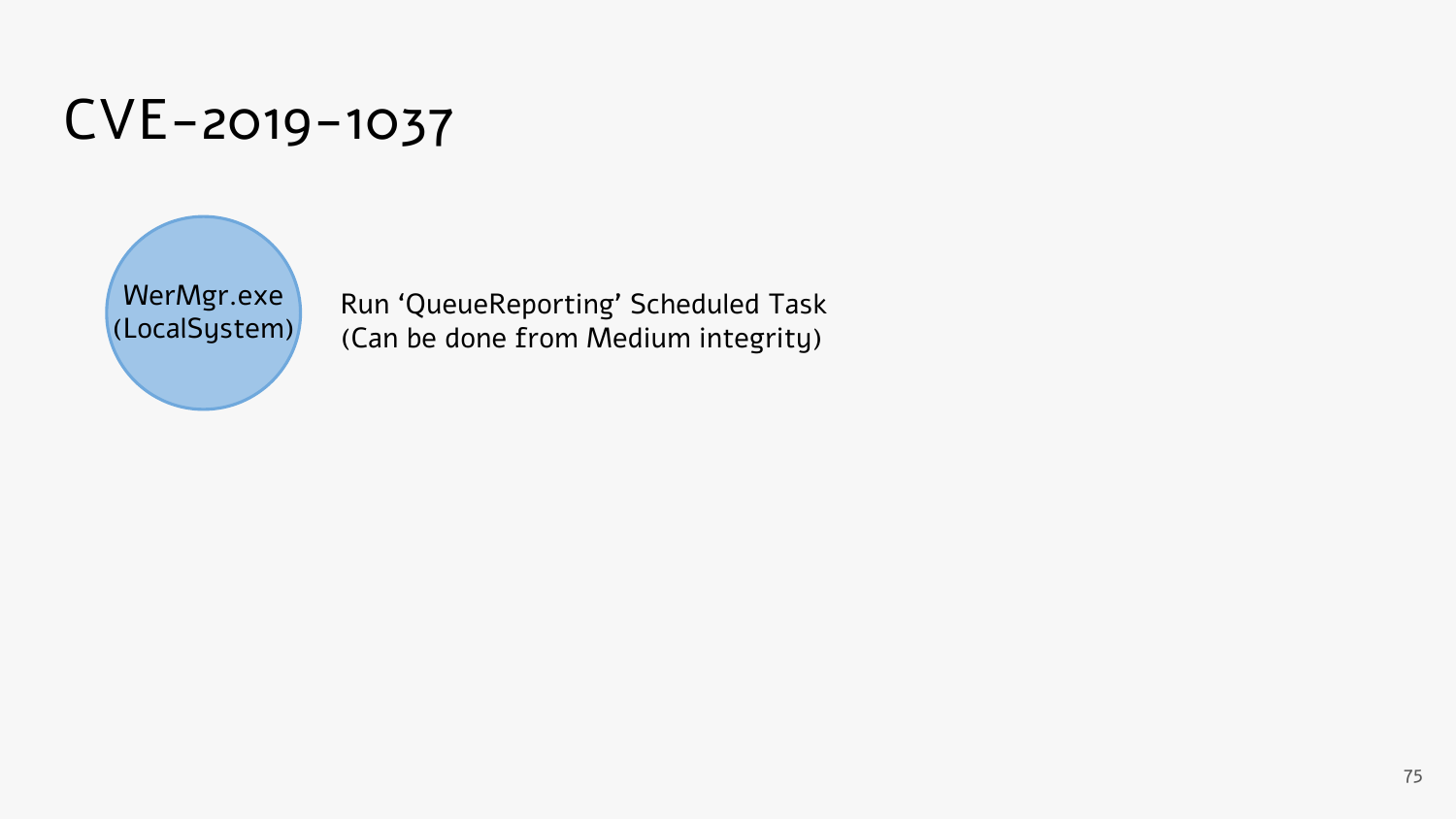### CVE-2019-1037



Run 'QueueReporting' Scheduled Task (Can be done from Medium integrity)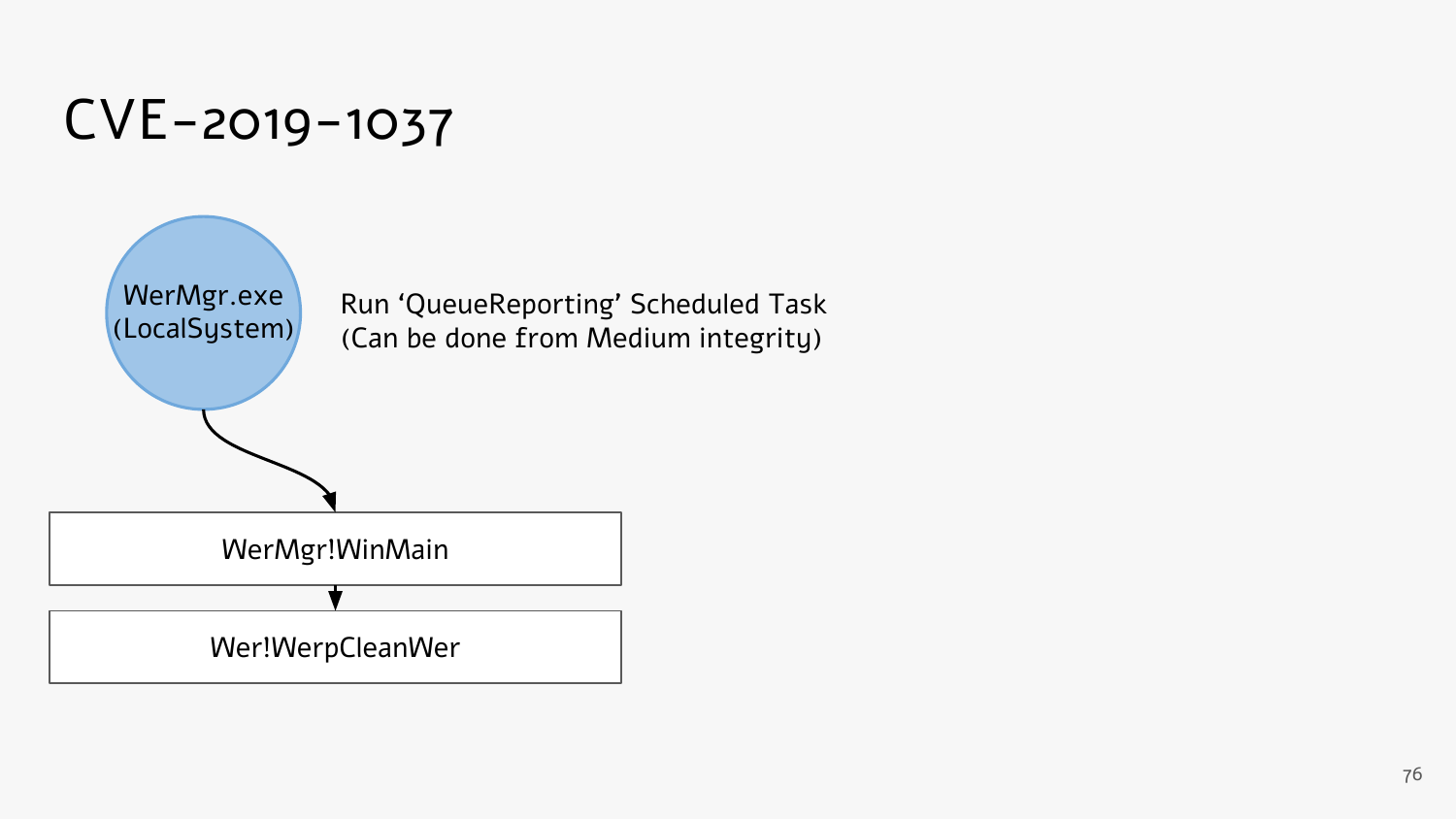

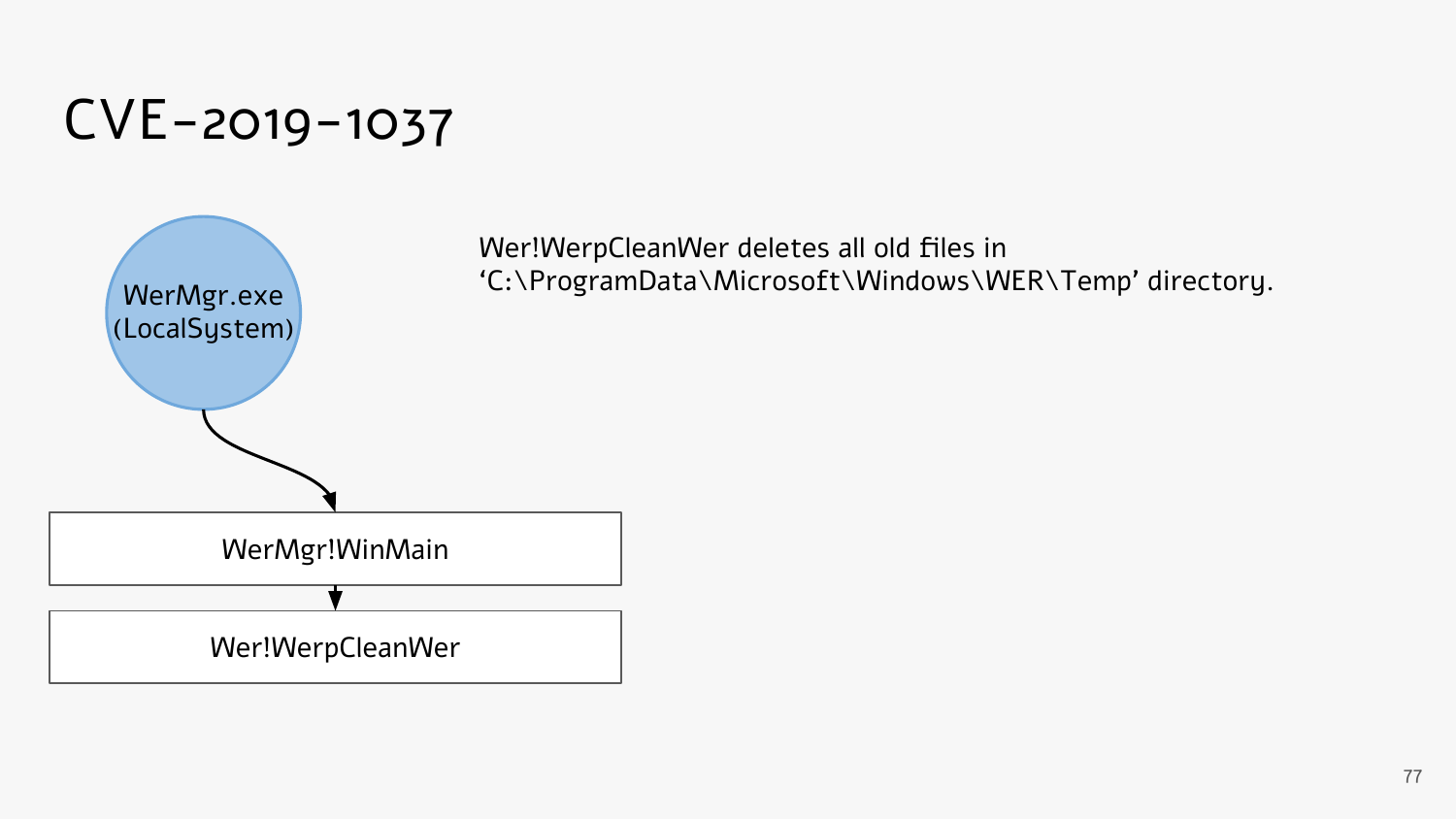### CVE-2019-1037



Wer!WerpCleanWer deletes all old files in 'C:\ProgramData\Microsoft\Windows\WER\Temp' directory.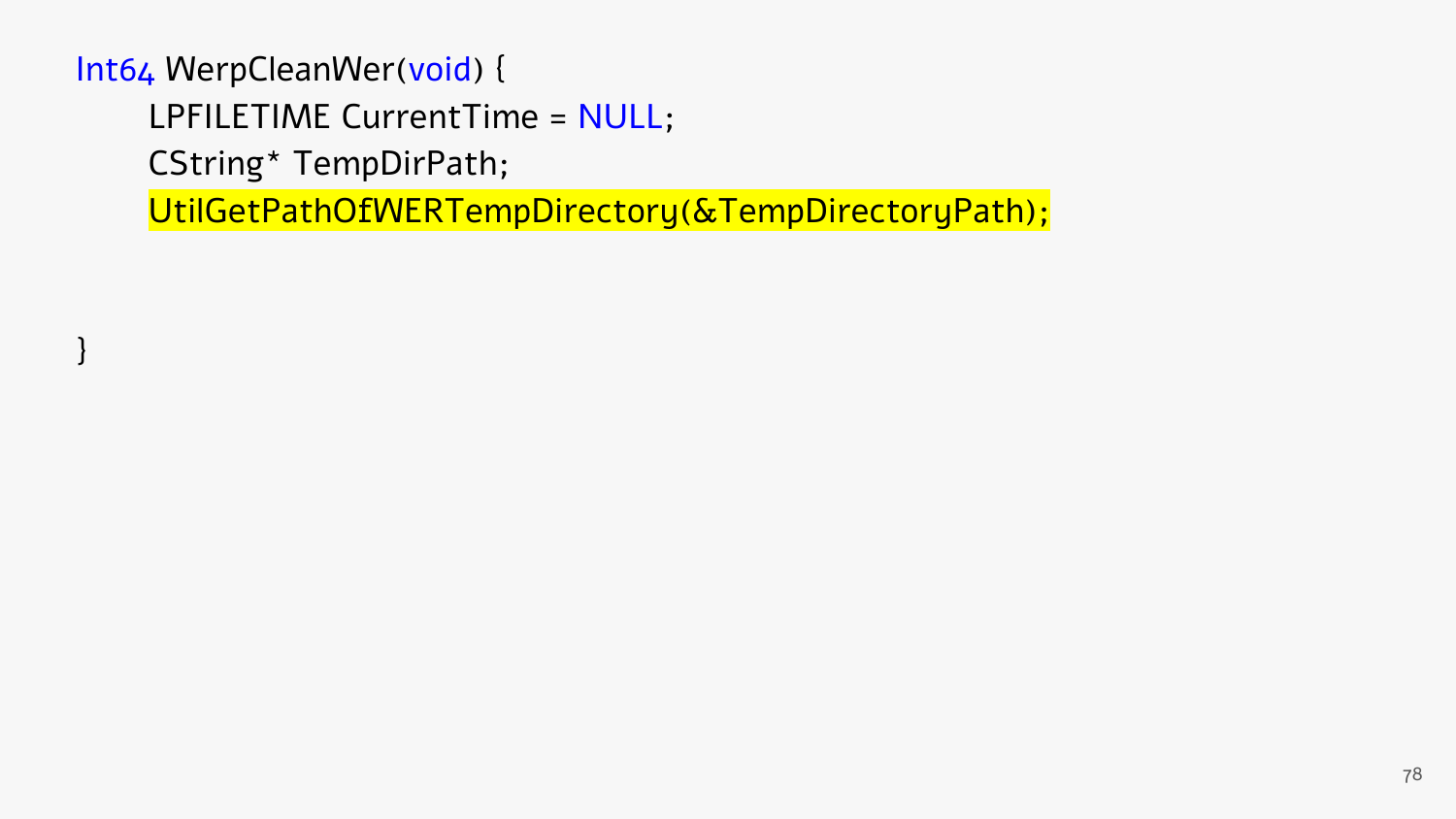}

LPFILETIME CurrentTime = NULL;

CString\* TempDirPath;

UtilGetPathOfWERTempDirectory(&TempDirectoryPath);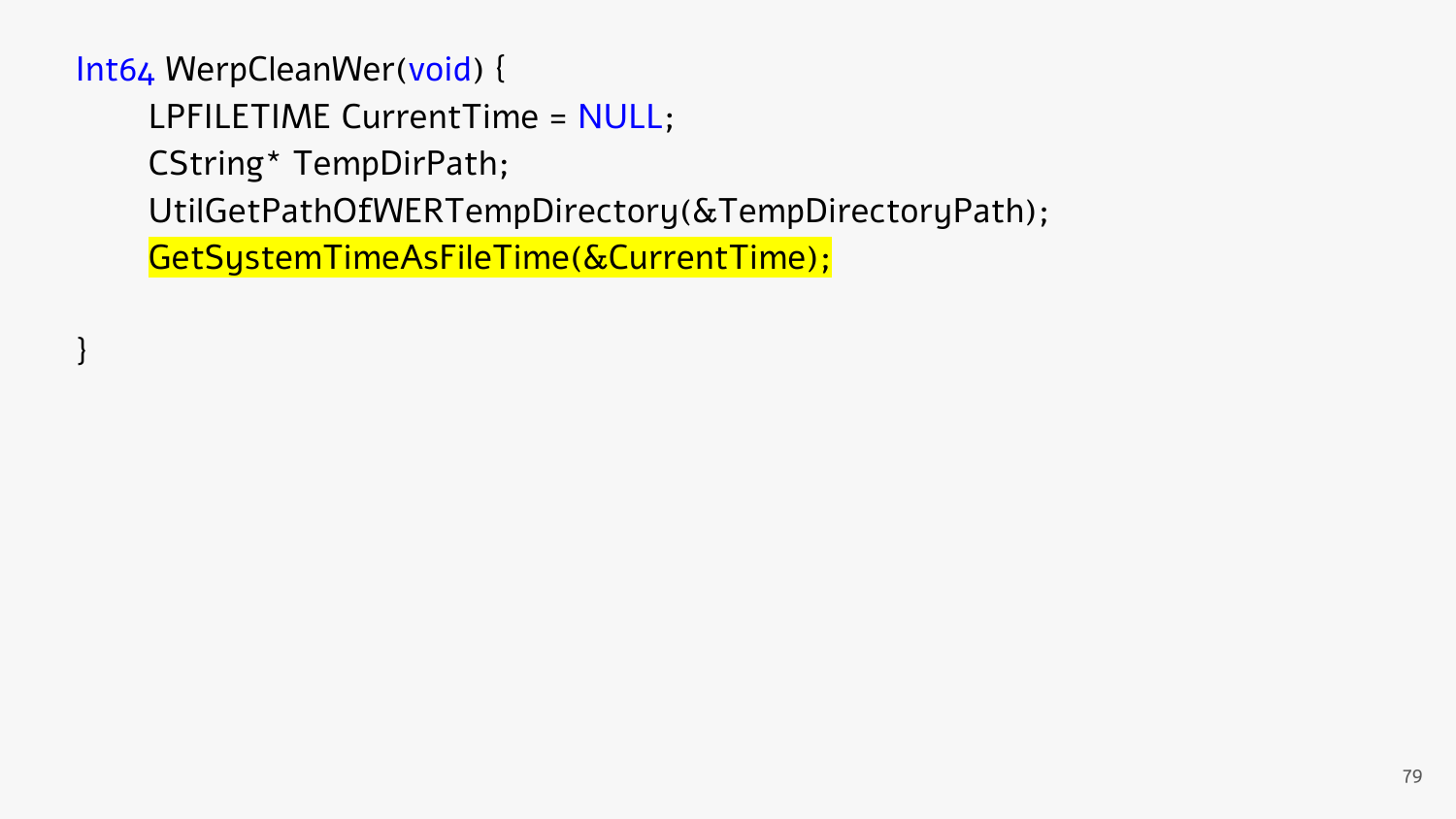}

LPFILETIME CurrentTime = NULL;

CString\* TempDirPath;

UtilGetPathOfWERTempDirectory(&TempDirectoryPath);

GetSystemTimeAsFileTime(&CurrentTime);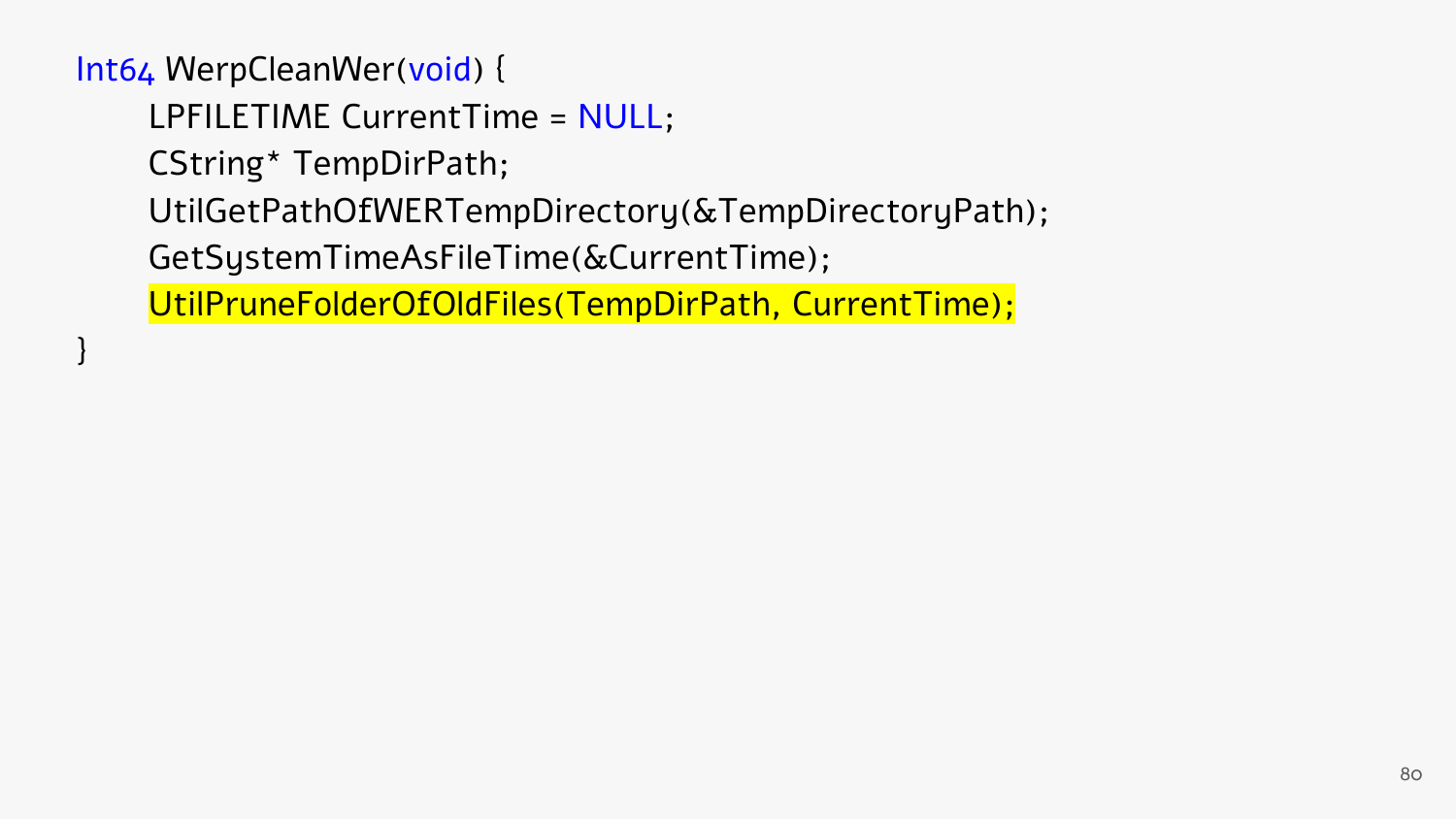}

LPFILETIME CurrentTime = NULL;

CString\* TempDirPath;

UtilGetPathOfWERTempDirectory(&TempDirectoryPath);

GetSystemTimeAsFileTime(&CurrentTime);

UtilPruneFolderOfOldFiles(TempDirPath, CurrentTime);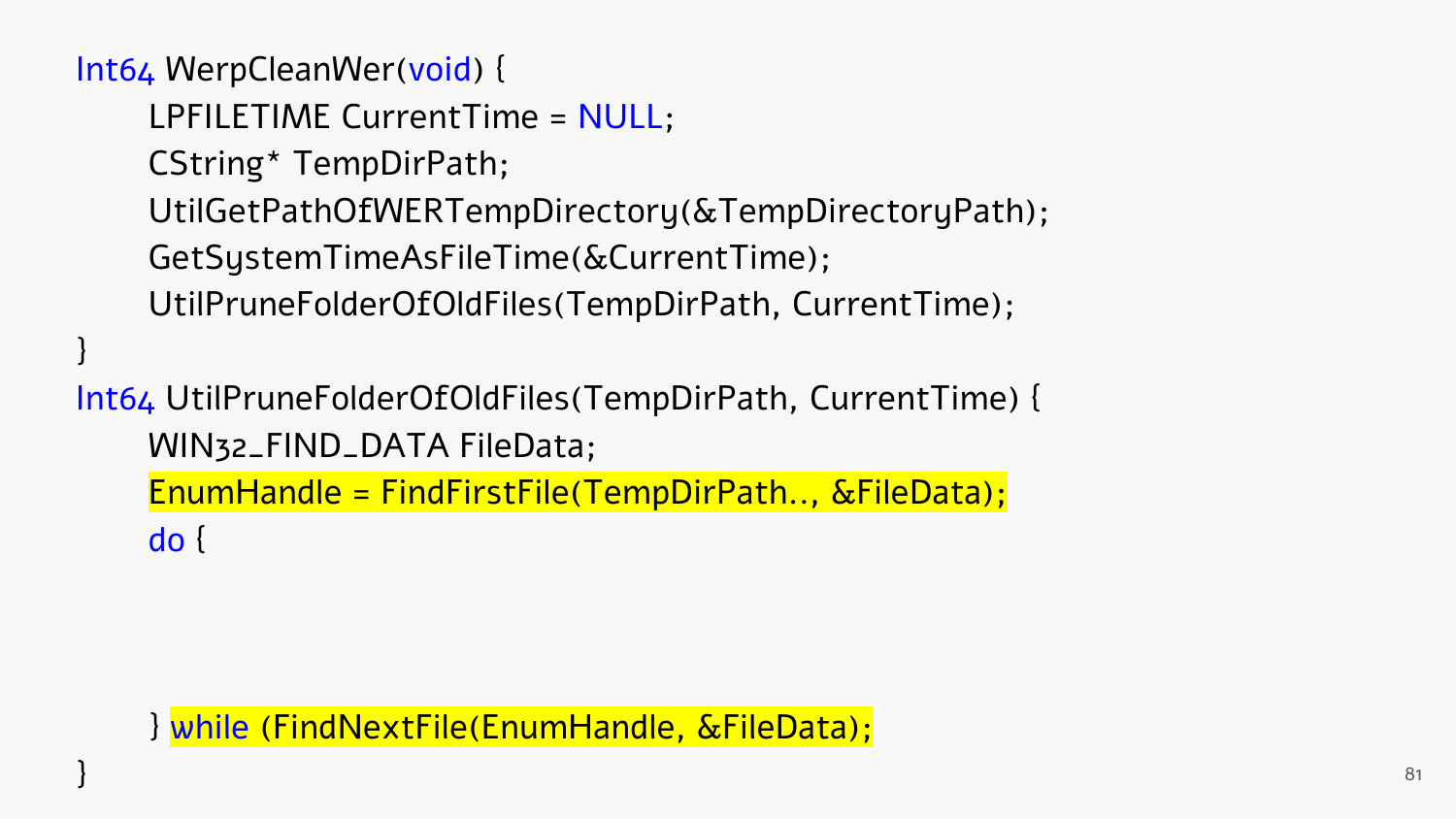}

LPFILETIME CurrentTime = NULL; CString\* TempDirPath; UtilGetPathOfWERTempDirectory(&TempDirectoryPath); GetSystemTimeAsFileTime(&CurrentTime); UtilPruneFolderOfOldFiles(TempDirPath, CurrentTime);

Int64 UtilPruneFolderOfOldFiles(TempDirPath, CurrentTime) { WIN32\_FIND\_DATA FileData;

EnumHandle = FindFirstFile(TempDirPath.., &FileData); do {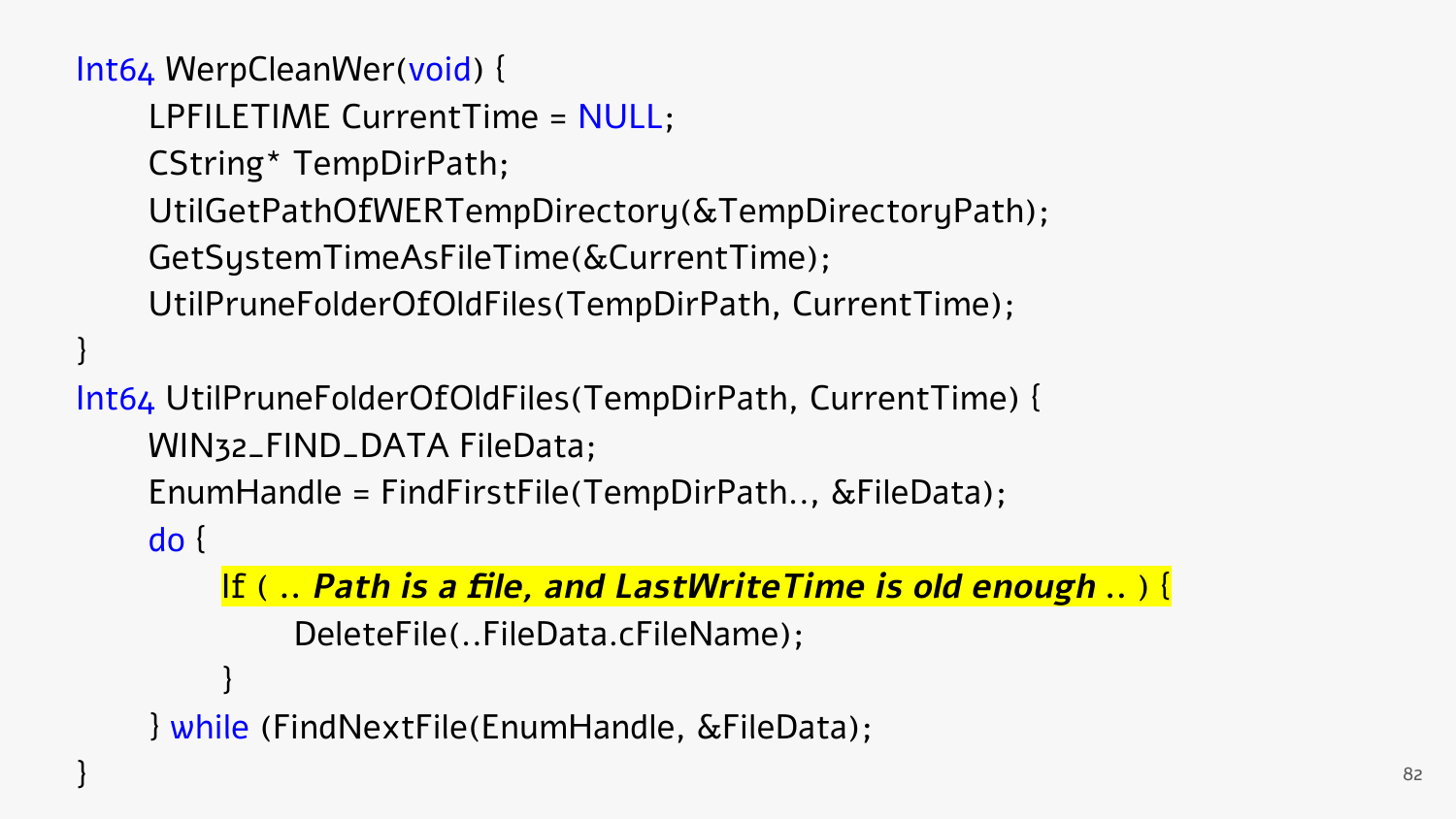```
LPFILETIME CurrentTime = NULL;
CString* TempDirPath;
UtilGetPathOfWERTempDirectory(&TempDirectoryPath);
GetSystemTimeAsFileTime(&CurrentTime);
UtilPruneFolderOfOldFiles(TempDirPath, CurrentTime);
```
Int64 UtilPruneFolderOfOldFiles(TempDirPath, CurrentTime) { WIN32\_FIND\_DATA FileData; EnumHandle = FindFirstFile(TempDirPath.., &FileData);

do {

}

```
If ( .. Path is a file, and LastWriteTime is old enough .. ) {
         DeleteFile(..FileData.cFileName);
     }
} while (FindNextFile(EnumHandle, &FileData);
```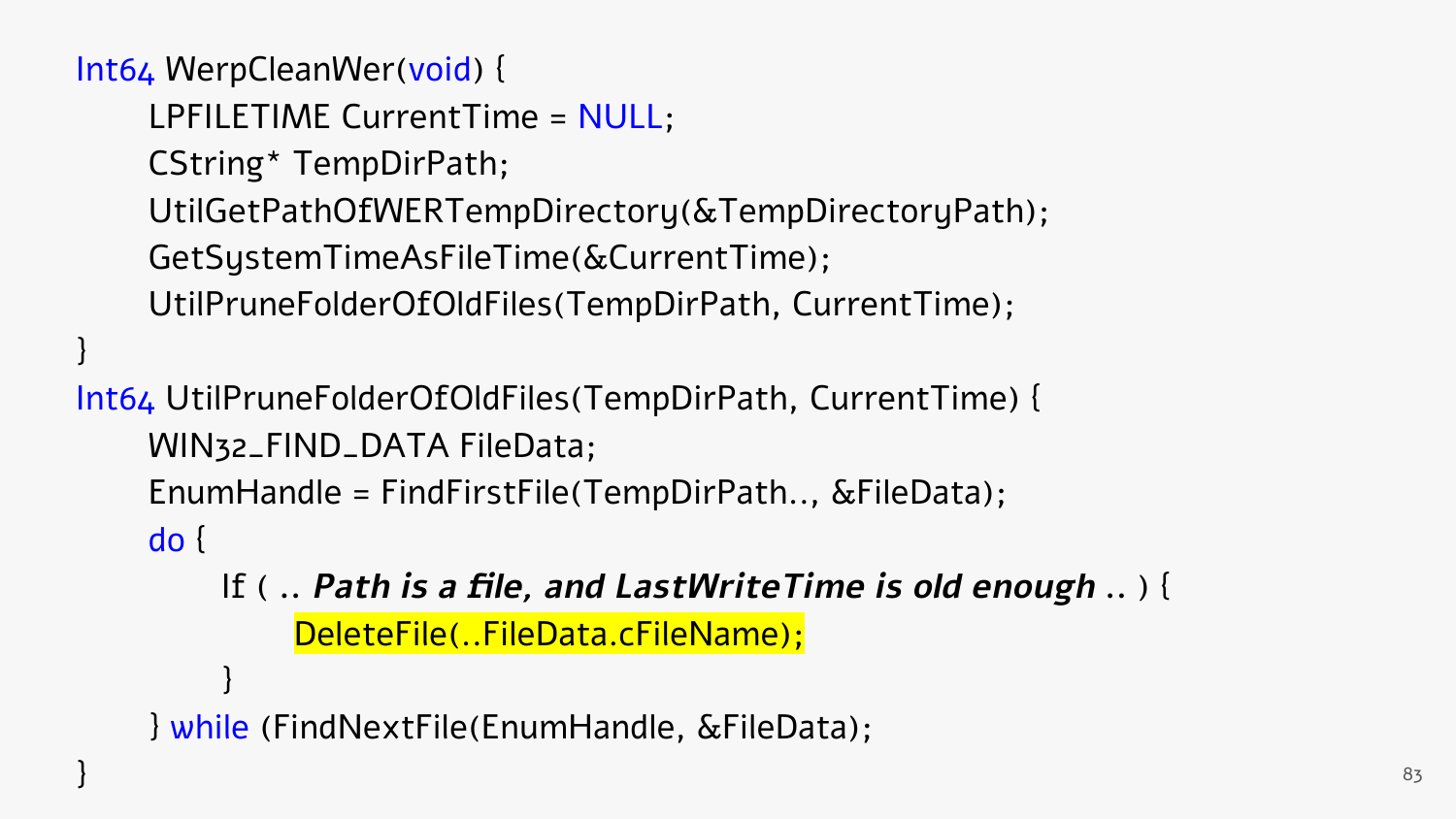```
LPFILETIME CurrentTime = NULL;
CString* TempDirPath;
UtilGetPathOfWERTempDirectory(&TempDirectoryPath);
GetSystemTimeAsFileTime(&CurrentTime);
UtilPruneFolderOfOldFiles(TempDirPath, CurrentTime);
```
Int64 UtilPruneFolderOfOldFiles(TempDirPath, CurrentTime) { WIN32\_FIND\_DATA FileData; EnumHandle = FindFirstFile(TempDirPath.., &FileData);

do {

}

If ( **.. Path is a file, and LastWriteTime is old enough ..** ) { DeleteFile(..FileData.cFileName); }

```
} while (FindNextFile(EnumHandle, &FileData);
```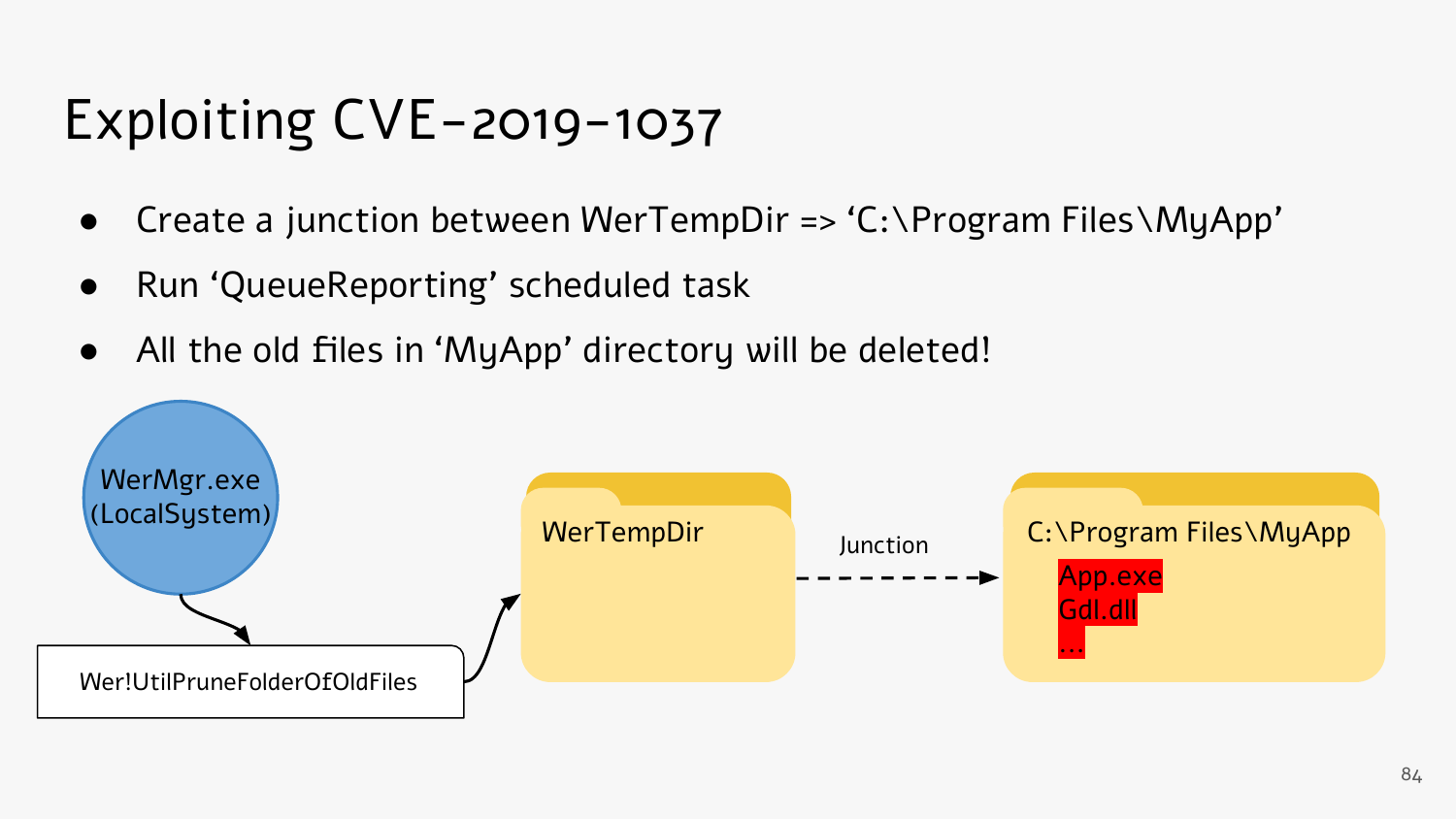# Exploiting CVE-2019-1037

- Create a junction between WerTempDir => 'C:\Program Files\MyApp'
- Run 'QueueReporting' scheduled task
- All the old files in 'MyApp' directory will be deleted!

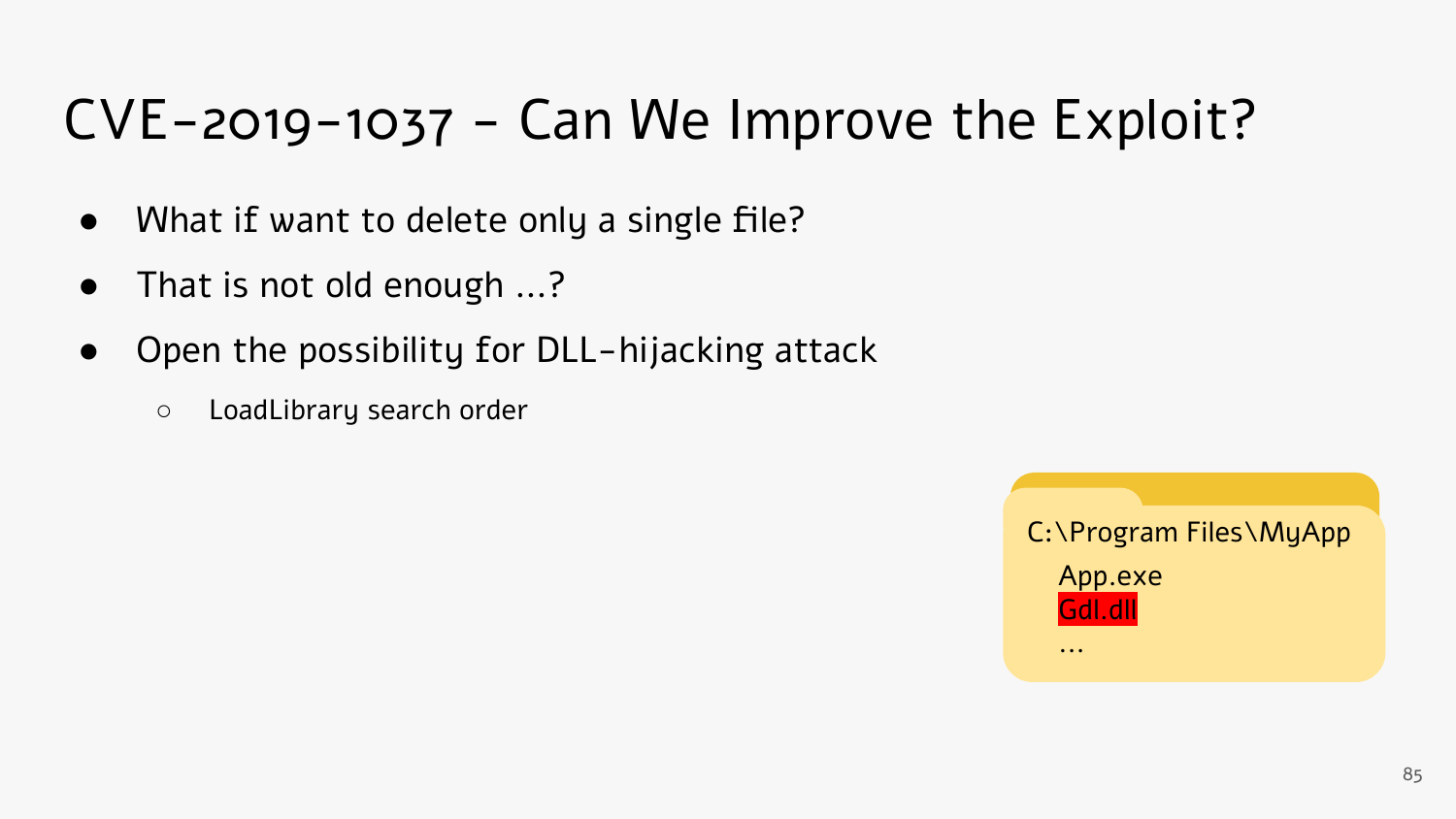# CVE-2019-1037 - Can We Improve the Exploit?

- What if want to delete only a single file?
- That is not old enough ...?
- Open the possibility for DLL-hijacking attack
	- LoadLibrary search order

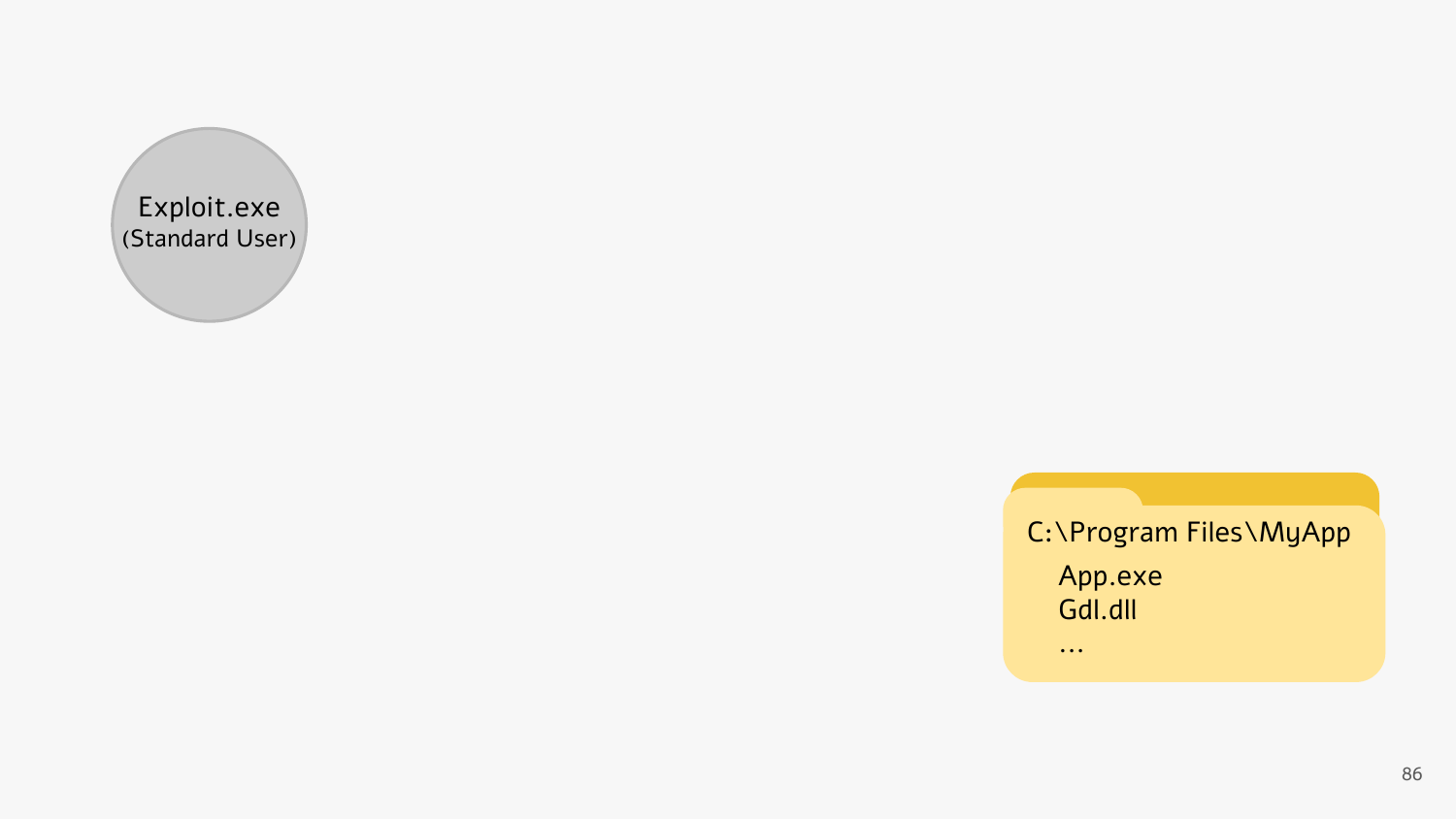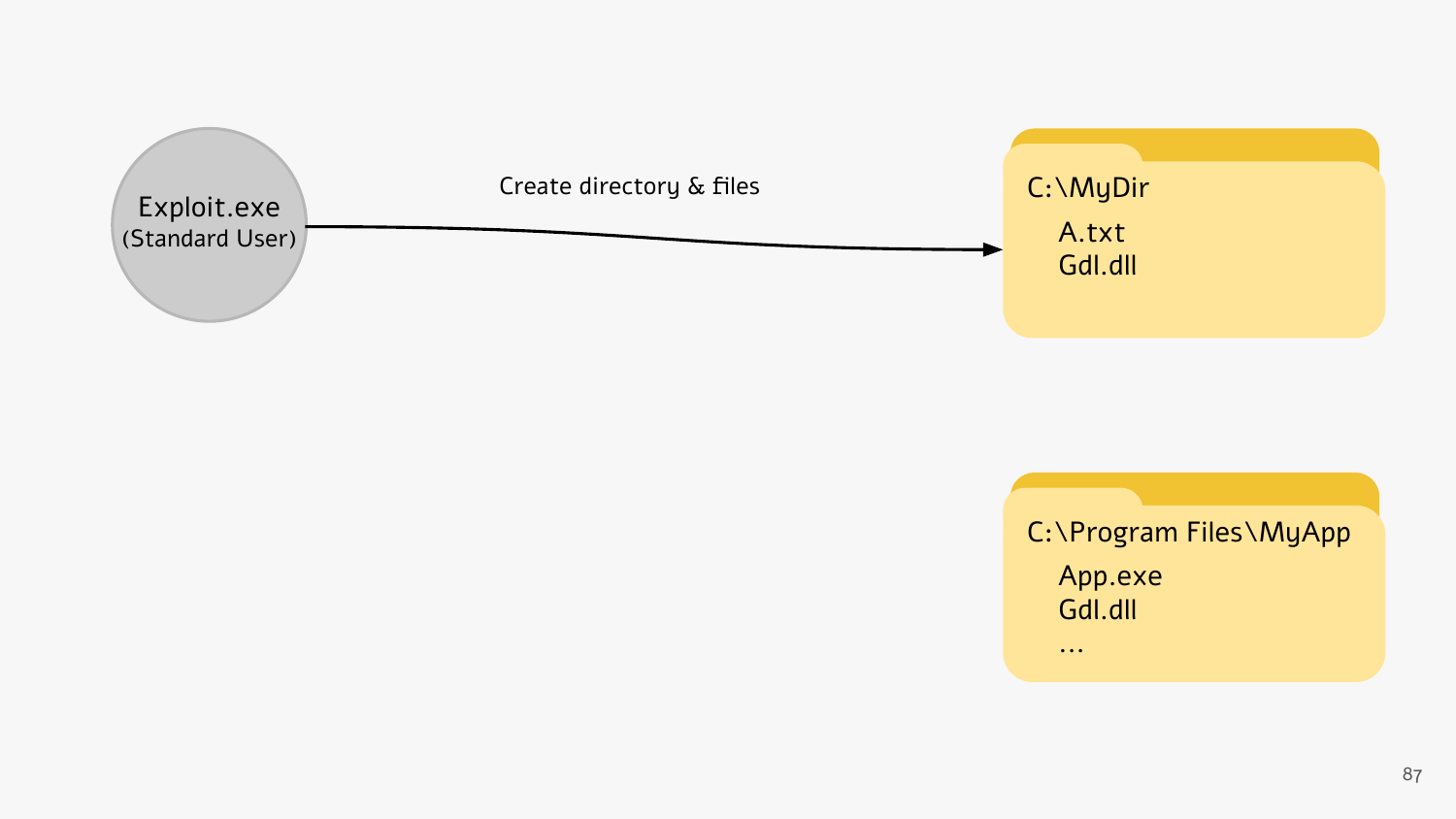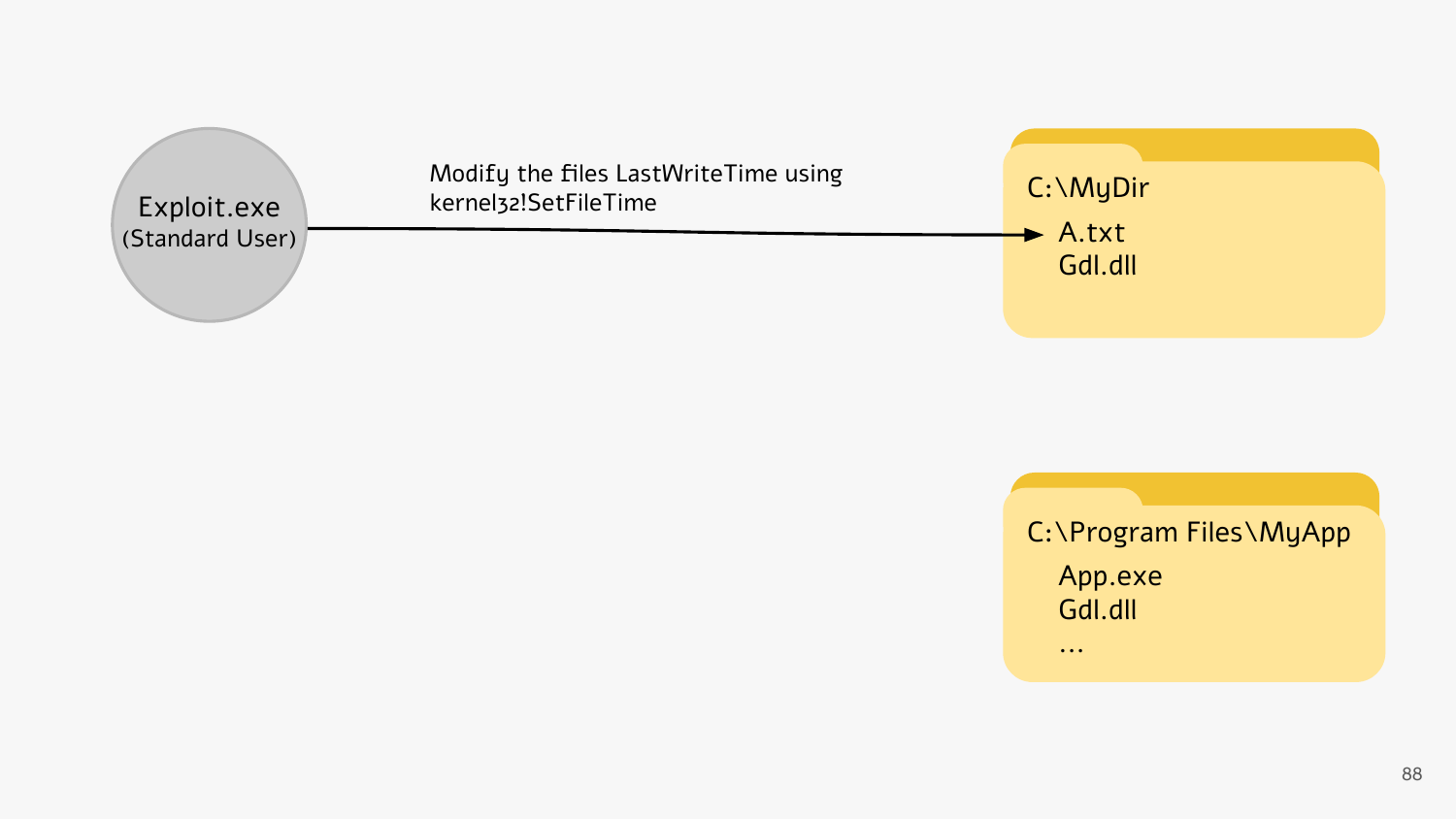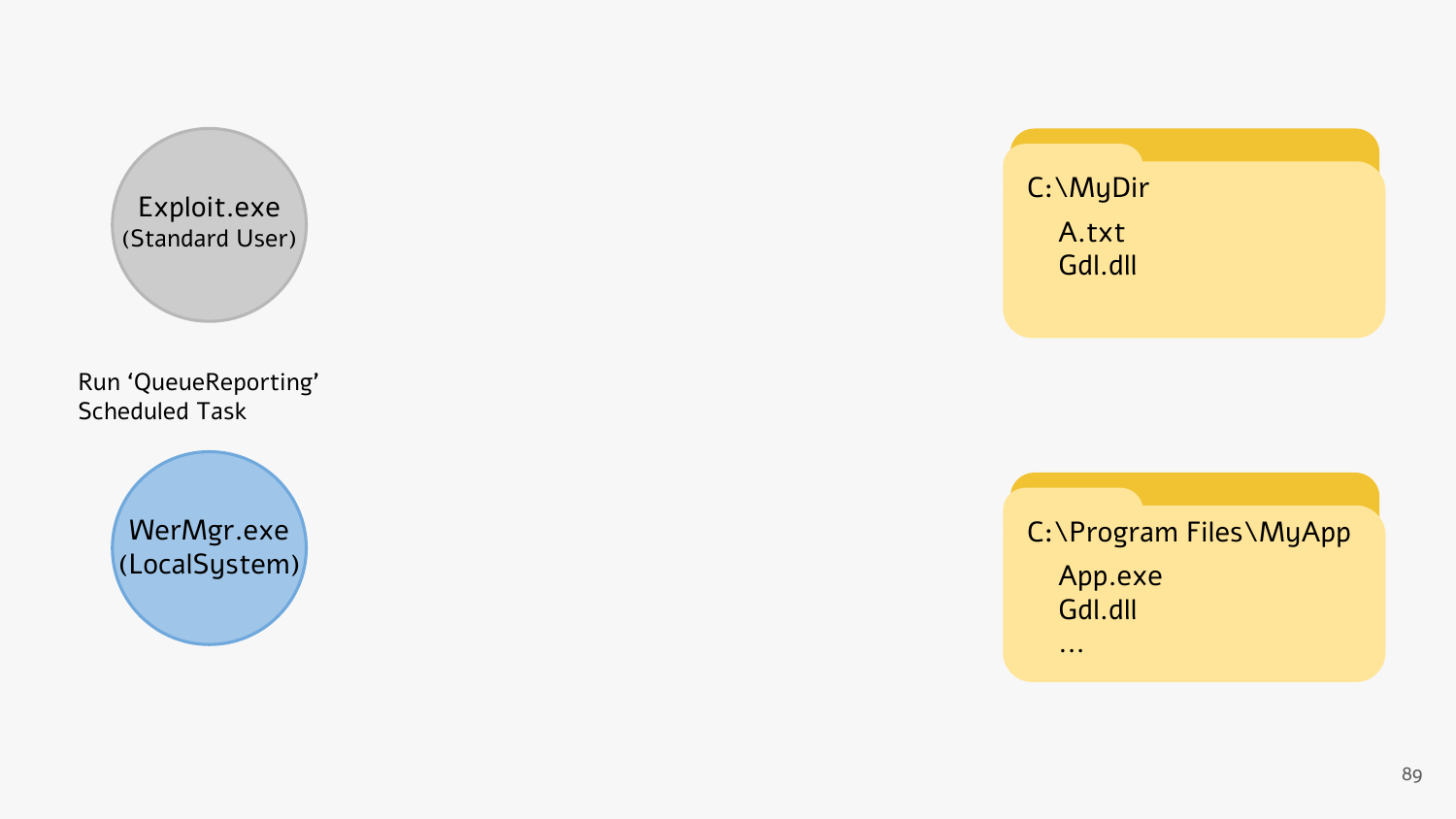Exploit.exe (Standard User)

Run 'QueueReporting' Scheduled Task

> WerMgr.exe (LocalSystem)

C:\MyDir A.txt Gdl.dll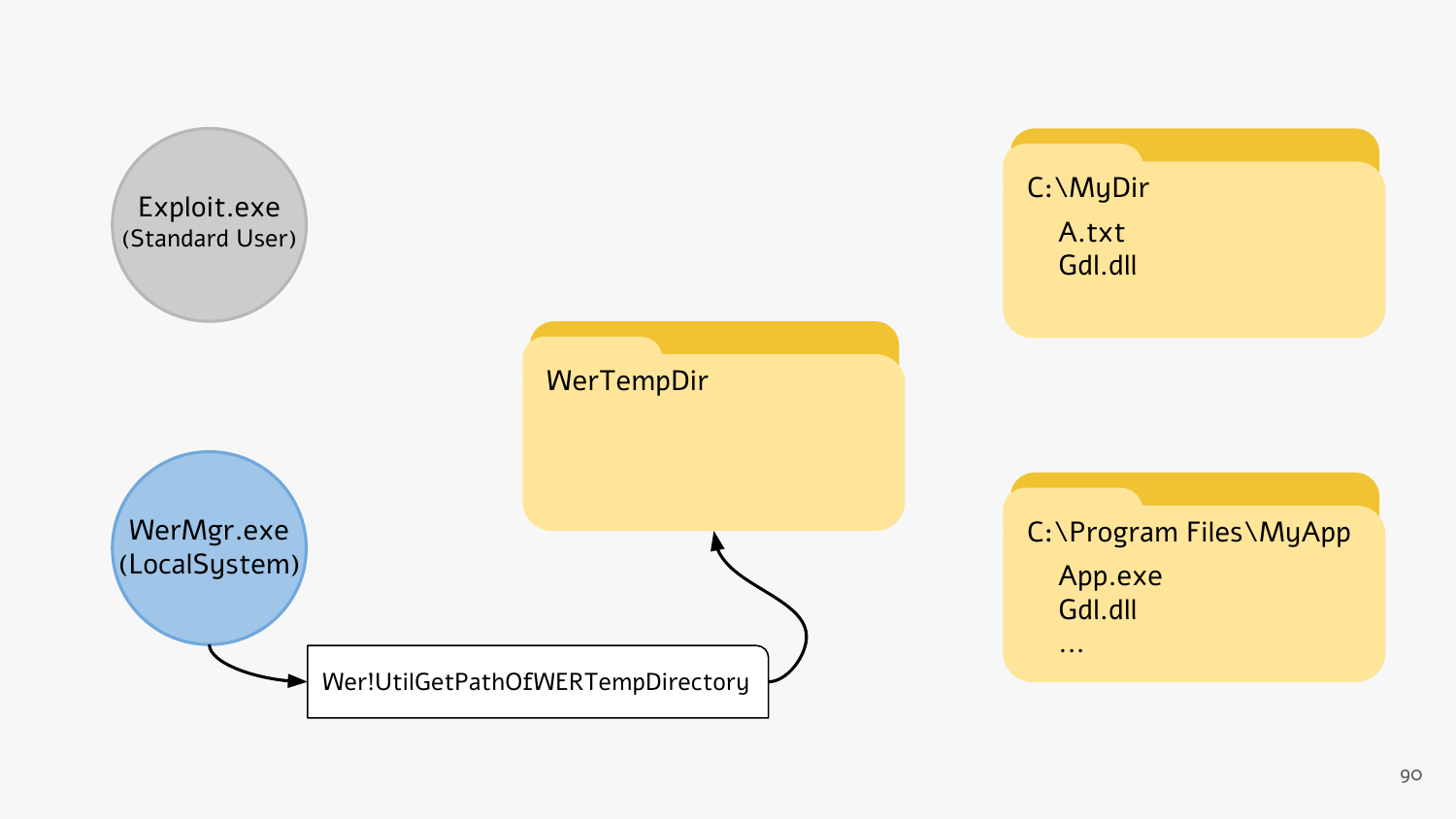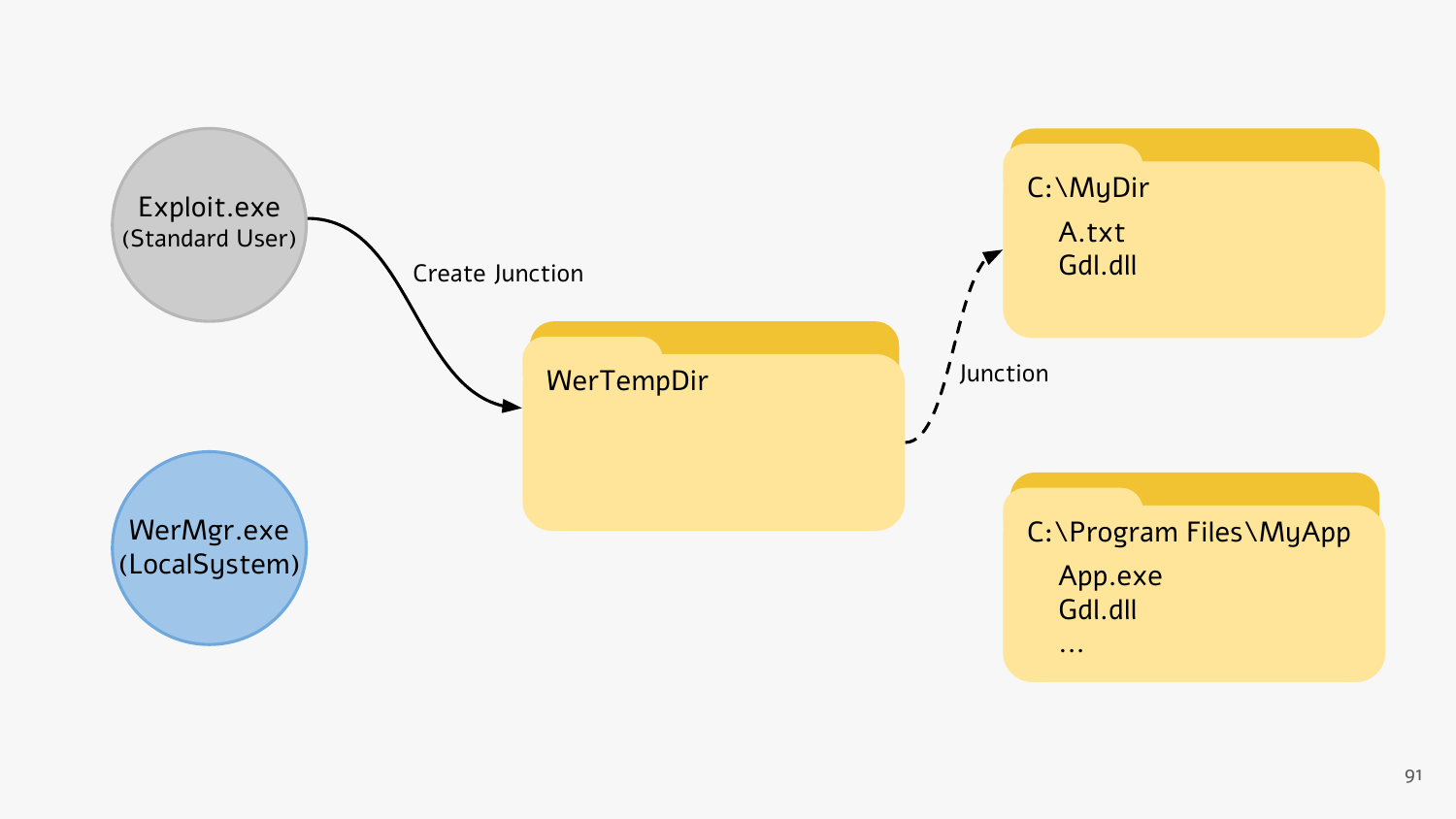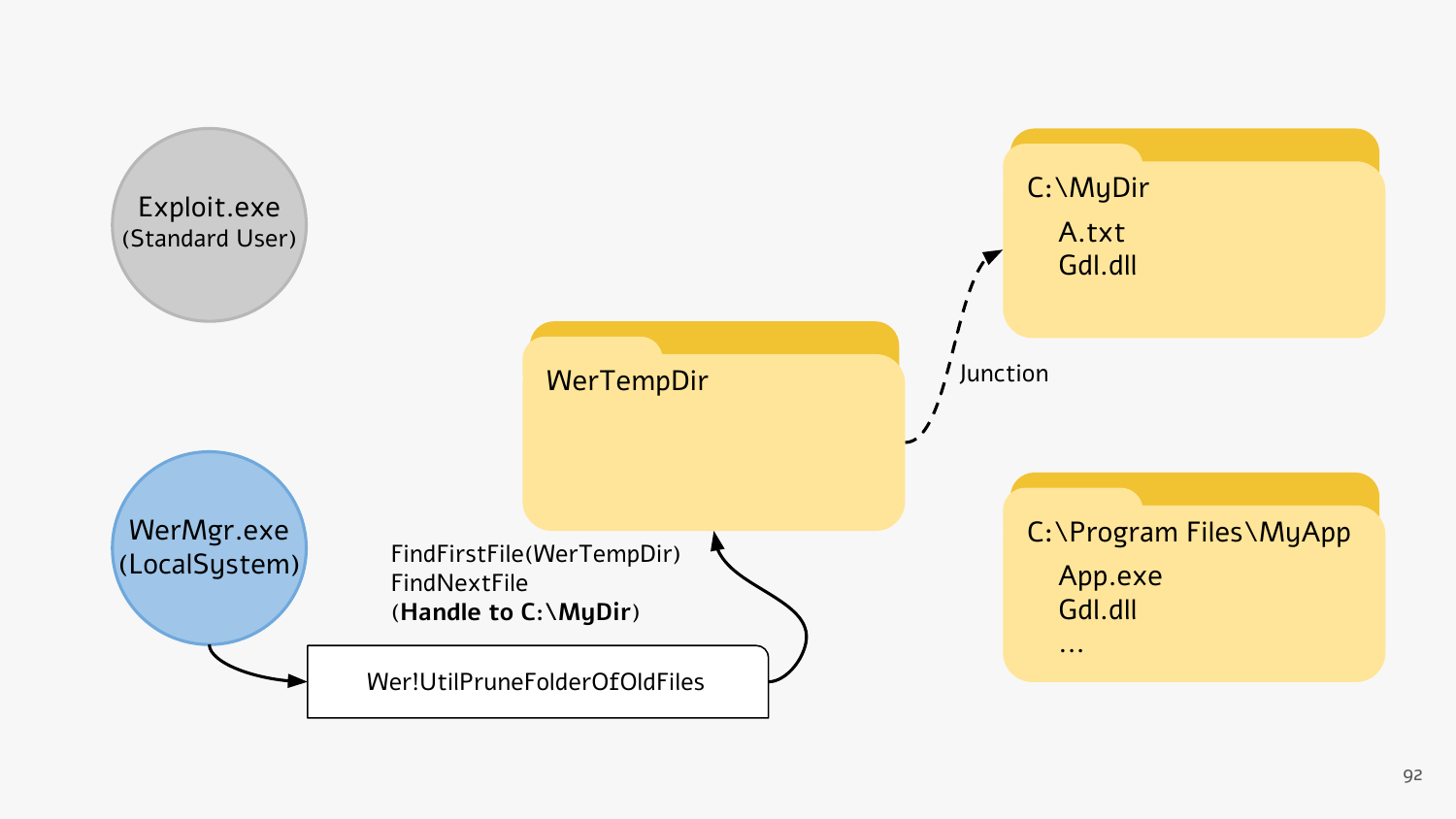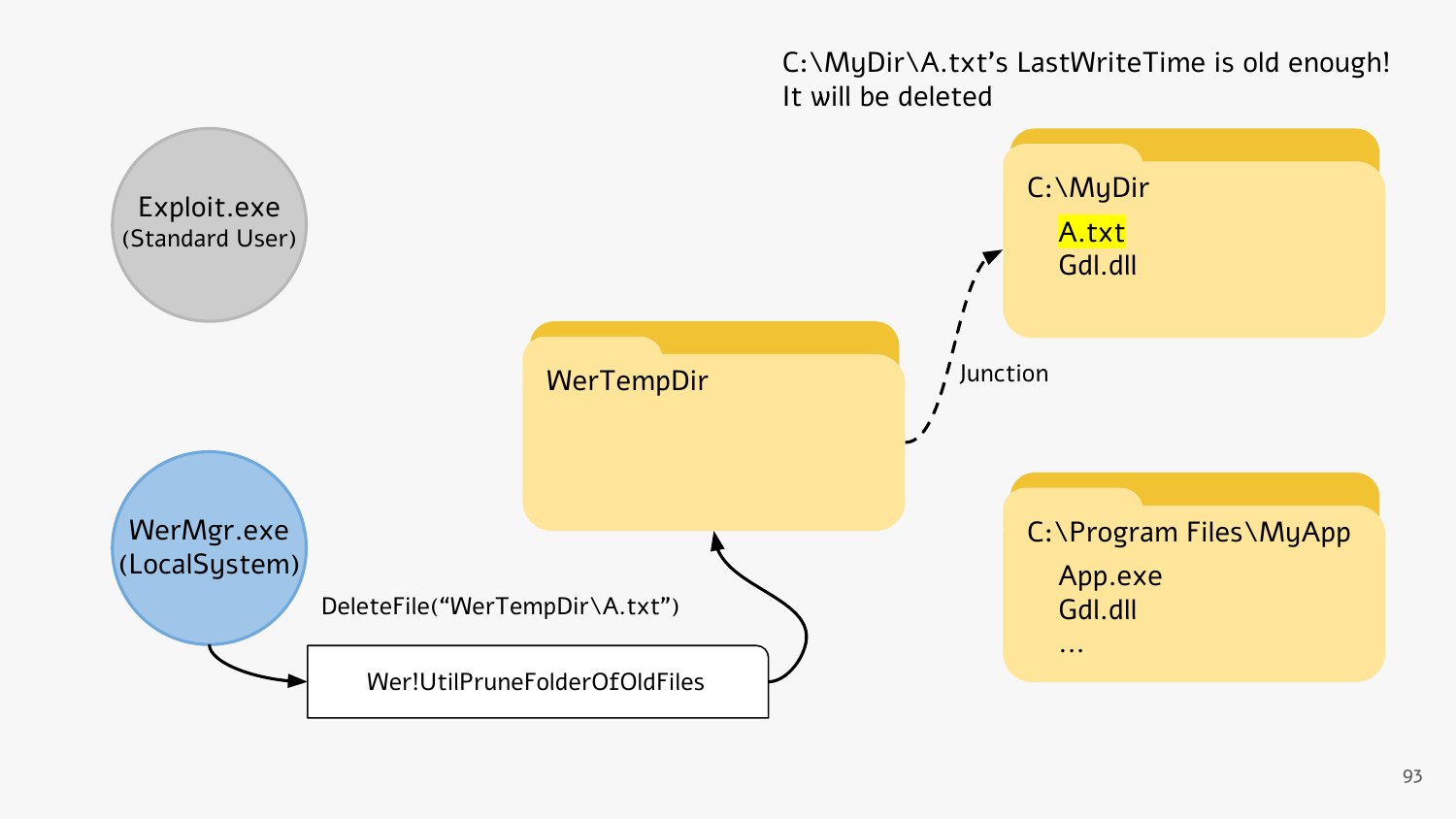C:\MyDir\A.txt's LastWriteTime is old enough! It will be deleted

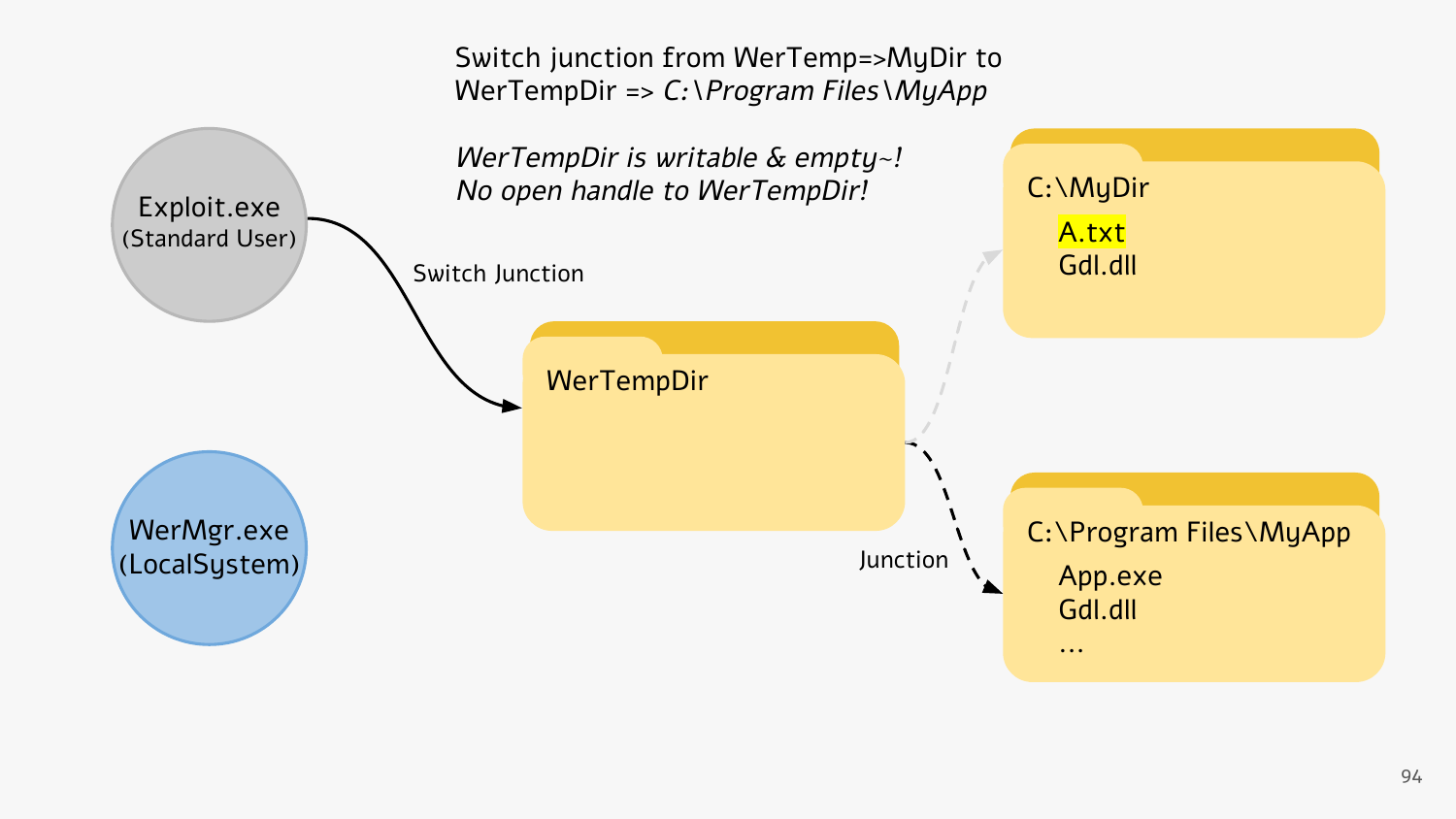Switch junction from WerTemp=>MyDir to WerTempDir => C:\Program Files\MyApp

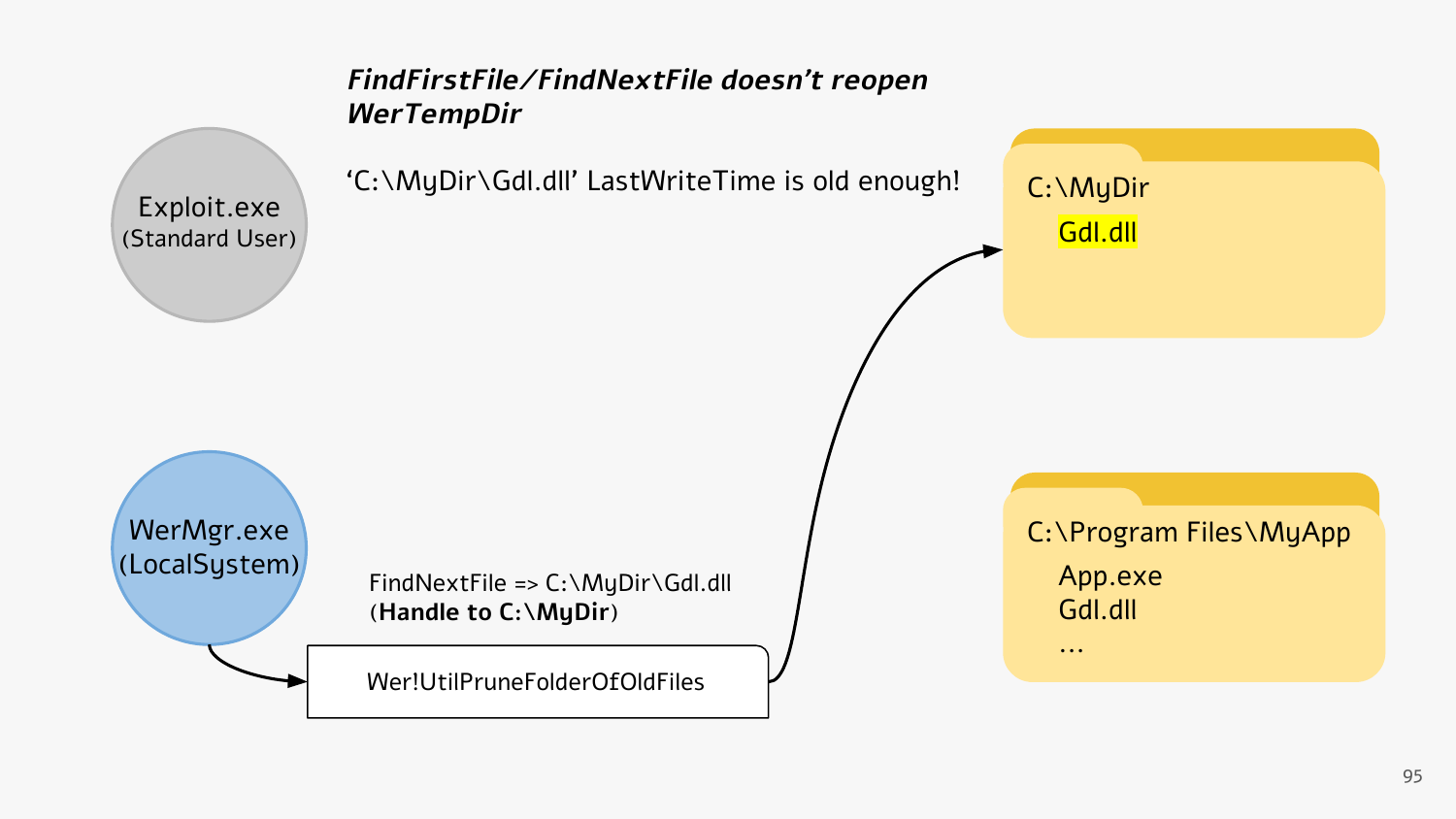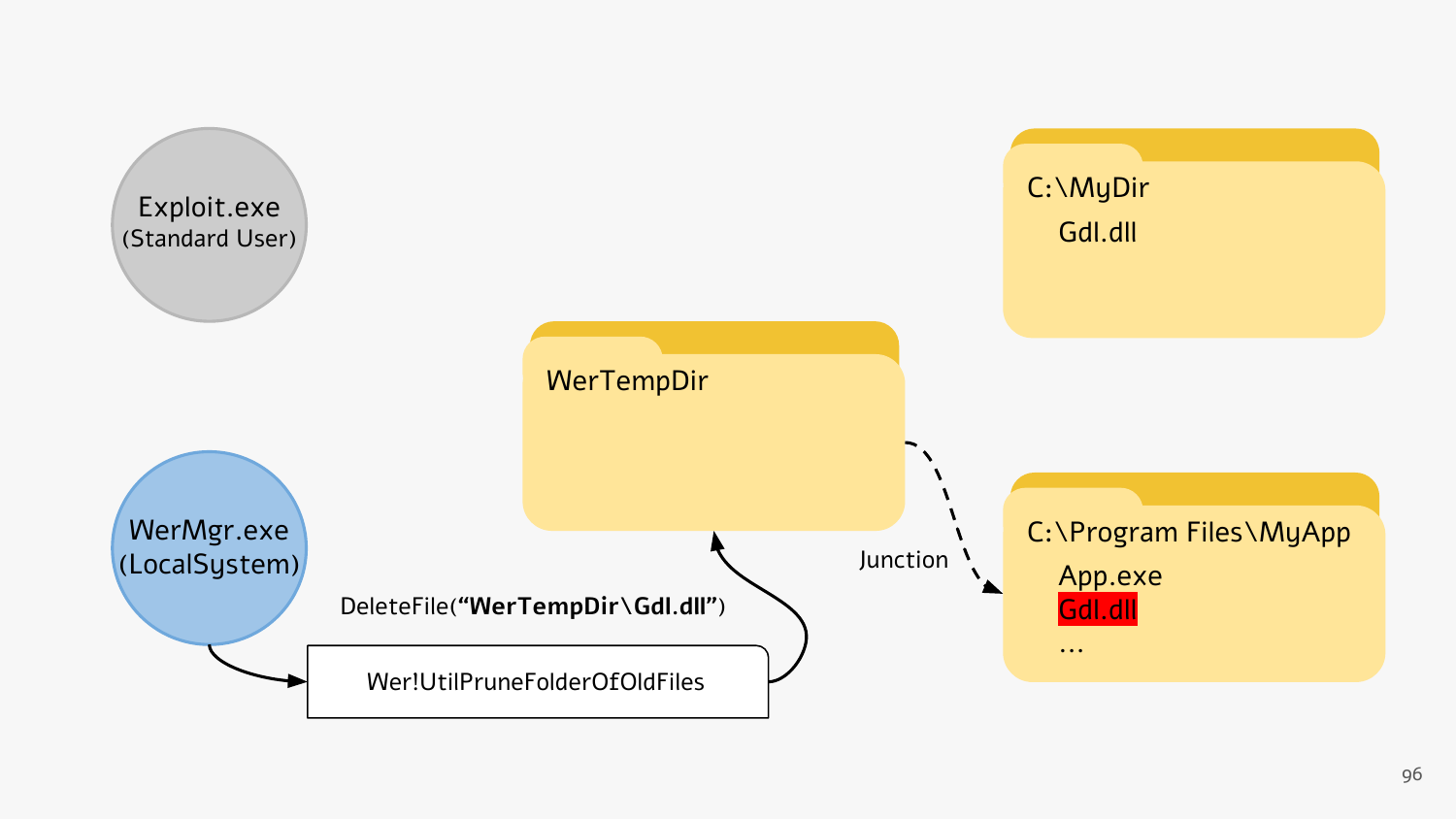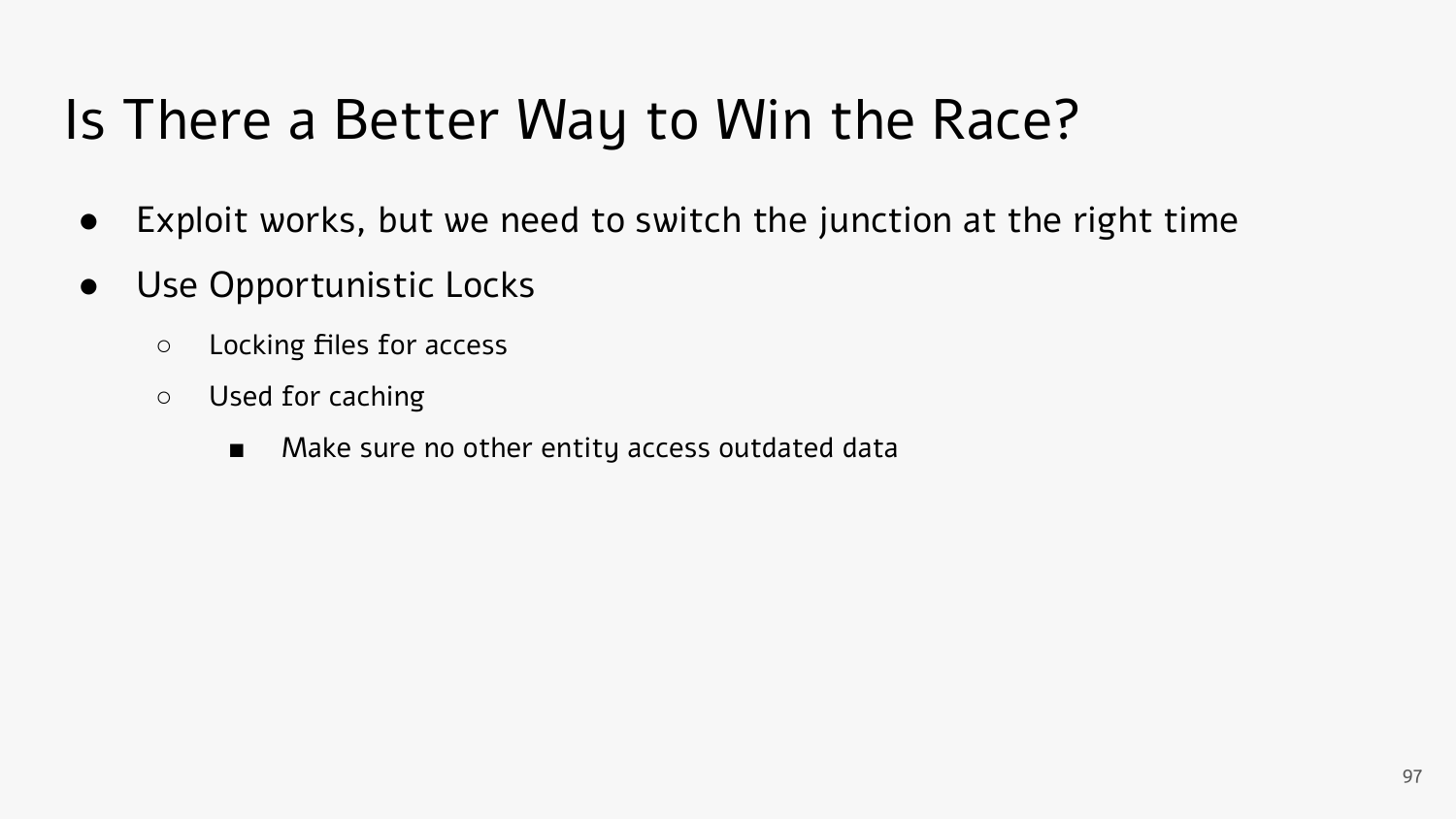# Is There a Better Way to Win the Race?

- Exploit works, but we need to switch the junction at the right time
- Use Opportunistic Locks
	- Locking files for access
	- Used for caching
		- Make sure no other entity access outdated data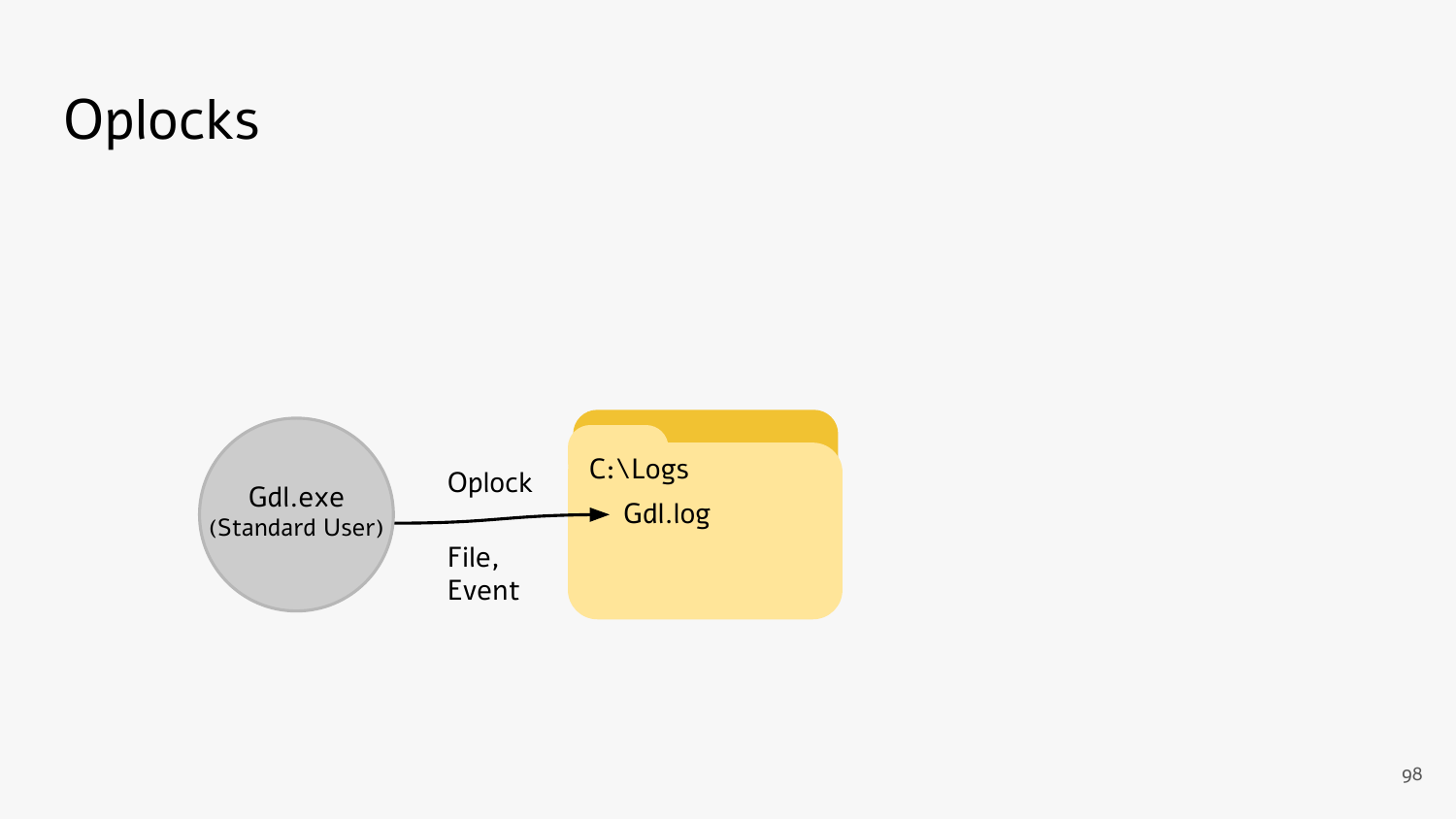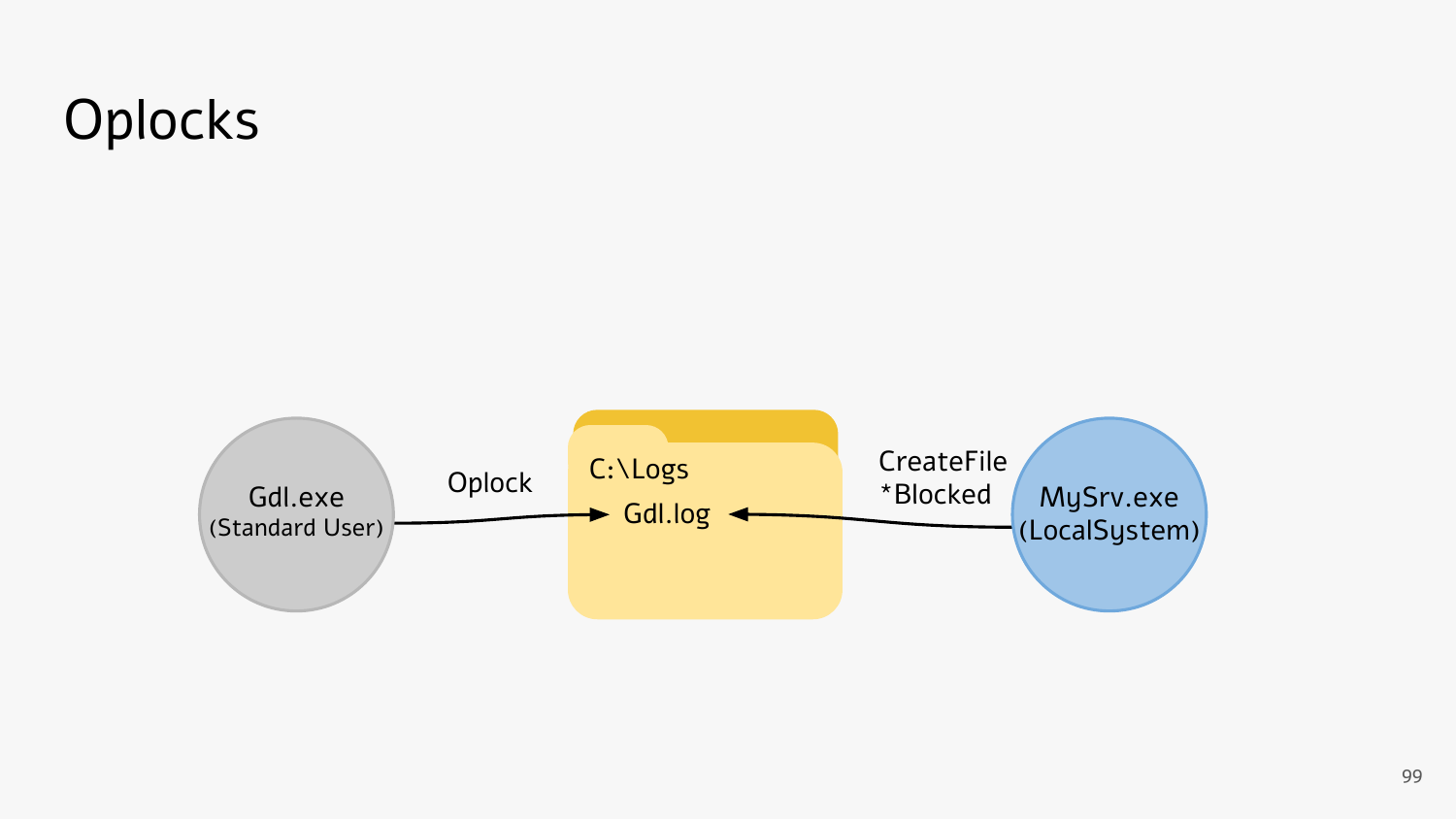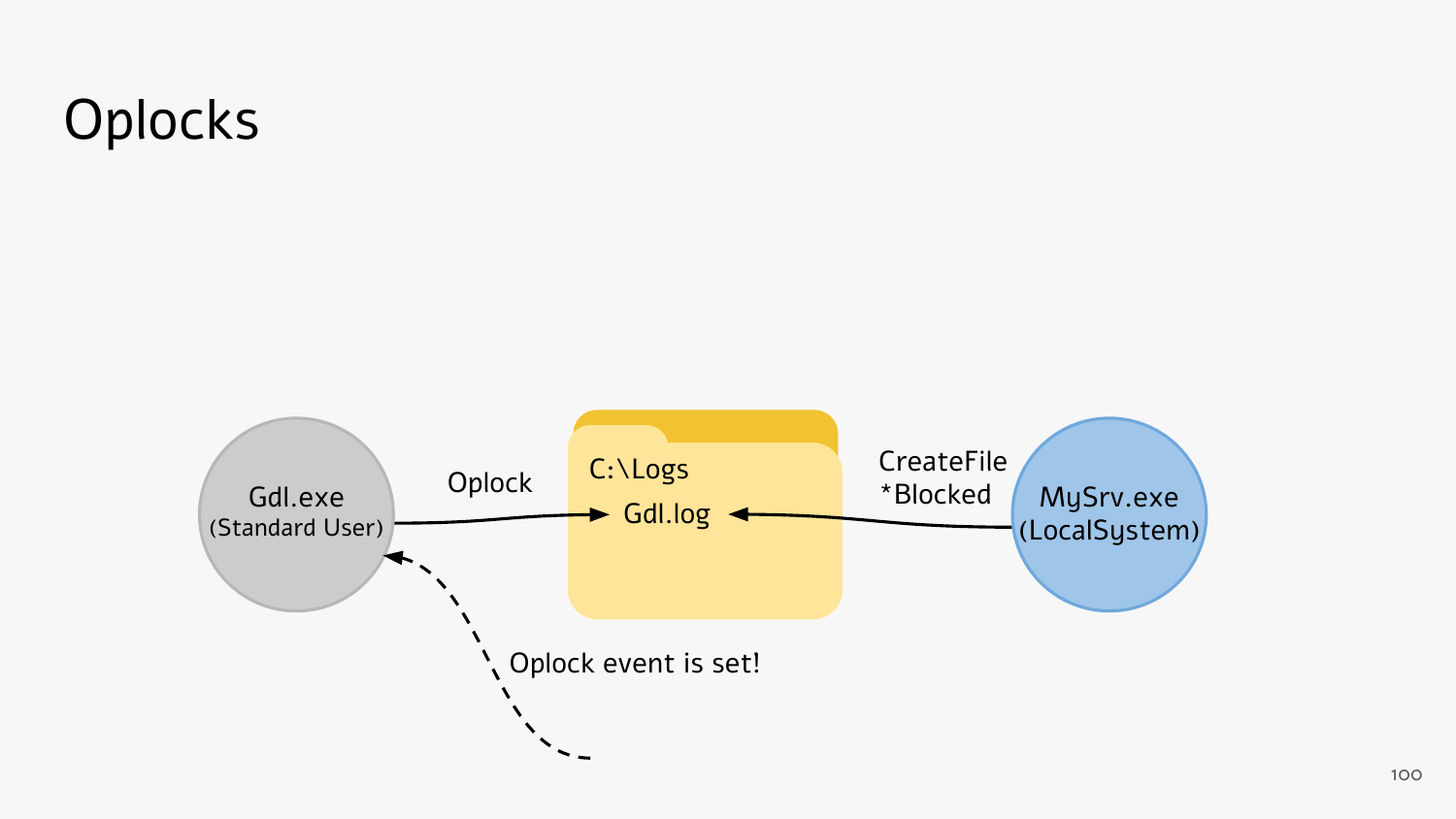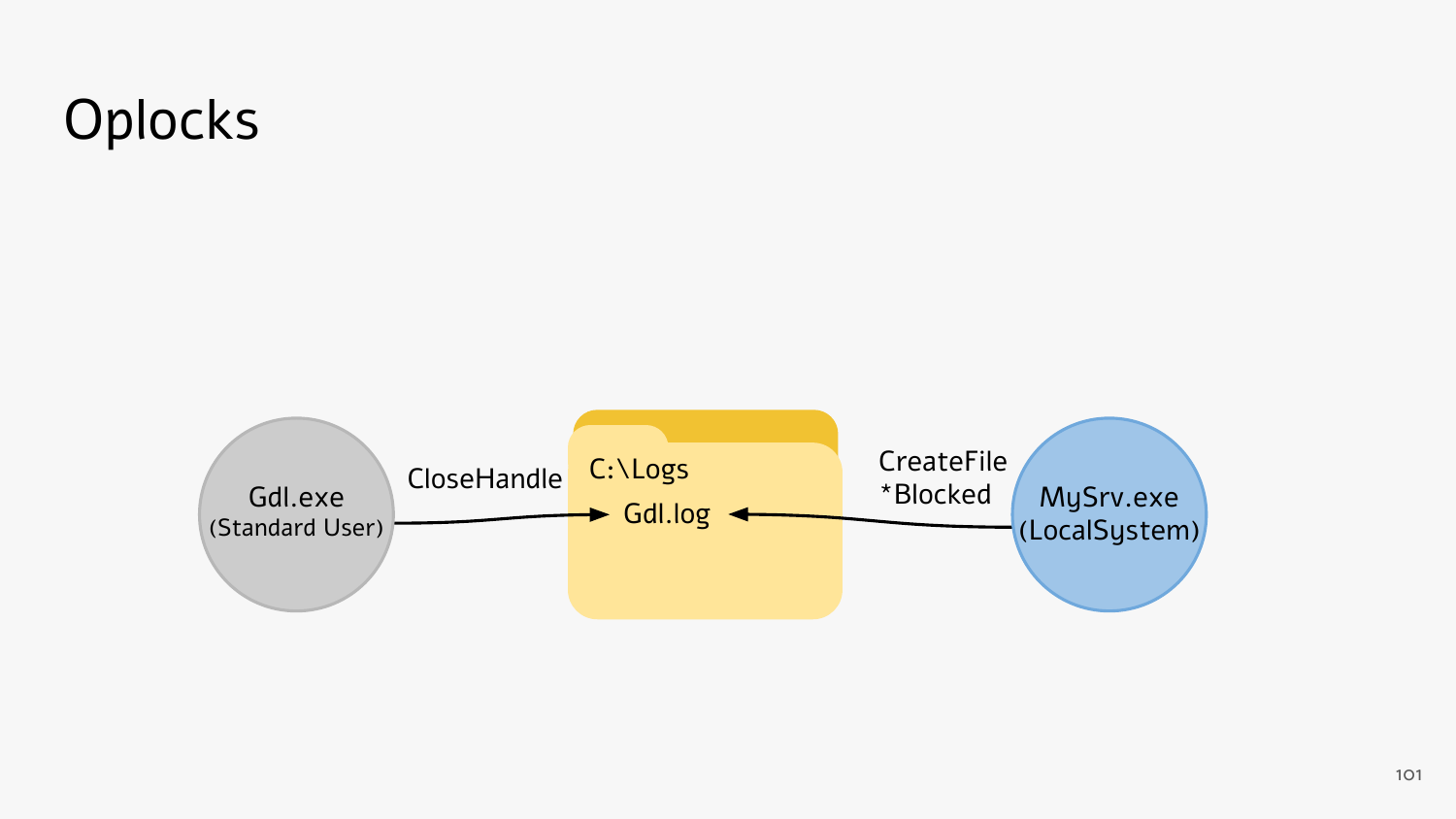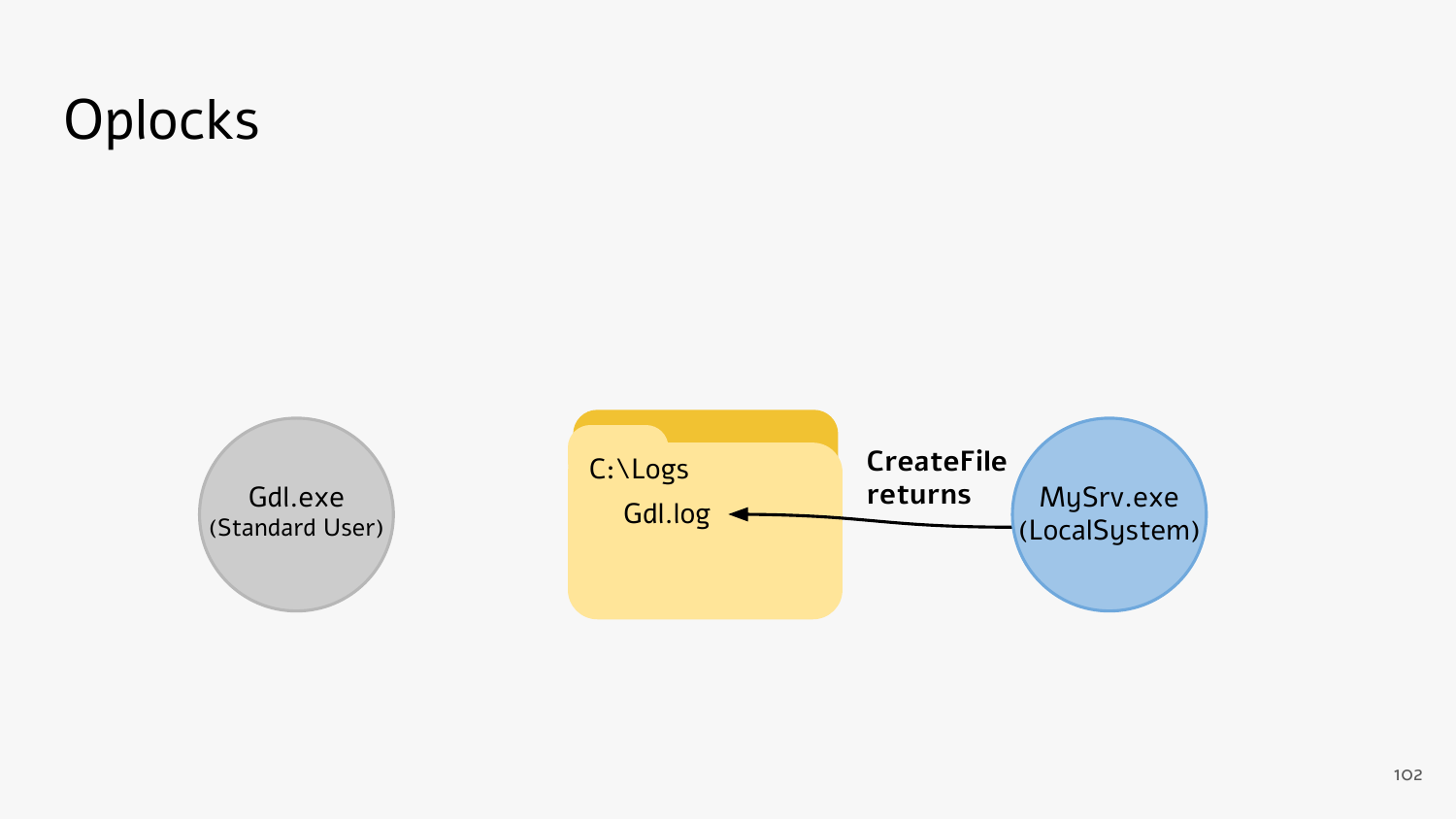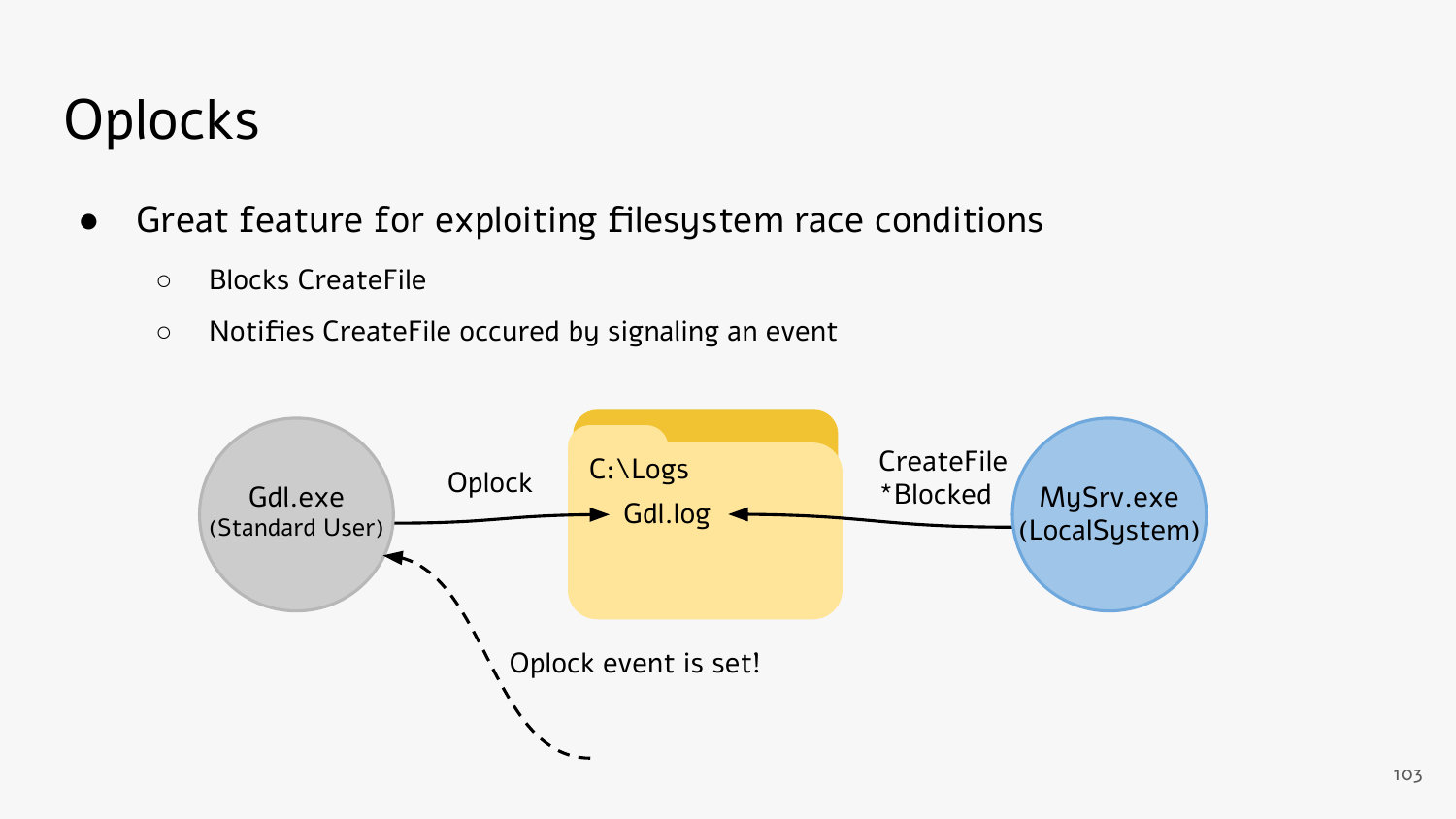- Great feature for exploiting filesystem race conditions
	- Blocks CreateFile
	- Notifies CreateFile occured by signaling an event

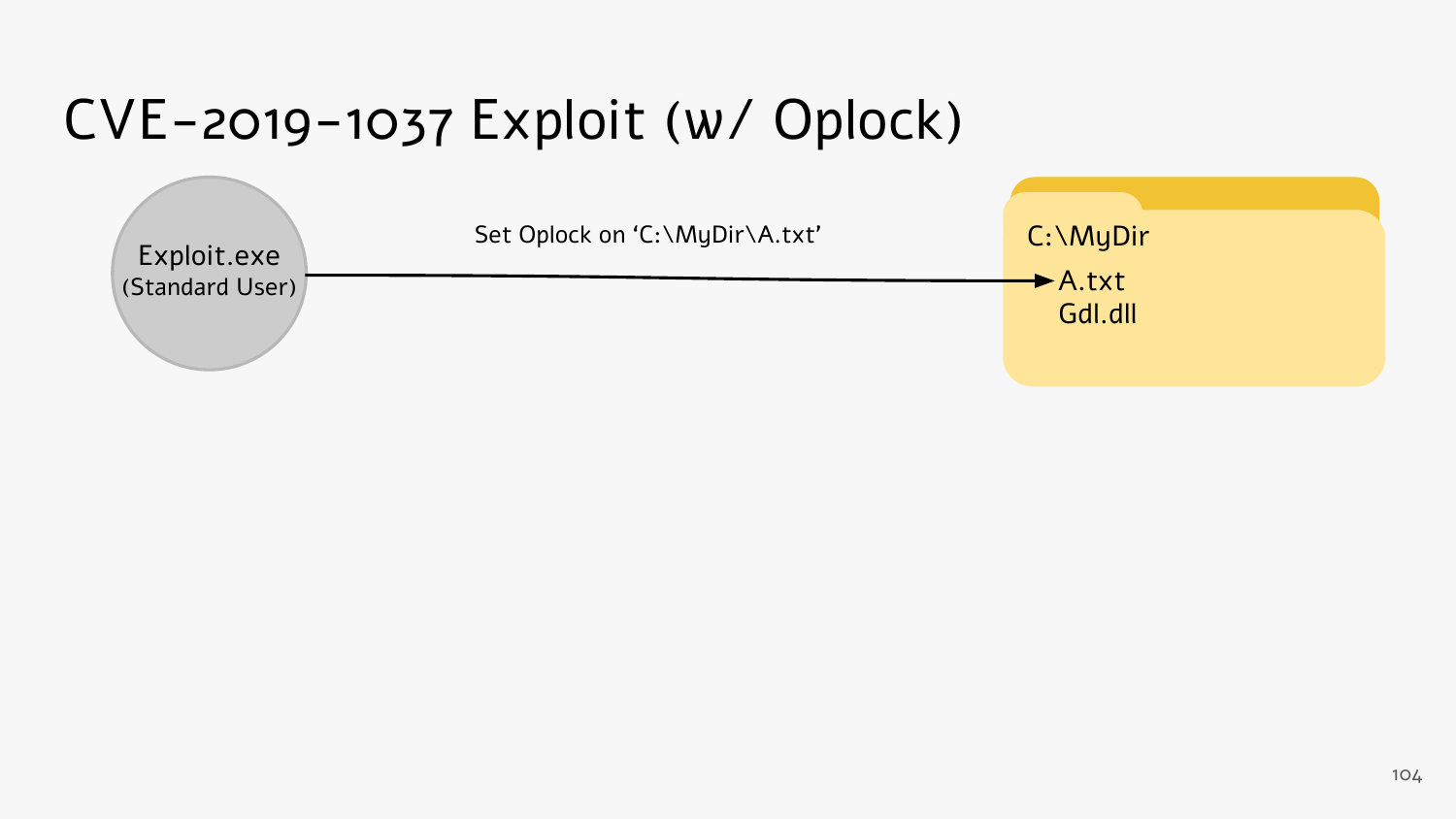| Exploit.exe     | Set Oplock on 'C:\MyDir\A.txt' | $C:\M$ y Dir                           |
|-----------------|--------------------------------|----------------------------------------|
| (Standard User) |                                | $\blacktriangleright$ A.txt<br>Gdl.dll |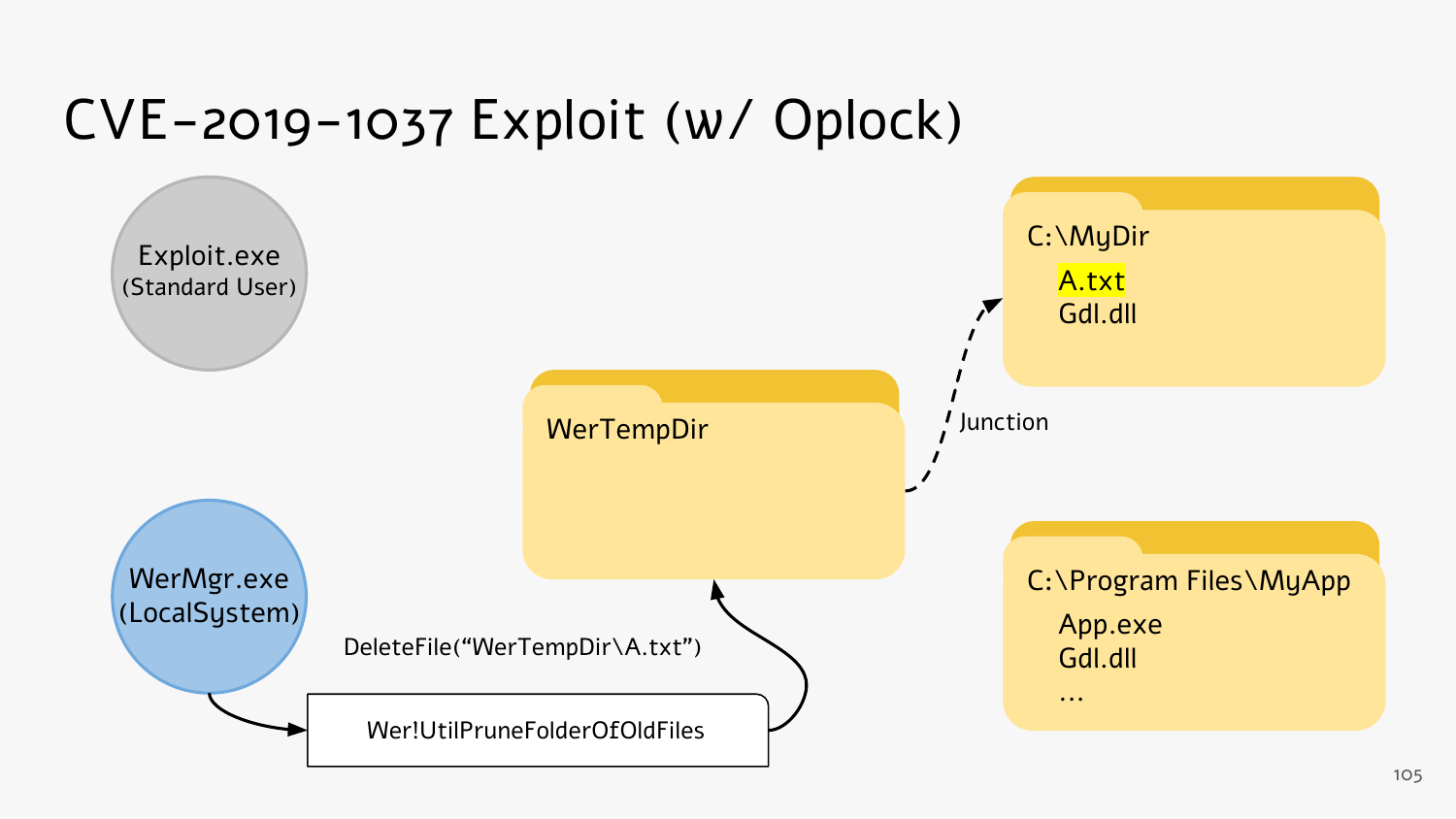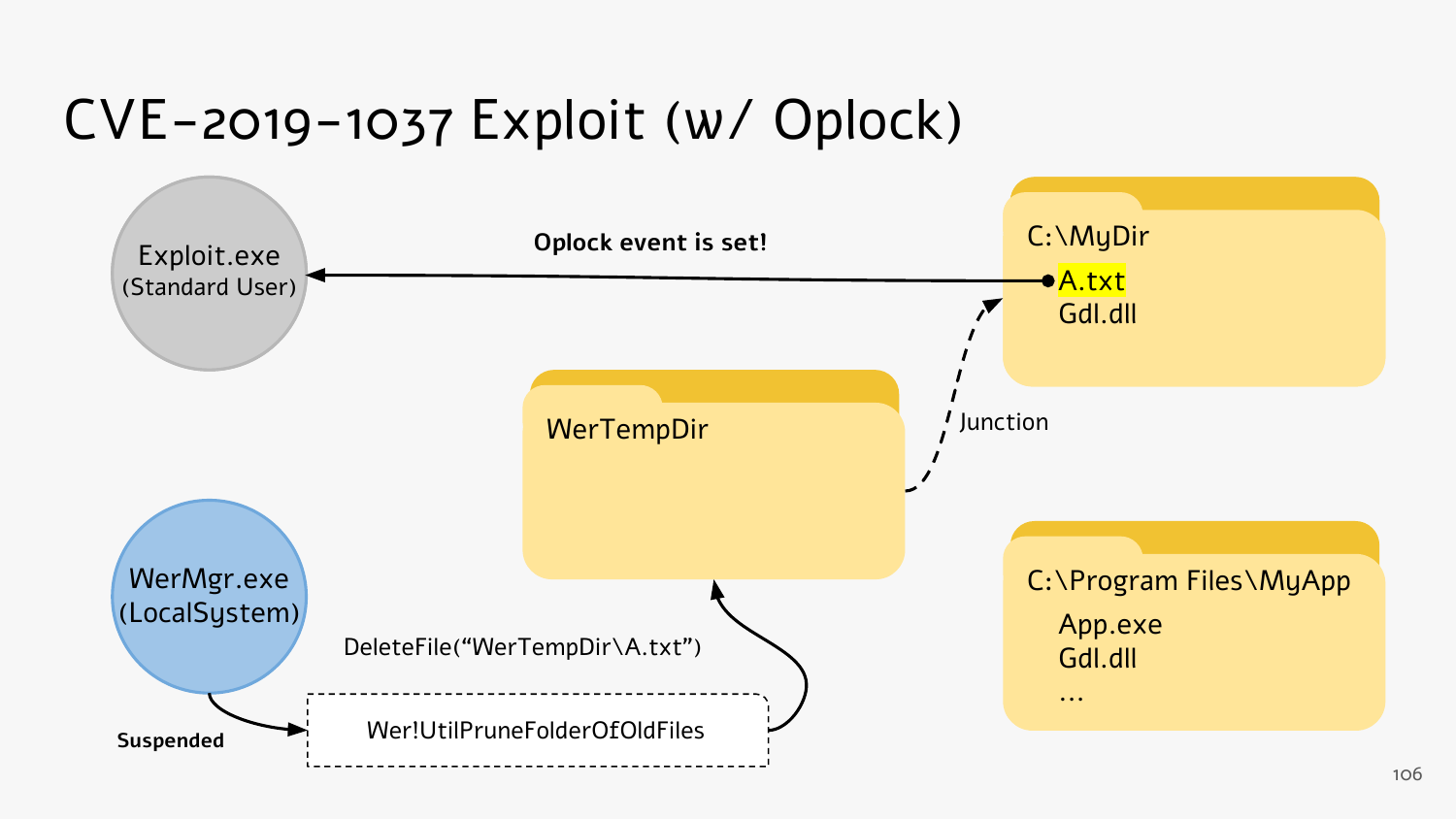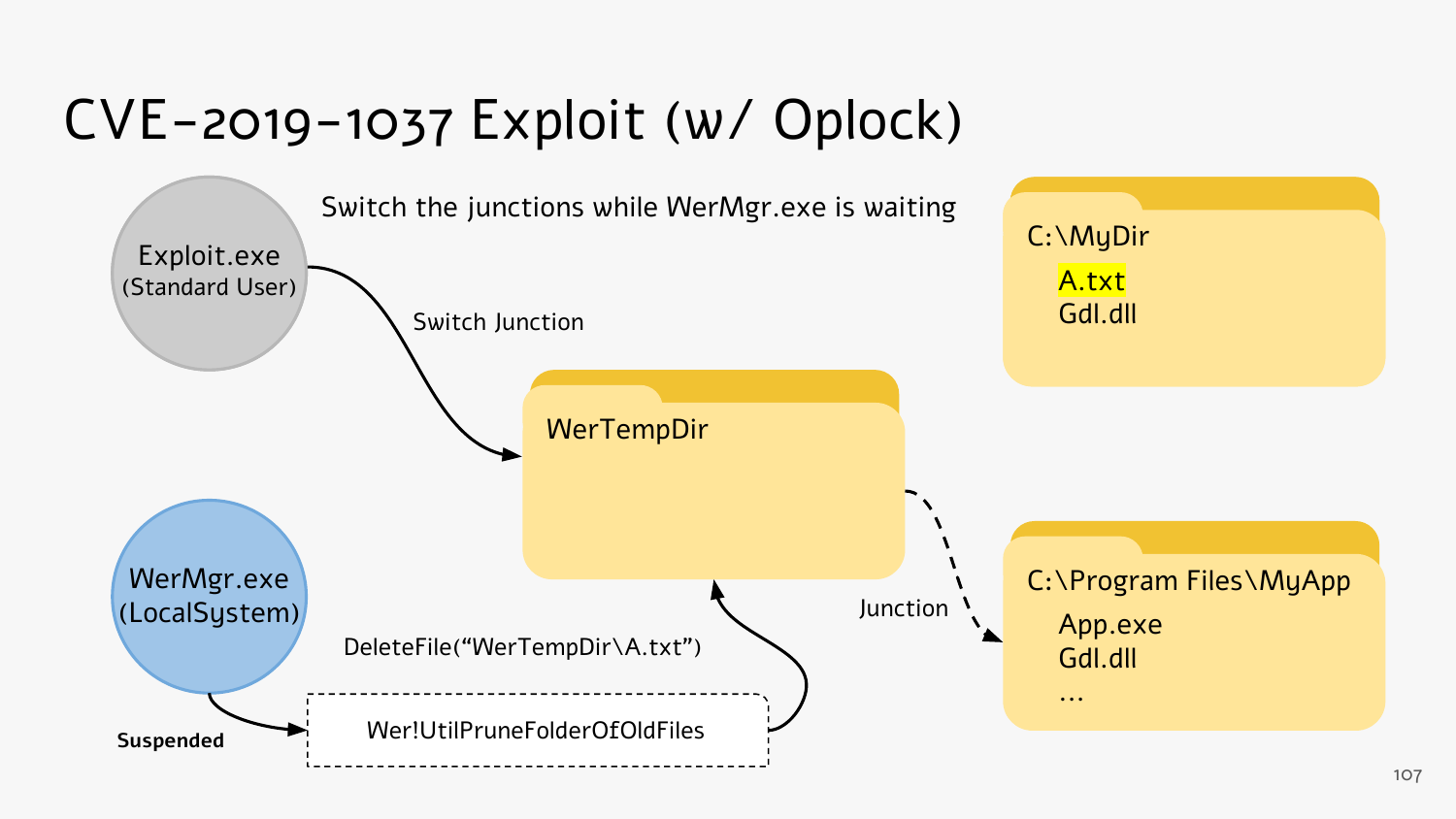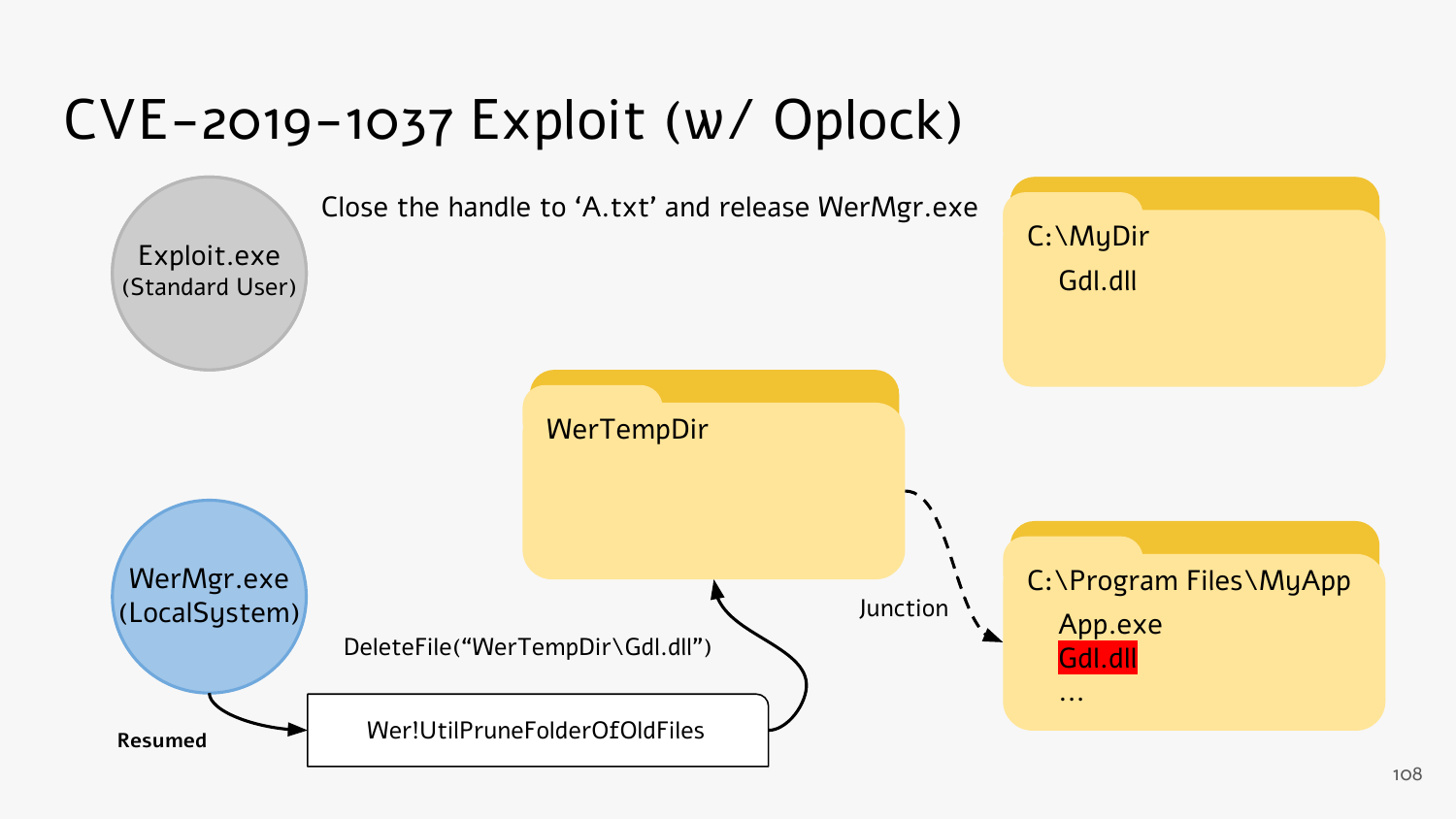